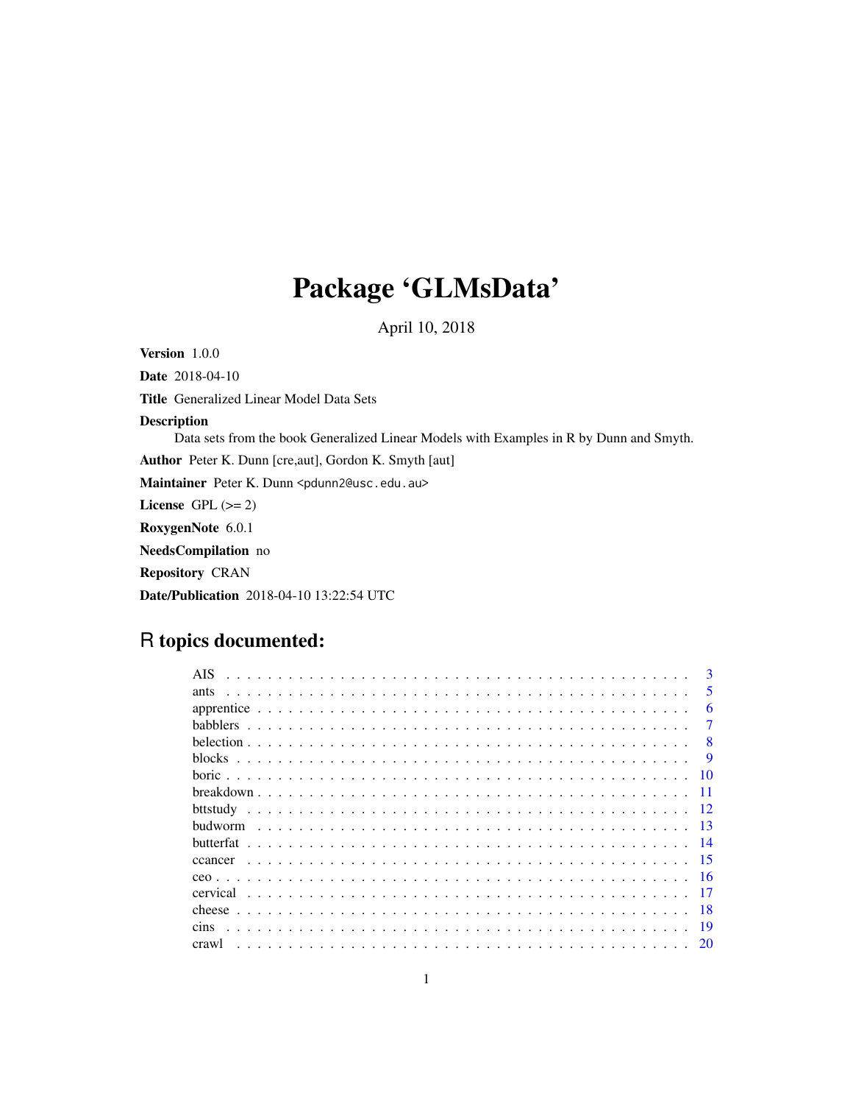# Package 'GLMsData'

April 10, 2018

Version 1.0.0 Date 2018-04-10 Title Generalized Linear Model Data Sets Description Data sets from the book Generalized Linear Models with Examples in R by Dunn and Smyth. Author Peter K. Dunn [cre,aut], Gordon K. Smyth [aut] Maintainer Peter K. Dunn <pdunn2@usc.edu.au> License GPL  $(>= 2)$ RoxygenNote 6.0.1 NeedsCompilation no Repository CRAN Date/Publication 2018-04-10 13:22:54 UTC

## R topics documented:

|           | 3                       |
|-----------|-------------------------|
| ants      | $\overline{\mathbf{5}}$ |
|           | 6                       |
|           | 7                       |
|           | $\mathbf{R}$            |
| blocks    | 9                       |
|           | 10                      |
|           | $-11$                   |
|           | 12                      |
|           | -13                     |
| butterfat | - 14                    |
| ccancer   | -15                     |
|           | - 16                    |
| cervical  |                         |
|           | -18                     |
| cins      | -19                     |
| crawl     |                         |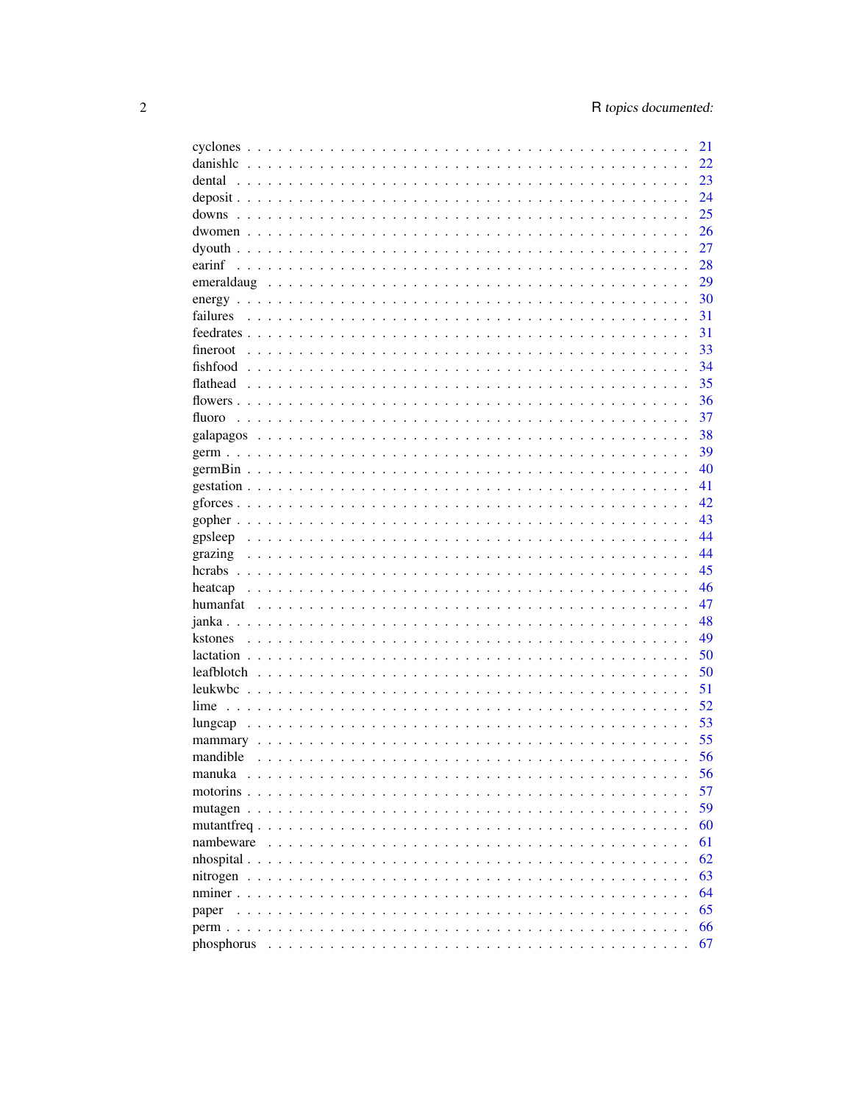|                         | 21 |
|-------------------------|----|
| danishlc                | 22 |
| dental                  | 23 |
|                         | 24 |
|                         | 25 |
|                         | 26 |
|                         | 27 |
|                         | 28 |
|                         | 29 |
|                         | 30 |
| failures                | 31 |
|                         | 31 |
| fineroot                | 33 |
|                         | 34 |
|                         | 35 |
|                         |    |
|                         | 36 |
| fluoro                  | 37 |
|                         | 38 |
|                         | 39 |
|                         | 40 |
|                         | 41 |
|                         | 42 |
|                         | 43 |
| gpsleep                 | 44 |
| grazing                 | 44 |
|                         | 45 |
|                         | 46 |
|                         | 47 |
|                         | 48 |
|                         | 49 |
|                         | 50 |
|                         | 50 |
| leukwbc                 | 51 |
| lime                    | 52 |
|                         | 53 |
|                         | 55 |
| mandible                | 56 |
|                         |    |
| manuka                  | 56 |
| motorins                | 57 |
| mutagen                 | 59 |
| mutantfreq              | 60 |
| nambeware               | 61 |
| $n$ hospital $\ldots$ . | 62 |
|                         | 63 |
|                         | 64 |
| paper                   | 65 |
|                         | 66 |
| phosphorus              | 67 |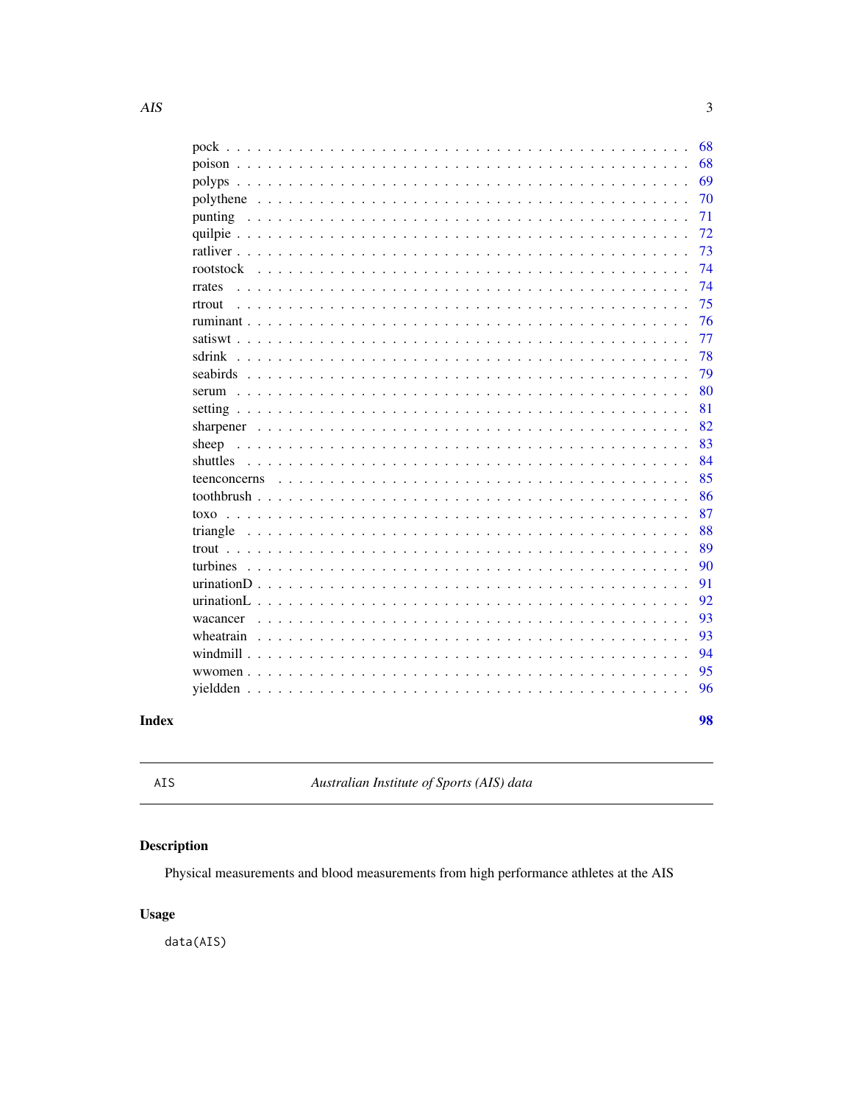<span id="page-2-0"></span>

|                                                                                                                                                                                              | 68 |
|----------------------------------------------------------------------------------------------------------------------------------------------------------------------------------------------|----|
|                                                                                                                                                                                              | 68 |
|                                                                                                                                                                                              | 69 |
|                                                                                                                                                                                              | 70 |
| punting                                                                                                                                                                                      | 71 |
|                                                                                                                                                                                              | 72 |
|                                                                                                                                                                                              | 73 |
| rootstock<br>$\sim$                                                                                                                                                                          | 74 |
| rrates                                                                                                                                                                                       | 74 |
| rtrout<br>$\ddot{\phantom{a}}$<br>$\ddot{\phantom{a}}$                                                                                                                                       | 75 |
|                                                                                                                                                                                              | 76 |
|                                                                                                                                                                                              | 77 |
| sdrink<br>$\mathbf{1}$ $\mathbf{1}$ $\mathbf{1}$ $\mathbf{1}$ $\mathbf{1}$<br>$\sim$                                                                                                         | 78 |
| seabirds<br>$\ddot{\phantom{a}}$<br>$\ddot{\phantom{a}}$<br>$\cdot$<br>$\ddot{\phantom{a}}$                                                                                                  | 79 |
|                                                                                                                                                                                              | 80 |
|                                                                                                                                                                                              | 81 |
| sharpener                                                                                                                                                                                    | 82 |
| sheep<br>$\sim$<br>$\ddot{\phantom{0}}$<br>$\ddotsc$                                                                                                                                         | 83 |
| shuttles                                                                                                                                                                                     | 84 |
| teenconcerns                                                                                                                                                                                 | 85 |
|                                                                                                                                                                                              | 86 |
| toxo<br>and a string                                                                                                                                                                         | 87 |
| triangle                                                                                                                                                                                     | 88 |
|                                                                                                                                                                                              | 89 |
| turbines                                                                                                                                                                                     | 90 |
| urinationD<br>$\overline{a}$                                                                                                                                                                 | 91 |
| urinationL.<br>and a straight and<br>$\mathbf{r}$ and $\mathbf{r}$ and $\mathbf{r}$ and $\mathbf{r}$<br>$\ddot{\phantom{0}}$<br>$\ddot{\phantom{0}}$<br>$\mathbf{r}$<br>$\ddot{\phantom{a}}$ | 92 |
| wacancer                                                                                                                                                                                     | 93 |
| wheatrain                                                                                                                                                                                    | 93 |
|                                                                                                                                                                                              | 94 |
| wwomen $\ldots$<br>$\mathbf{L}$                                                                                                                                                              | 95 |
|                                                                                                                                                                                              | 96 |
|                                                                                                                                                                                              |    |
|                                                                                                                                                                                              | 98 |

### **Index**

AIS

Australian Institute of Sports (AIS) data

### Description

Physical measurements and blood measurements from high performance athletes at the AIS

### **Usage**

data(AIS)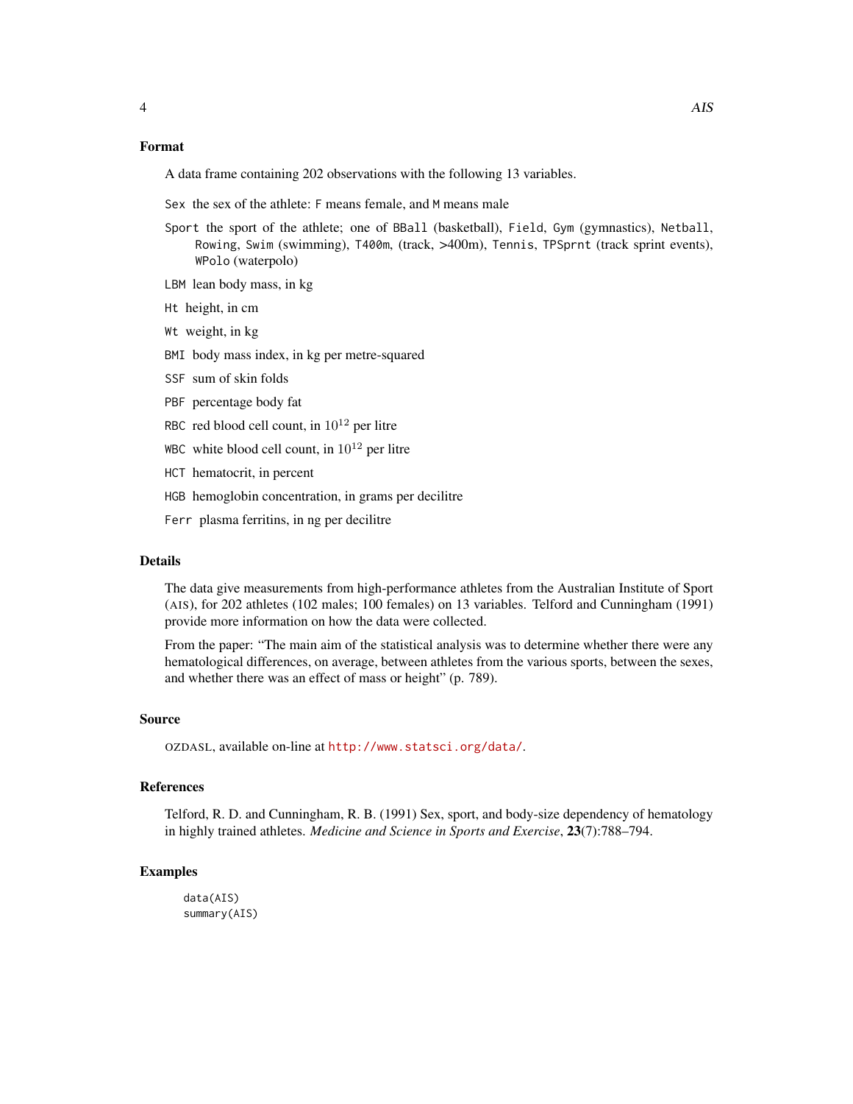#### Format

A data frame containing 202 observations with the following 13 variables.

Sex the sex of the athlete: F means female, and M means male

- Sport the sport of the athlete; one of BBall (basketball), Field, Gym (gymnastics), Netball, Rowing, Swim (swimming), T400m, (track, >400m), Tennis, TPSprnt (track sprint events), WPolo (waterpolo)
- LBM lean body mass, in kg
- Ht height, in cm
- Wt weight, in kg
- BMI body mass index, in kg per metre-squared
- SSF sum of skin folds
- PBF percentage body fat
- RBC red blood cell count, in  $10^{12}$  per litre
- WBC white blood cell count, in  $10^{12}$  per litre
- HCT hematocrit, in percent
- HGB hemoglobin concentration, in grams per decilitre
- Ferr plasma ferritins, in ng per decilitre

#### Details

The data give measurements from high-performance athletes from the Australian Institute of Sport (AIS), for 202 athletes (102 males; 100 females) on 13 variables. Telford and Cunningham (1991) provide more information on how the data were collected.

From the paper: "The main aim of the statistical analysis was to determine whether there were any hematological differences, on average, between athletes from the various sports, between the sexes, and whether there was an effect of mass or height" (p. 789).

#### Source

OZDASL, available on-line at <http://www.statsci.org/data/>.

#### References

Telford, R. D. and Cunningham, R. B. (1991) Sex, sport, and body-size dependency of hematology in highly trained athletes. *Medicine and Science in Sports and Exercise*, 23(7):788–794.

#### Examples

data(AIS) summary(AIS)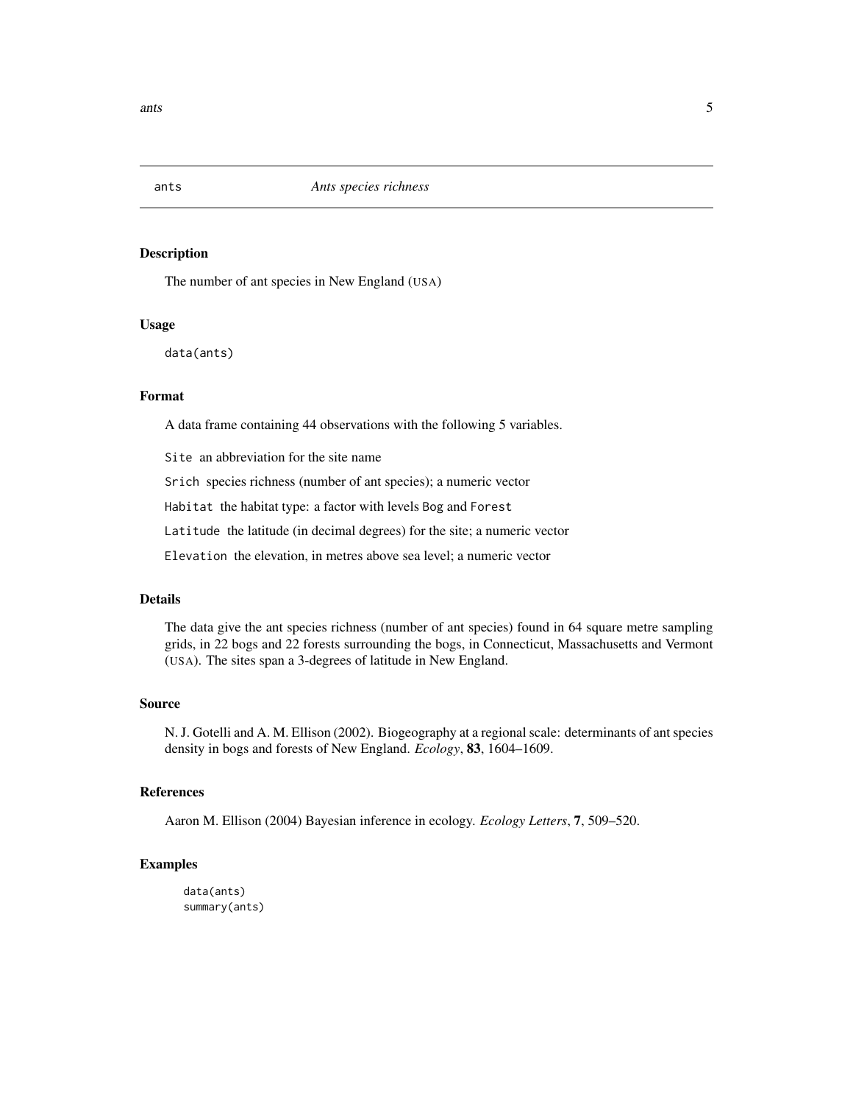<span id="page-4-0"></span>

The number of ant species in New England (USA)

#### Usage

data(ants)

#### Format

A data frame containing 44 observations with the following 5 variables.

Site an abbreviation for the site name

Srich species richness (number of ant species); a numeric vector

Habitat the habitat type: a factor with levels Bog and Forest

Latitude the latitude (in decimal degrees) for the site; a numeric vector

Elevation the elevation, in metres above sea level; a numeric vector

#### Details

The data give the ant species richness (number of ant species) found in 64 square metre sampling grids, in 22 bogs and 22 forests surrounding the bogs, in Connecticut, Massachusetts and Vermont (USA). The sites span a 3-degrees of latitude in New England.

#### Source

N. J. Gotelli and A. M. Ellison (2002). Biogeography at a regional scale: determinants of ant species density in bogs and forests of New England. *Ecology*, 83, 1604–1609.

#### References

Aaron M. Ellison (2004) Bayesian inference in ecology. *Ecology Letters*, 7, 509–520.

#### Examples

data(ants) summary(ants)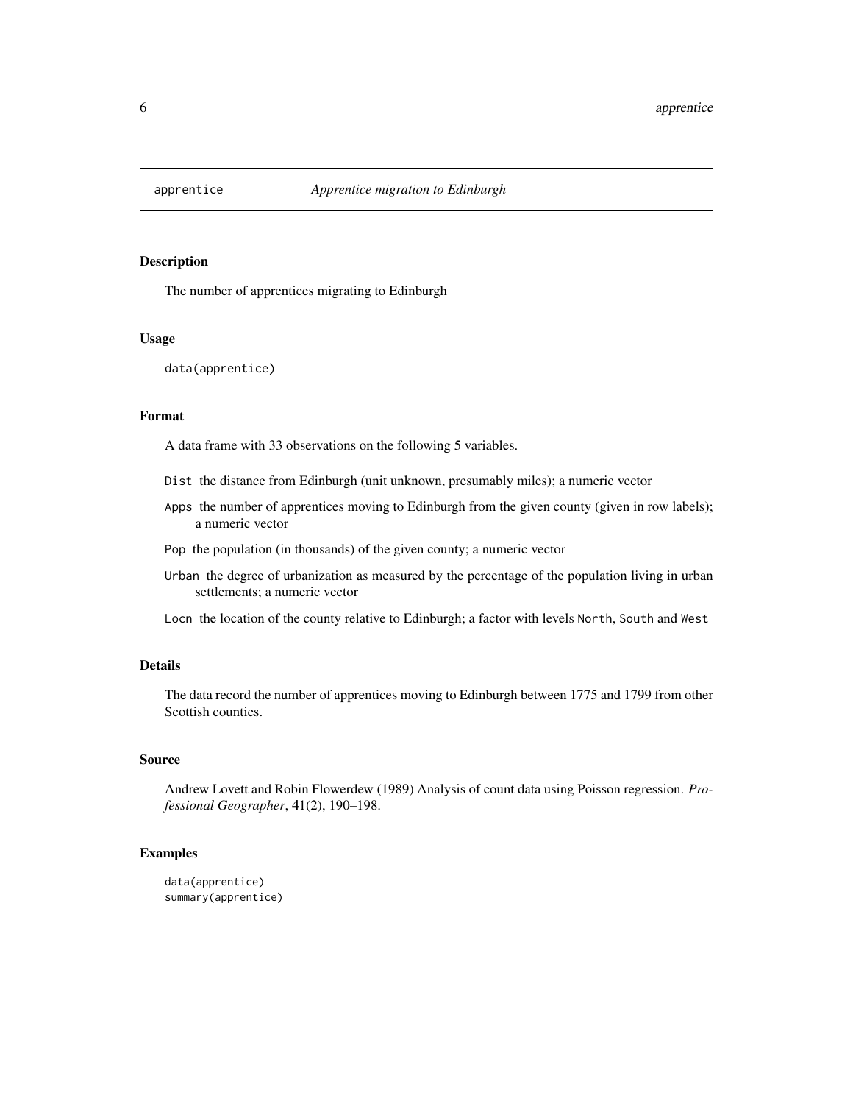<span id="page-5-0"></span>

The number of apprentices migrating to Edinburgh

#### Usage

data(apprentice)

#### Format

A data frame with 33 observations on the following 5 variables.

- Dist the distance from Edinburgh (unit unknown, presumably miles); a numeric vector
- Apps the number of apprentices moving to Edinburgh from the given county (given in row labels); a numeric vector
- Pop the population (in thousands) of the given county; a numeric vector
- Urban the degree of urbanization as measured by the percentage of the population living in urban settlements; a numeric vector
- Locn the location of the county relative to Edinburgh; a factor with levels North, South and West

#### Details

The data record the number of apprentices moving to Edinburgh between 1775 and 1799 from other Scottish counties.

#### Source

Andrew Lovett and Robin Flowerdew (1989) Analysis of count data using Poisson regression. *Professional Geographer*, 41(2), 190–198.

```
data(apprentice)
summary(apprentice)
```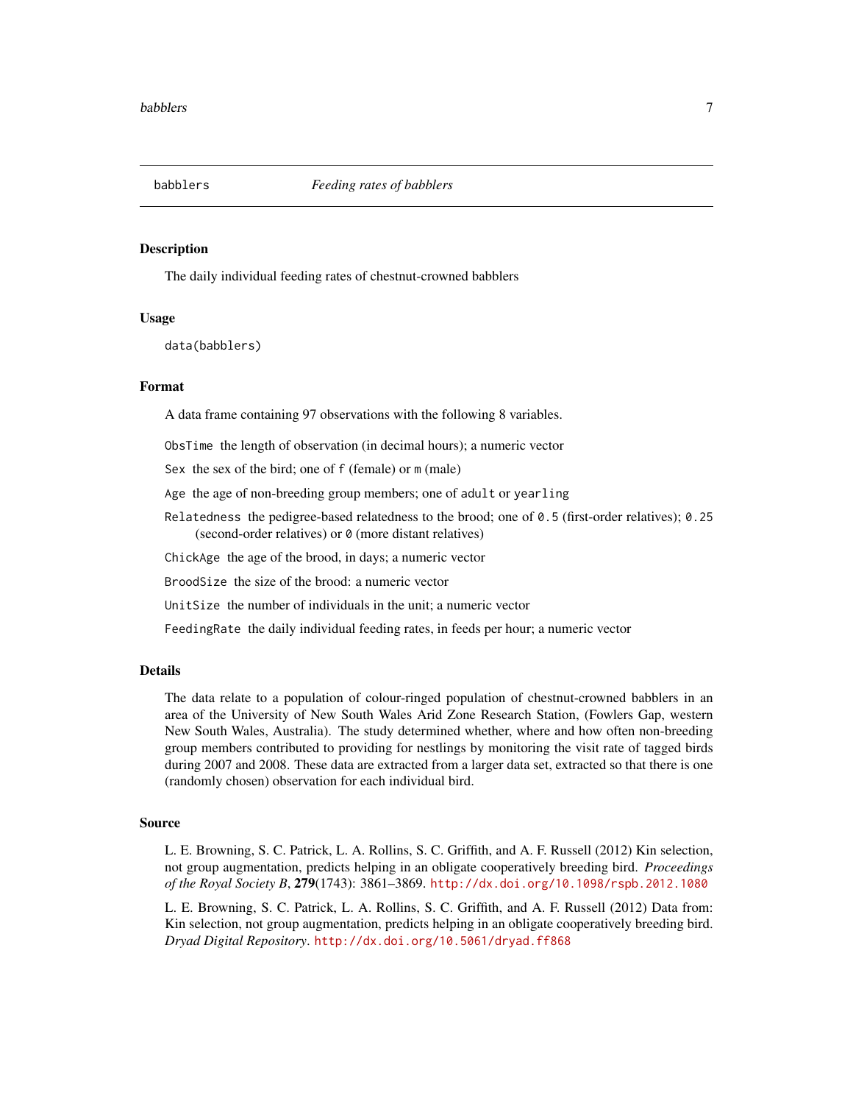<span id="page-6-0"></span>

The daily individual feeding rates of chestnut-crowned babblers

#### Usage

data(babblers)

#### Format

A data frame containing 97 observations with the following 8 variables.

ObsTime the length of observation (in decimal hours); a numeric vector

Sex the sex of the bird; one of f (female) or m (male)

Age the age of non-breeding group members; one of adult or yearling

Relatedness the pedigree-based relatedness to the brood; one of  $\theta$ . 5 (first-order relatives);  $\theta$ . 25 (second-order relatives) or 0 (more distant relatives)

ChickAge the age of the brood, in days; a numeric vector

BroodSize the size of the brood: a numeric vector

UnitSize the number of individuals in the unit; a numeric vector

FeedingRate the daily individual feeding rates, in feeds per hour; a numeric vector

#### Details

The data relate to a population of colour-ringed population of chestnut-crowned babblers in an area of the University of New South Wales Arid Zone Research Station, (Fowlers Gap, western New South Wales, Australia). The study determined whether, where and how often non-breeding group members contributed to providing for nestlings by monitoring the visit rate of tagged birds during 2007 and 2008. These data are extracted from a larger data set, extracted so that there is one (randomly chosen) observation for each individual bird.

#### Source

L. E. Browning, S. C. Patrick, L. A. Rollins, S. C. Griffith, and A. F. Russell (2012) Kin selection, not group augmentation, predicts helping in an obligate cooperatively breeding bird. *Proceedings of the Royal Society B*, 279(1743): 3861–3869. <http://dx.doi.org/10.1098/rspb.2012.1080>

L. E. Browning, S. C. Patrick, L. A. Rollins, S. C. Griffith, and A. F. Russell (2012) Data from: Kin selection, not group augmentation, predicts helping in an obligate cooperatively breeding bird. *Dryad Digital Repository*. <http://dx.doi.org/10.5061/dryad.ff868>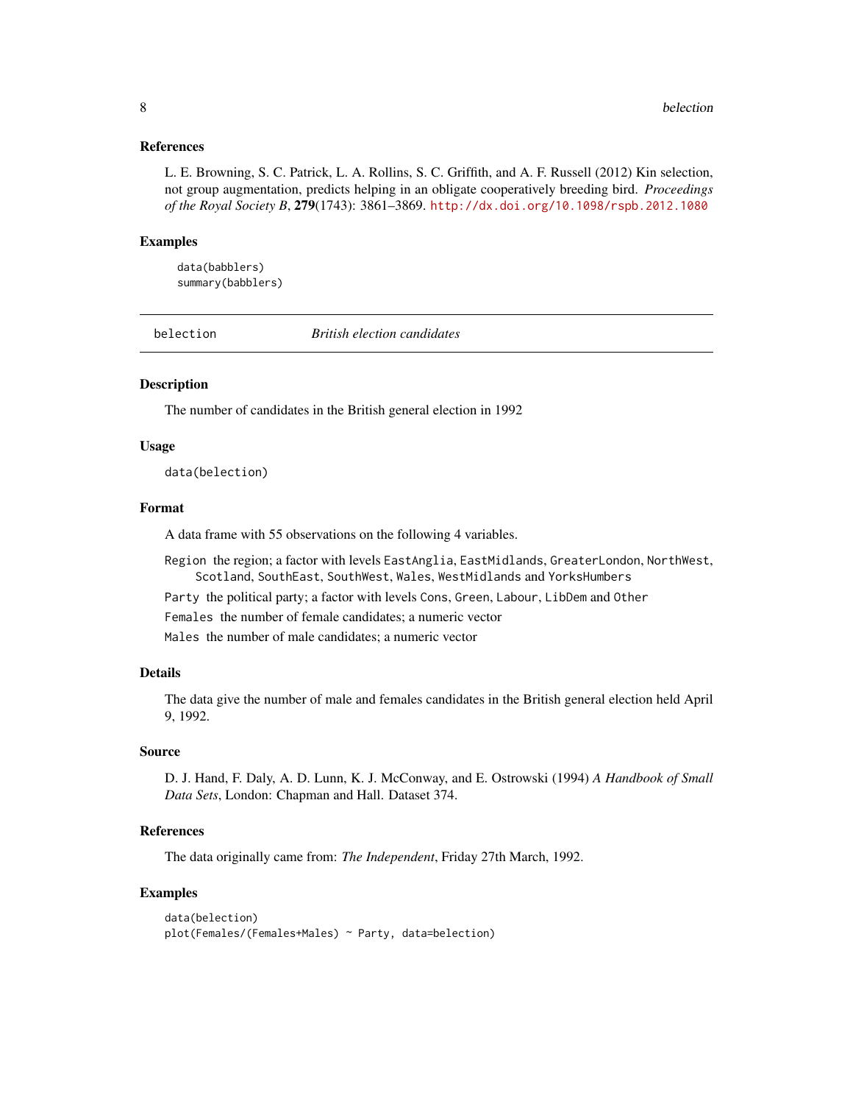#### <span id="page-7-0"></span>References

L. E. Browning, S. C. Patrick, L. A. Rollins, S. C. Griffith, and A. F. Russell (2012) Kin selection, not group augmentation, predicts helping in an obligate cooperatively breeding bird. *Proceedings of the Royal Society B*, 279(1743): 3861–3869. <http://dx.doi.org/10.1098/rspb.2012.1080>

#### Examples

data(babblers) summary(babblers)

belection *British election candidates*

#### Description

The number of candidates in the British general election in 1992

#### Usage

data(belection)

#### Format

A data frame with 55 observations on the following 4 variables.

Region the region; a factor with levels EastAnglia, EastMidlands, GreaterLondon, NorthWest, Scotland, SouthEast, SouthWest, Wales, WestMidlands and YorksHumbers

Party the political party; a factor with levels Cons, Green, Labour, LibDem and Other

Females the number of female candidates; a numeric vector

Males the number of male candidates; a numeric vector

#### Details

The data give the number of male and females candidates in the British general election held April 9, 1992.

#### Source

D. J. Hand, F. Daly, A. D. Lunn, K. J. McConway, and E. Ostrowski (1994) *A Handbook of Small Data Sets*, London: Chapman and Hall. Dataset 374.

#### References

The data originally came from: *The Independent*, Friday 27th March, 1992.

```
data(belection)
plot(Females/(Females+Males) ~ Party, data=belection)
```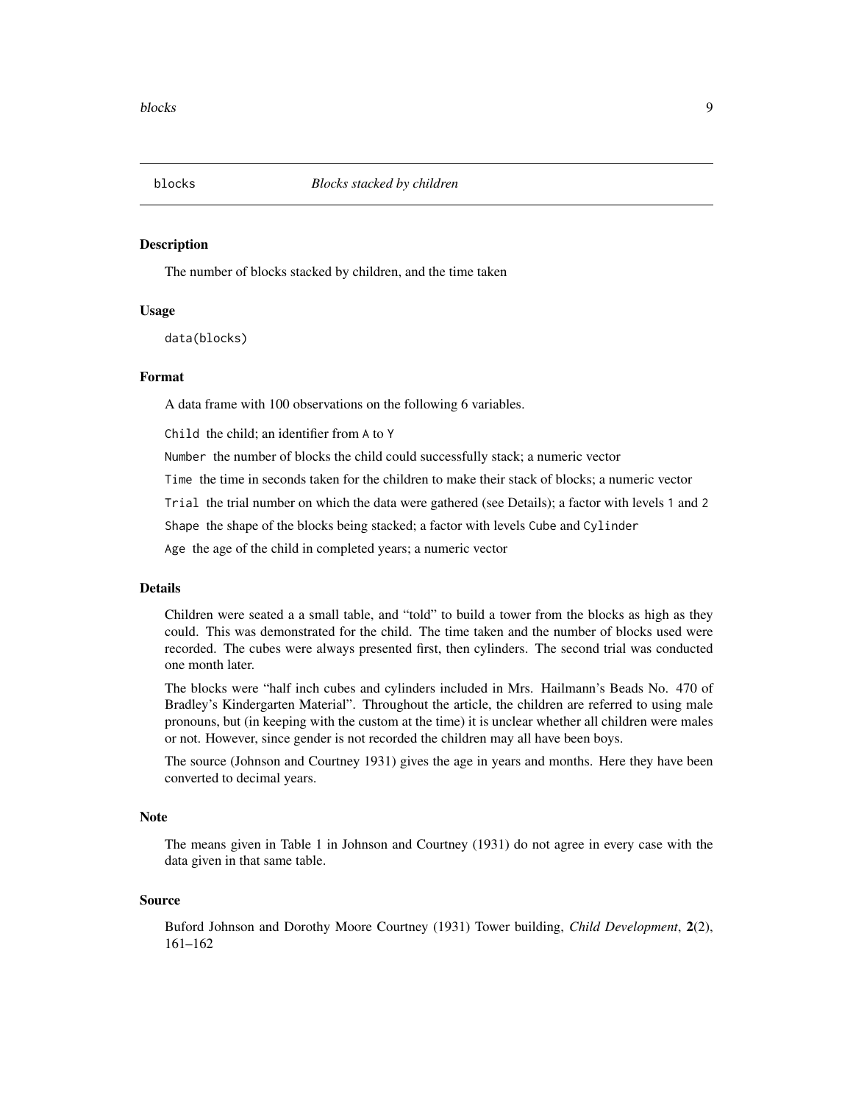<span id="page-8-0"></span>

The number of blocks stacked by children, and the time taken

#### Usage

data(blocks)

#### Format

A data frame with 100 observations on the following 6 variables.

Child the child; an identifier from A to Y

Number the number of blocks the child could successfully stack; a numeric vector

Time the time in seconds taken for the children to make their stack of blocks; a numeric vector

Trial the trial number on which the data were gathered (see Details); a factor with levels 1 and 2

Shape the shape of the blocks being stacked; a factor with levels Cube and Cylinder

Age the age of the child in completed years; a numeric vector

#### Details

Children were seated a a small table, and "told" to build a tower from the blocks as high as they could. This was demonstrated for the child. The time taken and the number of blocks used were recorded. The cubes were always presented first, then cylinders. The second trial was conducted one month later.

The blocks were "half inch cubes and cylinders included in Mrs. Hailmann's Beads No. 470 of Bradley's Kindergarten Material". Throughout the article, the children are referred to using male pronouns, but (in keeping with the custom at the time) it is unclear whether all children were males or not. However, since gender is not recorded the children may all have been boys.

The source (Johnson and Courtney 1931) gives the age in years and months. Here they have been converted to decimal years.

#### **Note**

The means given in Table 1 in Johnson and Courtney (1931) do not agree in every case with the data given in that same table.

#### Source

Buford Johnson and Dorothy Moore Courtney (1931) Tower building, *Child Development*, 2(2), 161–162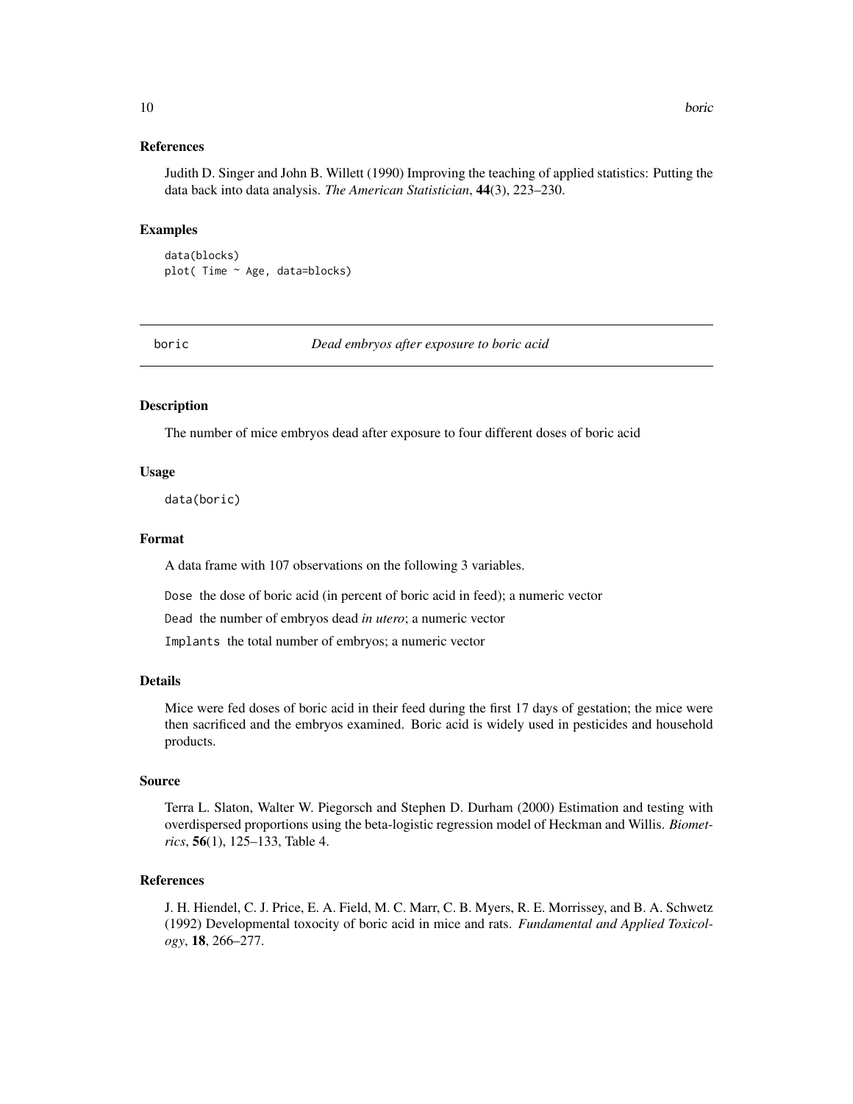#### References

Judith D. Singer and John B. Willett (1990) Improving the teaching of applied statistics: Putting the data back into data analysis. *The American Statistician*, 44(3), 223–230.

#### Examples

data(blocks) plot( Time ~ Age, data=blocks)

boric *Dead embryos after exposure to boric acid*

#### Description

The number of mice embryos dead after exposure to four different doses of boric acid

#### Usage

data(boric)

#### Format

A data frame with 107 observations on the following 3 variables.

Dose the dose of boric acid (in percent of boric acid in feed); a numeric vector

Dead the number of embryos dead *in utero*; a numeric vector

Implants the total number of embryos; a numeric vector

#### Details

Mice were fed doses of boric acid in their feed during the first 17 days of gestation; the mice were then sacrificed and the embryos examined. Boric acid is widely used in pesticides and household products.

#### Source

Terra L. Slaton, Walter W. Piegorsch and Stephen D. Durham (2000) Estimation and testing with overdispersed proportions using the beta-logistic regression model of Heckman and Willis. *Biometrics*, 56(1), 125–133, Table 4.

#### References

J. H. Hiendel, C. J. Price, E. A. Field, M. C. Marr, C. B. Myers, R. E. Morrissey, and B. A. Schwetz (1992) Developmental toxocity of boric acid in mice and rats. *Fundamental and Applied Toxicology*, 18, 266–277.

<span id="page-9-0"></span>10 boric box 10 boric box 10 boric box 10 boric box 10 boric box 10 boric box 10 boric box 10 boric box 10 boric box 10 boric box 10 boric box 10 boric box 10 boric box 10 boric box 10 box 10 box 10 box 10 box 10 box 10 bo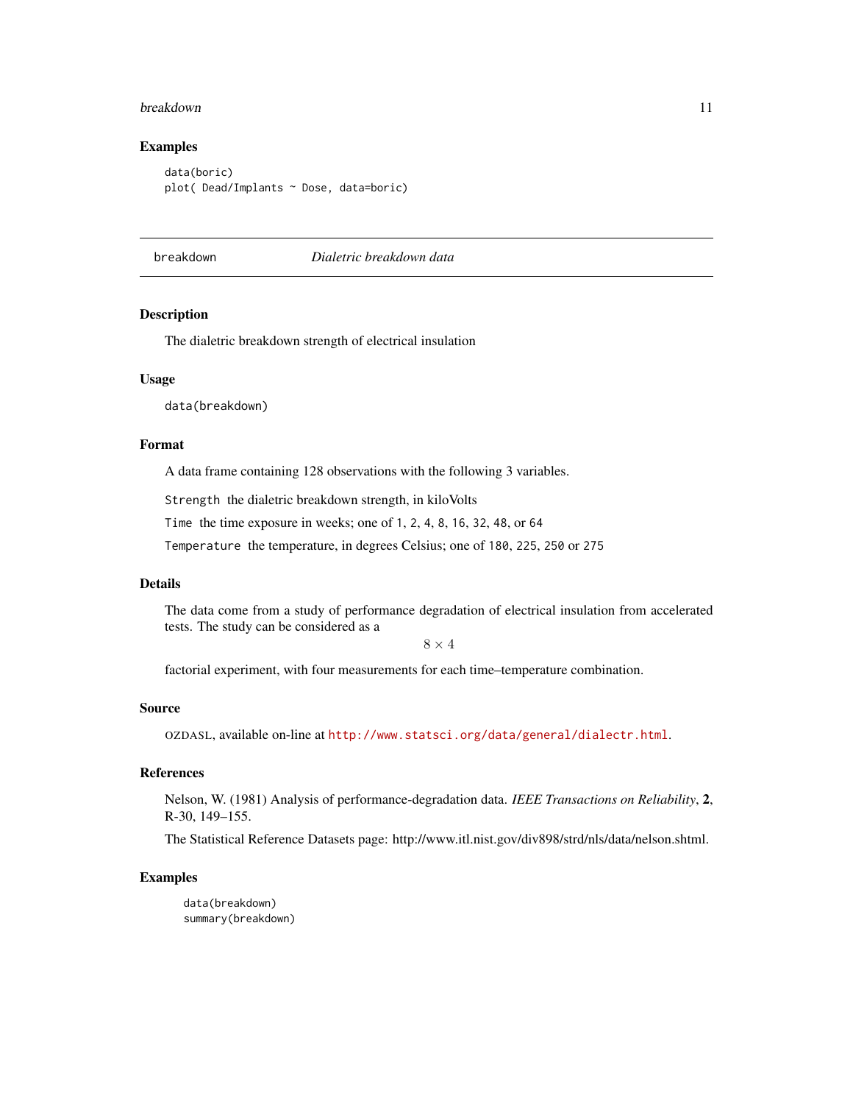#### <span id="page-10-0"></span>breakdown 11

#### Examples

data(boric) plot( Dead/Implants ~ Dose, data=boric)

breakdown *Dialetric breakdown data*

#### Description

The dialetric breakdown strength of electrical insulation

#### Usage

data(breakdown)

#### Format

A data frame containing 128 observations with the following 3 variables.

Strength the dialetric breakdown strength, in kiloVolts

Time the time exposure in weeks; one of 1, 2, 4, 8, 16, 32, 48, or 64

Temperature the temperature, in degrees Celsius; one of 180, 225, 250 or 275

#### Details

The data come from a study of performance degradation of electrical insulation from accelerated tests. The study can be considered as a

 $8 \times 4$ 

factorial experiment, with four measurements for each time–temperature combination.

#### Source

OZDASL, available on-line at <http://www.statsci.org/data/general/dialectr.html>.

#### References

Nelson, W. (1981) Analysis of performance-degradation data. *IEEE Transactions on Reliability*, 2, R-30, 149–155.

The Statistical Reference Datasets page: http://www.itl.nist.gov/div898/strd/nls/data/nelson.shtml.

#### Examples

data(breakdown) summary(breakdown)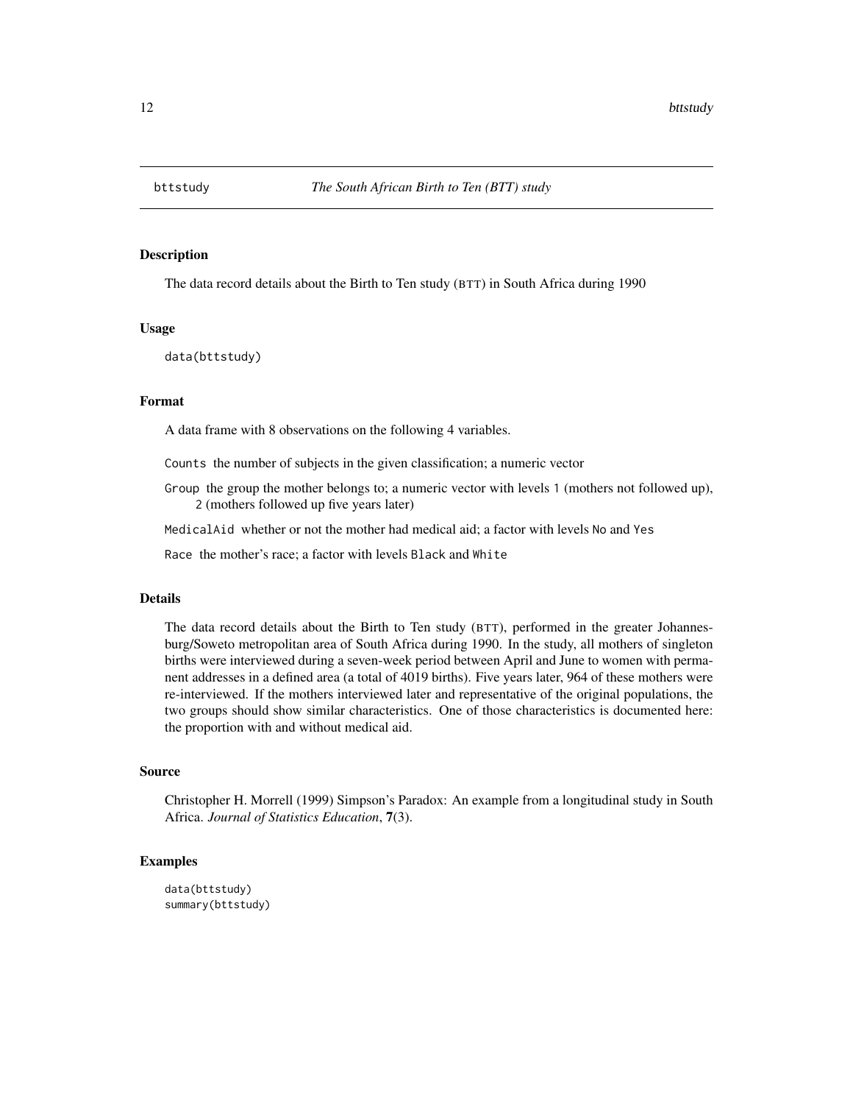<span id="page-11-0"></span>

The data record details about the Birth to Ten study (BTT) in South Africa during 1990

#### Usage

data(bttstudy)

#### Format

A data frame with 8 observations on the following 4 variables.

Counts the number of subjects in the given classification; a numeric vector

Group the group the mother belongs to; a numeric vector with levels 1 (mothers not followed up), 2 (mothers followed up five years later)

MedicalAid whether or not the mother had medical aid; a factor with levels No and Yes

Race the mother's race; a factor with levels Black and White

#### Details

The data record details about the Birth to Ten study (BTT), performed in the greater Johannesburg/Soweto metropolitan area of South Africa during 1990. In the study, all mothers of singleton births were interviewed during a seven-week period between April and June to women with permanent addresses in a defined area (a total of 4019 births). Five years later, 964 of these mothers were re-interviewed. If the mothers interviewed later and representative of the original populations, the two groups should show similar characteristics. One of those characteristics is documented here: the proportion with and without medical aid.

#### Source

Christopher H. Morrell (1999) Simpson's Paradox: An example from a longitudinal study in South Africa. *Journal of Statistics Education*, 7(3).

```
data(bttstudy)
summary(bttstudy)
```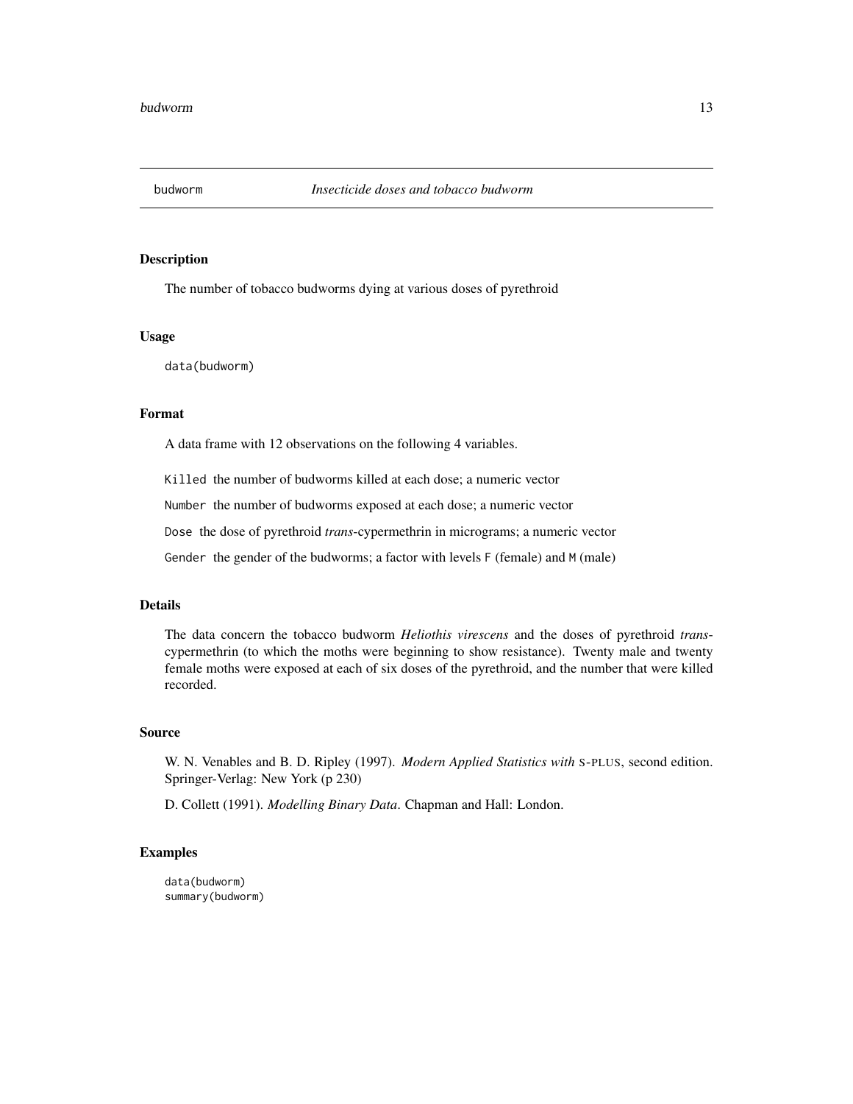<span id="page-12-0"></span>

The number of tobacco budworms dying at various doses of pyrethroid

#### Usage

data(budworm)

#### Format

A data frame with 12 observations on the following 4 variables.

Killed the number of budworms killed at each dose; a numeric vector

Number the number of budworms exposed at each dose; a numeric vector

Dose the dose of pyrethroid *trans*-cypermethrin in micrograms; a numeric vector

Gender the gender of the budworms; a factor with levels F (female) and M (male)

#### Details

The data concern the tobacco budworm *Heliothis virescens* and the doses of pyrethroid *trans*cypermethrin (to which the moths were beginning to show resistance). Twenty male and twenty female moths were exposed at each of six doses of the pyrethroid, and the number that were killed recorded.

#### Source

W. N. Venables and B. D. Ripley (1997). *Modern Applied Statistics with* S-PLUS, second edition. Springer-Verlag: New York (p 230)

D. Collett (1991). *Modelling Binary Data*. Chapman and Hall: London.

#### Examples

data(budworm) summary(budworm)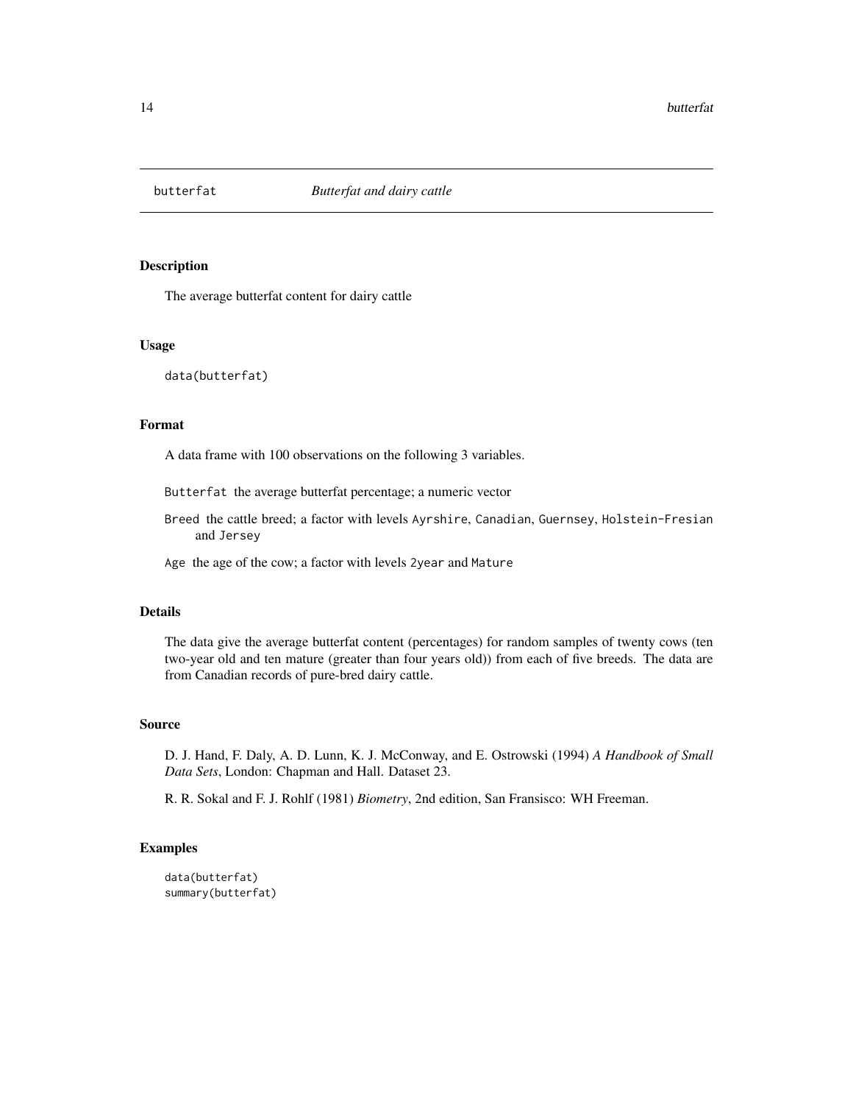<span id="page-13-0"></span>

The average butterfat content for dairy cattle

#### Usage

data(butterfat)

#### Format

A data frame with 100 observations on the following 3 variables.

Butterfat the average butterfat percentage; a numeric vector

Breed the cattle breed; a factor with levels Ayrshire, Canadian, Guernsey, Holstein-Fresian and Jersey

Age the age of the cow; a factor with levels 2year and Mature

#### Details

The data give the average butterfat content (percentages) for random samples of twenty cows (ten two-year old and ten mature (greater than four years old)) from each of five breeds. The data are from Canadian records of pure-bred dairy cattle.

#### Source

D. J. Hand, F. Daly, A. D. Lunn, K. J. McConway, and E. Ostrowski (1994) *A Handbook of Small Data Sets*, London: Chapman and Hall. Dataset 23.

R. R. Sokal and F. J. Rohlf (1981) *Biometry*, 2nd edition, San Fransisco: WH Freeman.

```
data(butterfat)
summary(butterfat)
```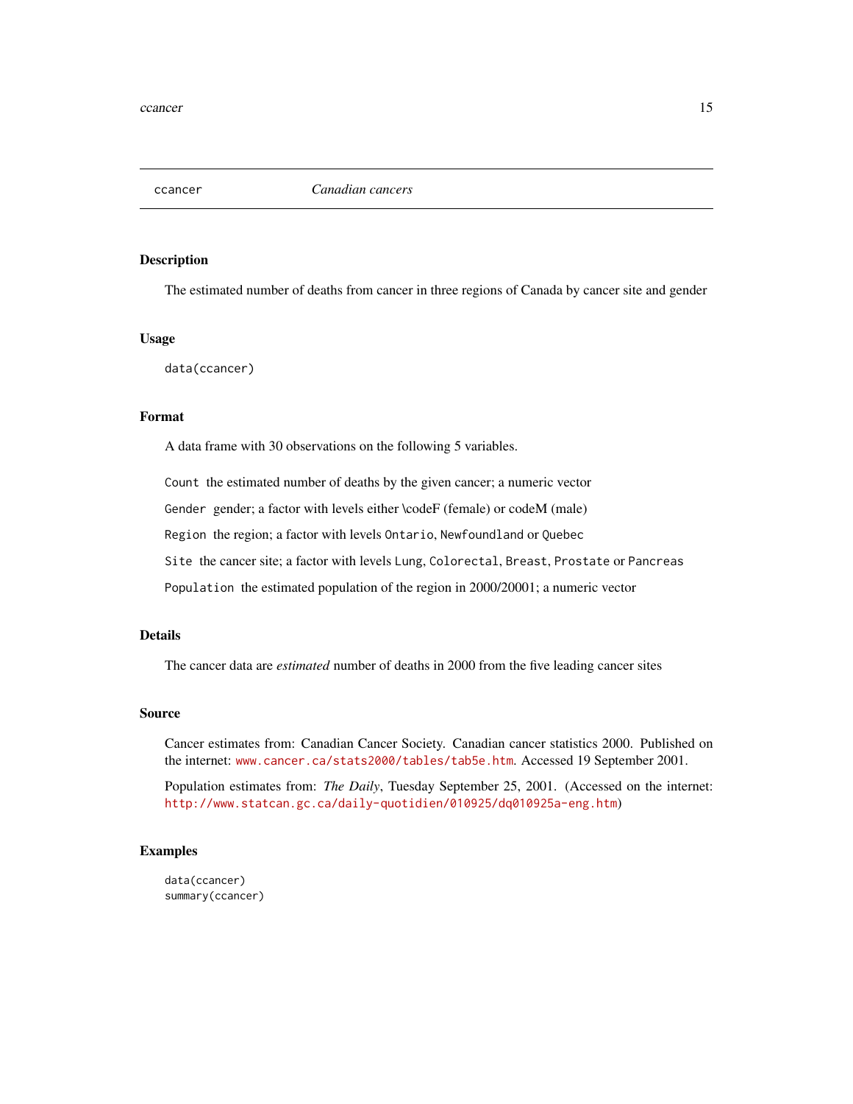<span id="page-14-0"></span>

The estimated number of deaths from cancer in three regions of Canada by cancer site and gender

#### Usage

data(ccancer)

#### Format

A data frame with 30 observations on the following 5 variables.

Count the estimated number of deaths by the given cancer; a numeric vector

Gender gender; a factor with levels either \codeF (female) or codeM (male)

Region the region; a factor with levels Ontario, Newfoundland or Quebec

Site the cancer site; a factor with levels Lung, Colorectal, Breast, Prostate or Pancreas

Population the estimated population of the region in 2000/20001; a numeric vector

#### Details

The cancer data are *estimated* number of deaths in 2000 from the five leading cancer sites

#### Source

Cancer estimates from: Canadian Cancer Society. Canadian cancer statistics 2000. Published on the internet: <www.cancer.ca/stats2000/tables/tab5e.htm>. Accessed 19 September 2001.

Population estimates from: *The Daily*, Tuesday September 25, 2001. (Accessed on the internet: <http://www.statcan.gc.ca/daily-quotidien/010925/dq010925a-eng.htm>)

#### Examples

data(ccancer) summary(ccancer)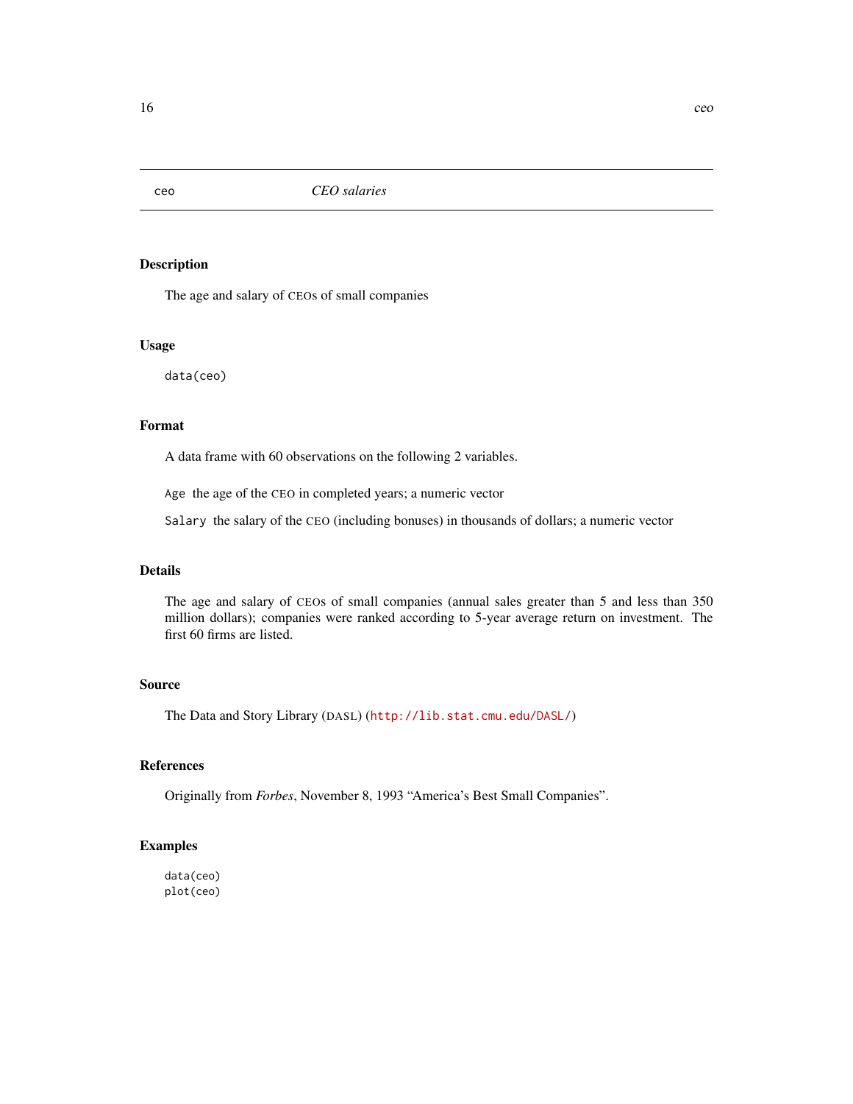<span id="page-15-0"></span>

The age and salary of CEOs of small companies

#### Usage

data(ceo)

#### Format

A data frame with 60 observations on the following 2 variables.

Age the age of the CEO in completed years; a numeric vector

Salary the salary of the CEO (including bonuses) in thousands of dollars; a numeric vector

#### Details

The age and salary of CEOs of small companies (annual sales greater than 5 and less than 350 million dollars); companies were ranked according to 5-year average return on investment. The first 60 firms are listed.

#### Source

The Data and Story Library (DASL) (<http://lib.stat.cmu.edu/DASL/>)

#### References

Originally from *Forbes*, November 8, 1993 "America's Best Small Companies".

#### Examples

data(ceo) plot(ceo)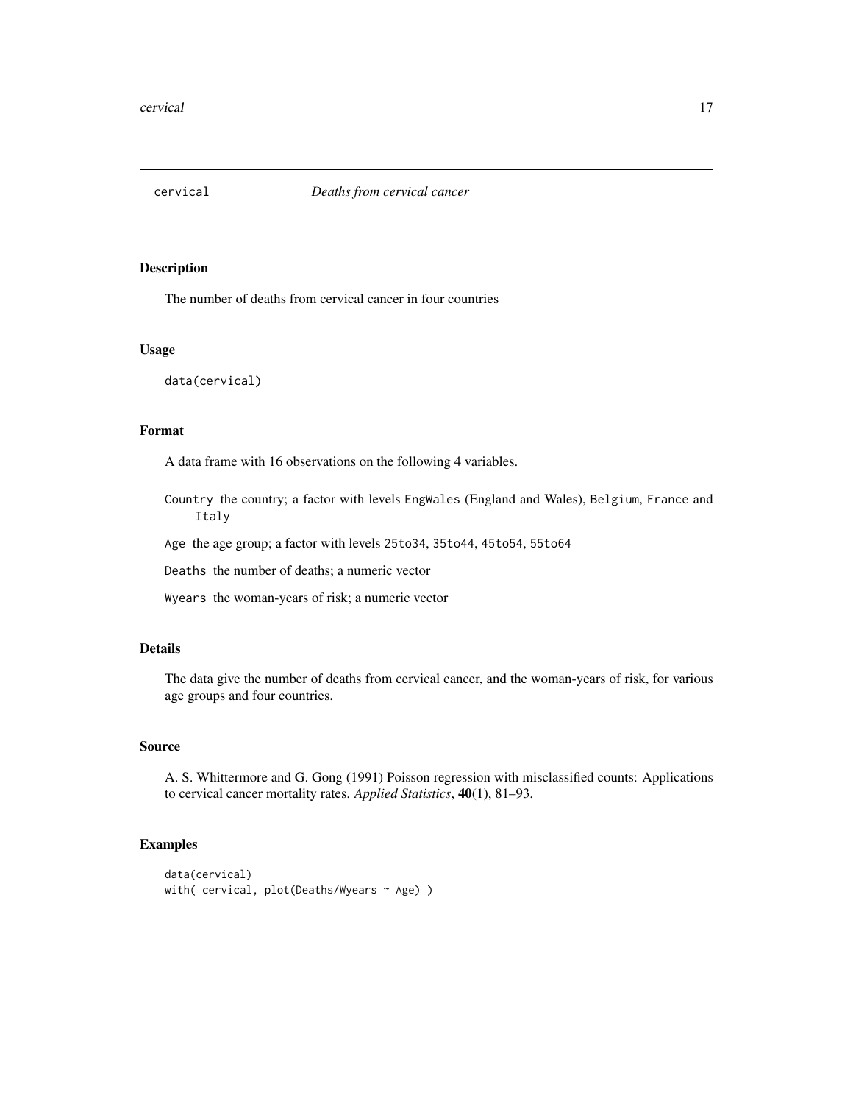<span id="page-16-0"></span>

The number of deaths from cervical cancer in four countries

#### Usage

data(cervical)

#### Format

A data frame with 16 observations on the following 4 variables.

Country the country; a factor with levels EngWales (England and Wales), Belgium, France and Italy

Age the age group; a factor with levels 25to34, 35to44, 45to54, 55to64

Deaths the number of deaths; a numeric vector

Wyears the woman-years of risk; a numeric vector

#### Details

The data give the number of deaths from cervical cancer, and the woman-years of risk, for various age groups and four countries.

#### Source

A. S. Whittermore and G. Gong (1991) Poisson regression with misclassified counts: Applications to cervical cancer mortality rates. *Applied Statistics*, 40(1), 81–93.

```
data(cervical)
with( cervical, plot(Deaths/Wyears ~ Age) )
```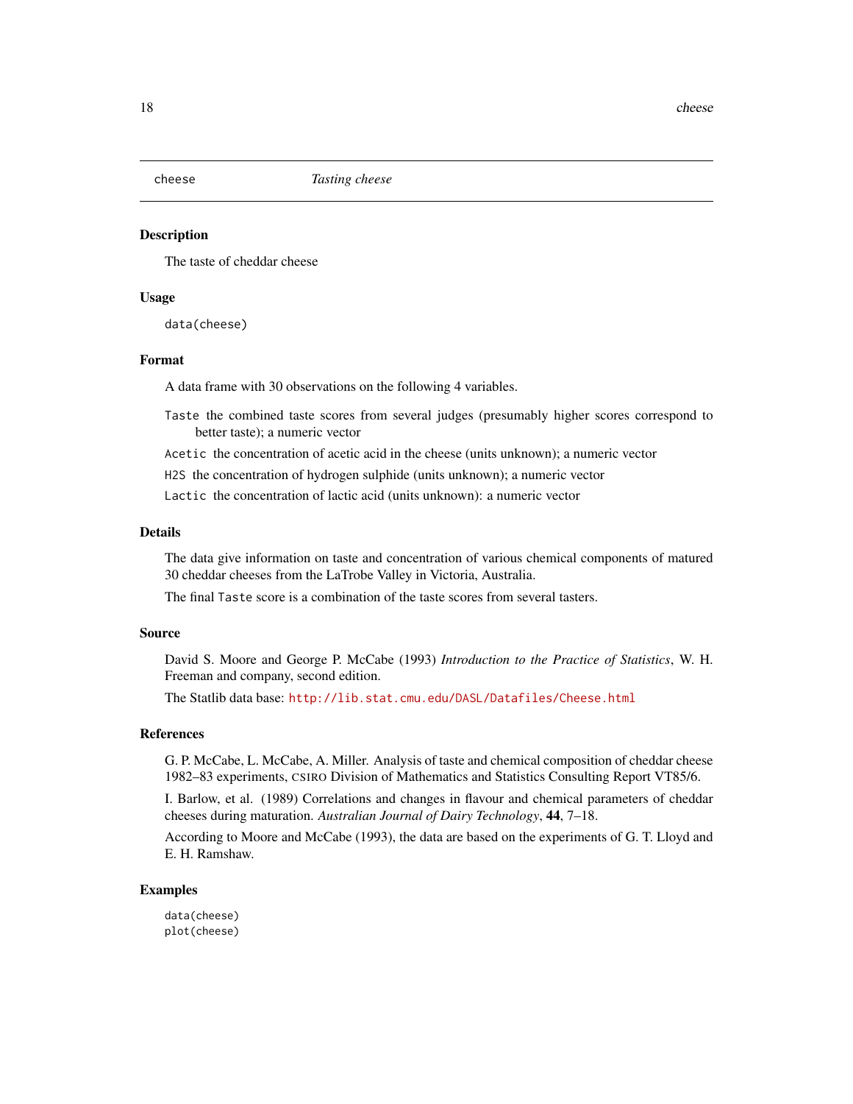<span id="page-17-0"></span>

The taste of cheddar cheese

#### Usage

data(cheese)

#### Format

A data frame with 30 observations on the following 4 variables.

- Taste the combined taste scores from several judges (presumably higher scores correspond to better taste); a numeric vector
- Acetic the concentration of acetic acid in the cheese (units unknown); a numeric vector

H2S the concentration of hydrogen sulphide (units unknown); a numeric vector

Lactic the concentration of lactic acid (units unknown): a numeric vector

#### Details

The data give information on taste and concentration of various chemical components of matured 30 cheddar cheeses from the LaTrobe Valley in Victoria, Australia.

The final Taste score is a combination of the taste scores from several tasters.

#### Source

David S. Moore and George P. McCabe (1993) *Introduction to the Practice of Statistics*, W. H. Freeman and company, second edition.

The Statlib data base: <http://lib.stat.cmu.edu/DASL/Datafiles/Cheese.html>

#### References

G. P. McCabe, L. McCabe, A. Miller. Analysis of taste and chemical composition of cheddar cheese 1982–83 experiments, CSIRO Division of Mathematics and Statistics Consulting Report VT85/6.

I. Barlow, et al. (1989) Correlations and changes in flavour and chemical parameters of cheddar cheeses during maturation. *Australian Journal of Dairy Technology*, 44, 7–18.

According to Moore and McCabe (1993), the data are based on the experiments of G. T. Lloyd and E. H. Ramshaw.

#### Examples

data(cheese) plot(cheese)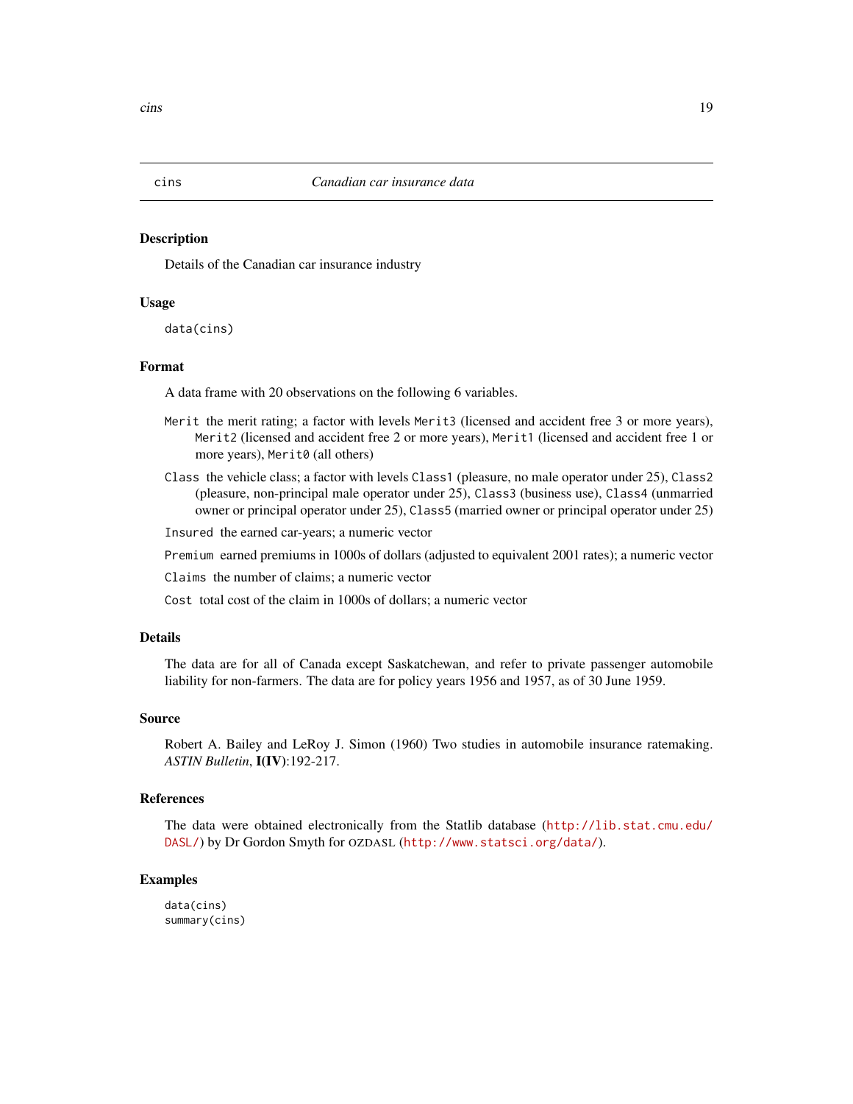Details of the Canadian car insurance industry

#### Usage

data(cins)

#### Format

A data frame with 20 observations on the following 6 variables.

- Merit the merit rating; a factor with levels Merit3 (licensed and accident free 3 or more years), Merit2 (licensed and accident free 2 or more years), Merit1 (licensed and accident free 1 or more years), Merit0 (all others)
- Class the vehicle class; a factor with levels Class1 (pleasure, no male operator under 25), Class2 (pleasure, non-principal male operator under 25), Class3 (business use), Class4 (unmarried owner or principal operator under 25), Class5 (married owner or principal operator under 25)

Insured the earned car-years; a numeric vector

Premium earned premiums in 1000s of dollars (adjusted to equivalent 2001 rates); a numeric vector

Claims the number of claims; a numeric vector

Cost total cost of the claim in 1000s of dollars; a numeric vector

#### Details

The data are for all of Canada except Saskatchewan, and refer to private passenger automobile liability for non-farmers. The data are for policy years 1956 and 1957, as of 30 June 1959.

#### Source

Robert A. Bailey and LeRoy J. Simon (1960) Two studies in automobile insurance ratemaking. *ASTIN Bulletin*, I(IV):192-217.

#### References

The data were obtained electronically from the Statlib database ([http://lib.stat.cmu.edu/](http://lib.stat.cmu.edu/DASL/) [DASL/](http://lib.stat.cmu.edu/DASL/)) by Dr Gordon Smyth for OZDASL (<http://www.statsci.org/data/>).

#### Examples

data(cins) summary(cins)

#### <span id="page-18-0"></span>cins *Canadian car insurance data*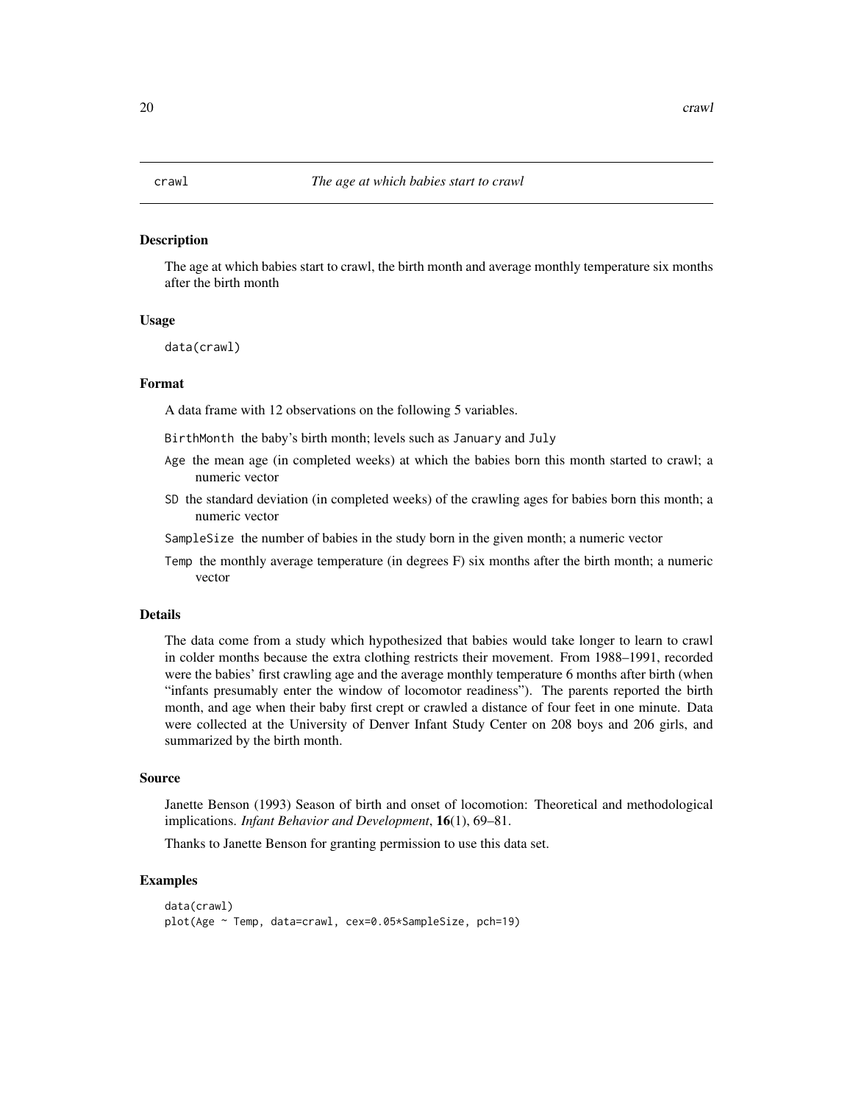<span id="page-19-0"></span>The age at which babies start to crawl, the birth month and average monthly temperature six months after the birth month

#### Usage

data(crawl)

#### Format

A data frame with 12 observations on the following 5 variables.

BirthMonth the baby's birth month; levels such as January and July

- Age the mean age (in completed weeks) at which the babies born this month started to crawl; a numeric vector
- SD the standard deviation (in completed weeks) of the crawling ages for babies born this month; a numeric vector
- SampleSize the number of babies in the study born in the given month; a numeric vector
- Temp the monthly average temperature (in degrees F) six months after the birth month; a numeric vector

#### Details

The data come from a study which hypothesized that babies would take longer to learn to crawl in colder months because the extra clothing restricts their movement. From 1988–1991, recorded were the babies' first crawling age and the average monthly temperature 6 months after birth (when "infants presumably enter the window of locomotor readiness"). The parents reported the birth month, and age when their baby first crept or crawled a distance of four feet in one minute. Data were collected at the University of Denver Infant Study Center on 208 boys and 206 girls, and summarized by the birth month.

#### Source

Janette Benson (1993) Season of birth and onset of locomotion: Theoretical and methodological implications. *Infant Behavior and Development*, 16(1), 69–81.

Thanks to Janette Benson for granting permission to use this data set.

```
data(crawl)
plot(Age ~ Temp, data=crawl, cex=0.05*SampleSize, pch=19)
```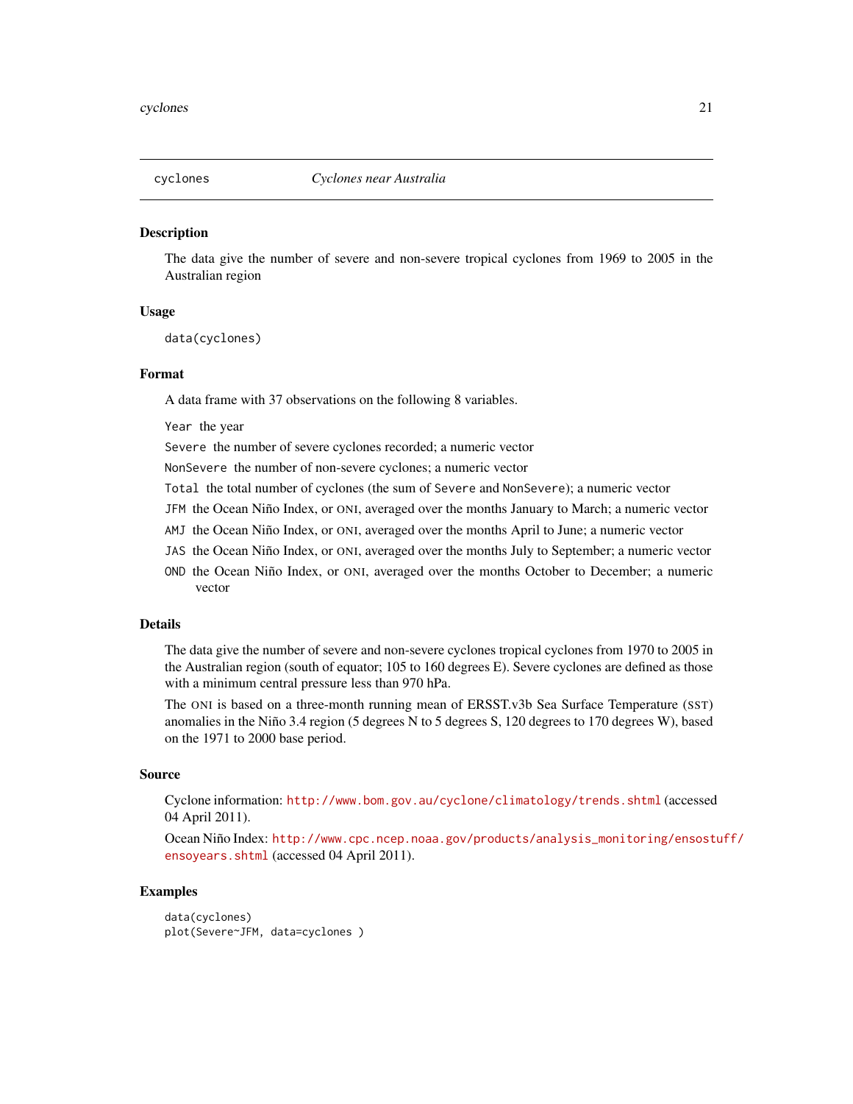<span id="page-20-0"></span>

The data give the number of severe and non-severe tropical cyclones from 1969 to 2005 in the Australian region

#### Usage

data(cyclones)

#### Format

A data frame with 37 observations on the following 8 variables.

Year the year

Severe the number of severe cyclones recorded; a numeric vector

NonSevere the number of non-severe cyclones; a numeric vector

- Total the total number of cyclones (the sum of Severe and NonSevere); a numeric vector
- JFM the Ocean Niño Index, or ONI, averaged over the months January to March; a numeric vector
- AMJ the Ocean Niño Index, or ONI, averaged over the months April to June; a numeric vector
- JAS the Ocean Niño Index, or ONI, averaged over the months July to September; a numeric vector
- OND the Ocean Niño Index, or ONI, averaged over the months October to December; a numeric vector

#### Details

The data give the number of severe and non-severe cyclones tropical cyclones from 1970 to 2005 in the Australian region (south of equator; 105 to 160 degrees E). Severe cyclones are defined as those with a minimum central pressure less than 970 hPa.

The ONI is based on a three-month running mean of ERSST.v3b Sea Surface Temperature (SST) anomalies in the Niño 3.4 region (5 degrees N to 5 degrees S, 120 degrees to 170 degrees W), based on the 1971 to 2000 base period.

#### Source

Cyclone information: <http://www.bom.gov.au/cyclone/climatology/trends.shtml> (accessed 04 April 2011).

Ocean Niño Index: [http://www.cpc.ncep.noaa.gov/products/analysis\\_monitoring/ensost](http://www.cpc.ncep.noaa.gov/products/analysis_monitoring/ensostuff/ensoyears.shtml)uff/ [ensoyears.shtml](http://www.cpc.ncep.noaa.gov/products/analysis_monitoring/ensostuff/ensoyears.shtml) (accessed 04 April 2011).

#### Examples

data(cyclones) plot(Severe~JFM, data=cyclones )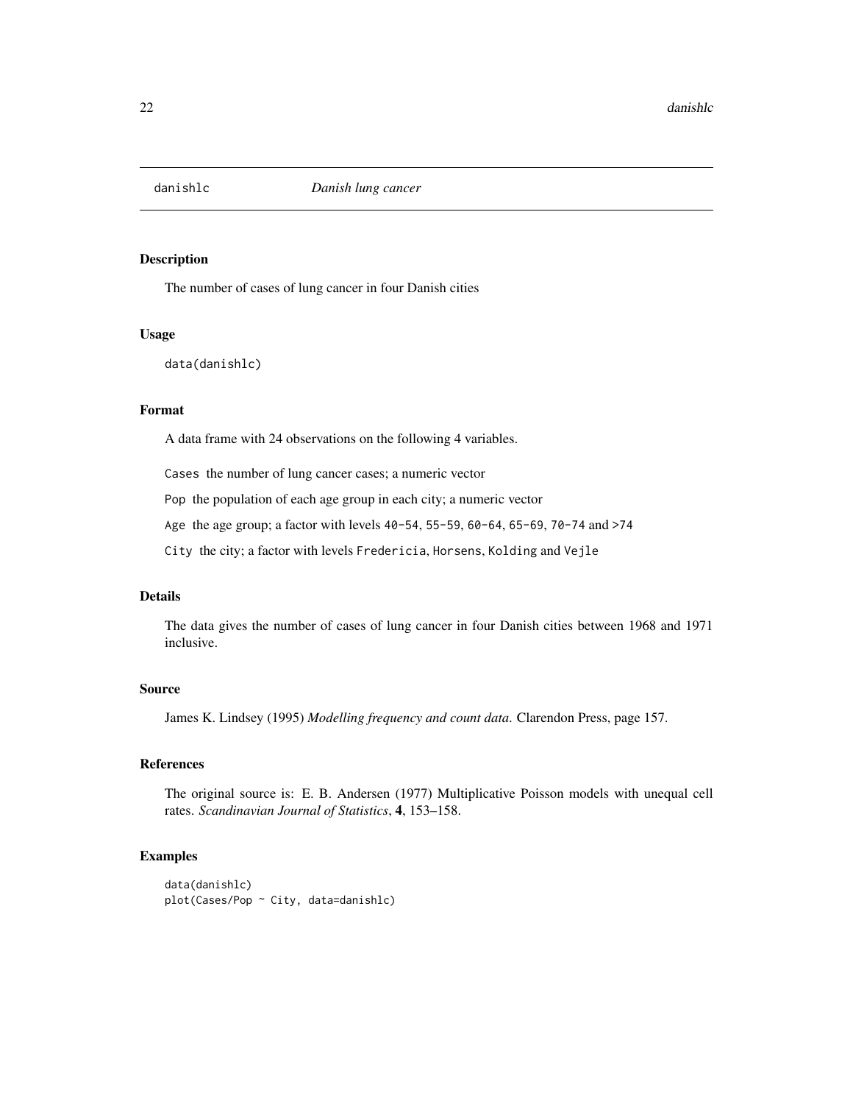<span id="page-21-0"></span>

The number of cases of lung cancer in four Danish cities

#### Usage

data(danishlc)

#### Format

A data frame with 24 observations on the following 4 variables.

Cases the number of lung cancer cases; a numeric vector

Pop the population of each age group in each city; a numeric vector

Age the age group; a factor with levels 40-54, 55-59, 60-64, 65-69, 70-74 and >74

City the city; a factor with levels Fredericia, Horsens, Kolding and Vejle

#### Details

The data gives the number of cases of lung cancer in four Danish cities between 1968 and 1971 inclusive.

#### Source

James K. Lindsey (1995) *Modelling frequency and count data*. Clarendon Press, page 157.

#### References

The original source is: E. B. Andersen (1977) Multiplicative Poisson models with unequal cell rates. *Scandinavian Journal of Statistics*, 4, 153–158.

#### Examples

data(danishlc) plot(Cases/Pop ~ City, data=danishlc)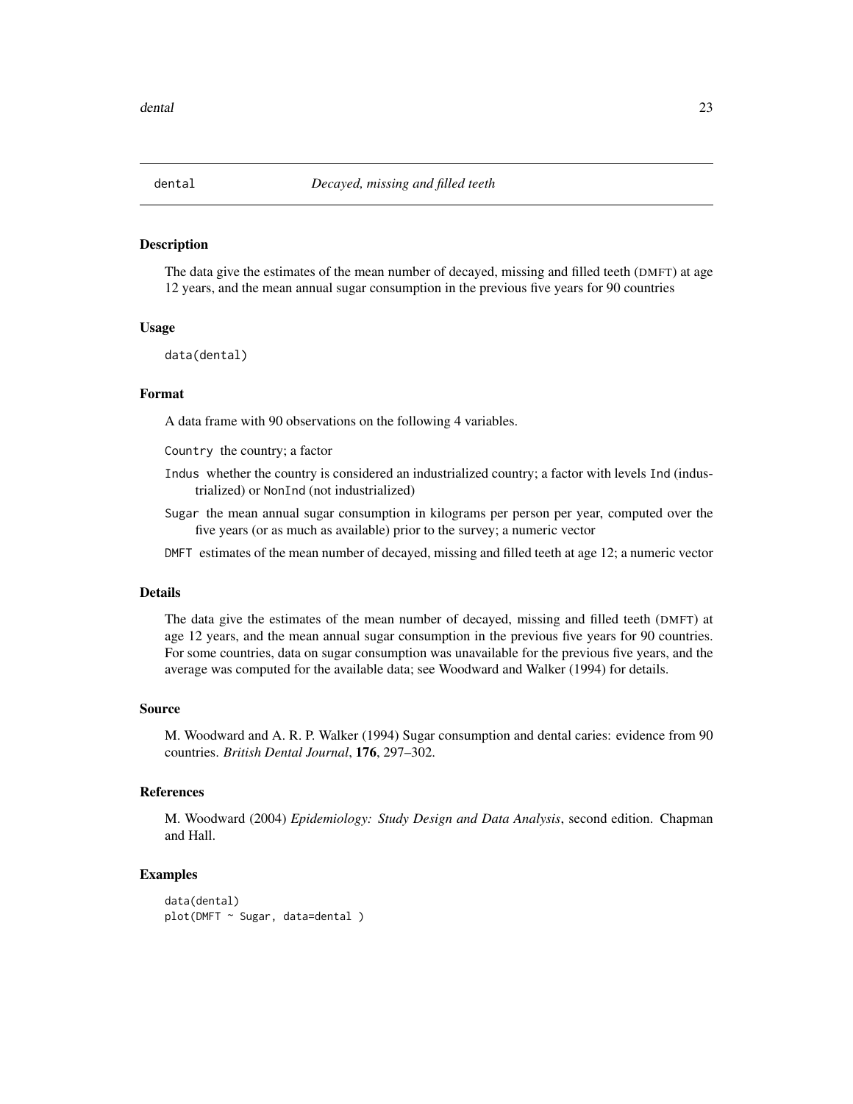<span id="page-22-0"></span>

The data give the estimates of the mean number of decayed, missing and filled teeth (DMFT) at age 12 years, and the mean annual sugar consumption in the previous five years for 90 countries

#### Usage

data(dental)

#### Format

A data frame with 90 observations on the following 4 variables.

Country the country; a factor

- Indus whether the country is considered an industrialized country; a factor with levels Ind (industrialized) or NonInd (not industrialized)
- Sugar the mean annual sugar consumption in kilograms per person per year, computed over the five years (or as much as available) prior to the survey; a numeric vector
- DMFT estimates of the mean number of decayed, missing and filled teeth at age 12; a numeric vector

#### Details

The data give the estimates of the mean number of decayed, missing and filled teeth (DMFT) at age 12 years, and the mean annual sugar consumption in the previous five years for 90 countries. For some countries, data on sugar consumption was unavailable for the previous five years, and the average was computed for the available data; see Woodward and Walker (1994) for details.

#### Source

M. Woodward and A. R. P. Walker (1994) Sugar consumption and dental caries: evidence from 90 countries. *British Dental Journal*, 176, 297–302.

#### References

M. Woodward (2004) *Epidemiology: Study Design and Data Analysis*, second edition. Chapman and Hall.

```
data(dental)
plot(DMFT ~ Sugar, data=dental )
```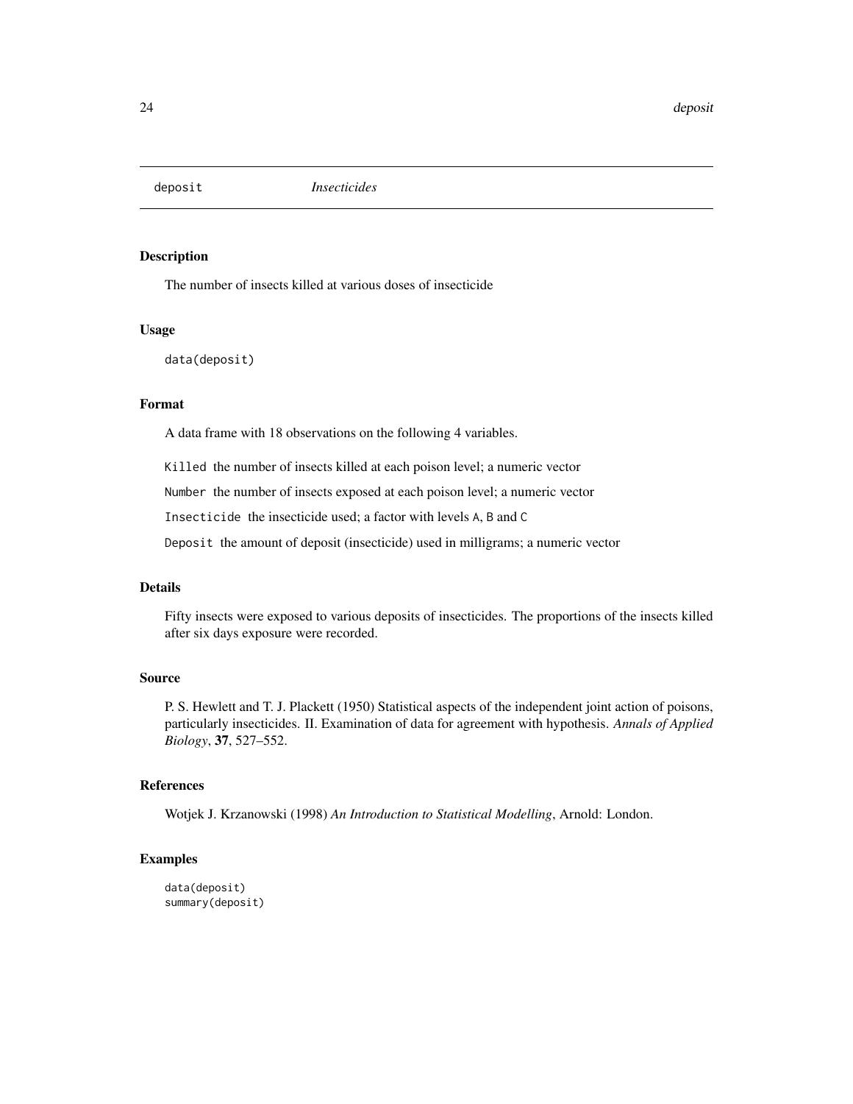<span id="page-23-0"></span>

The number of insects killed at various doses of insecticide

#### Usage

data(deposit)

#### Format

A data frame with 18 observations on the following 4 variables.

Killed the number of insects killed at each poison level; a numeric vector

Number the number of insects exposed at each poison level; a numeric vector

Insecticide the insecticide used; a factor with levels A, B and C

Deposit the amount of deposit (insecticide) used in milligrams; a numeric vector

#### Details

Fifty insects were exposed to various deposits of insecticides. The proportions of the insects killed after six days exposure were recorded.

#### Source

P. S. Hewlett and T. J. Plackett (1950) Statistical aspects of the independent joint action of poisons, particularly insecticides. II. Examination of data for agreement with hypothesis. *Annals of Applied Biology*, 37, 527–552.

#### References

Wotjek J. Krzanowski (1998) *An Introduction to Statistical Modelling*, Arnold: London.

```
data(deposit)
summary(deposit)
```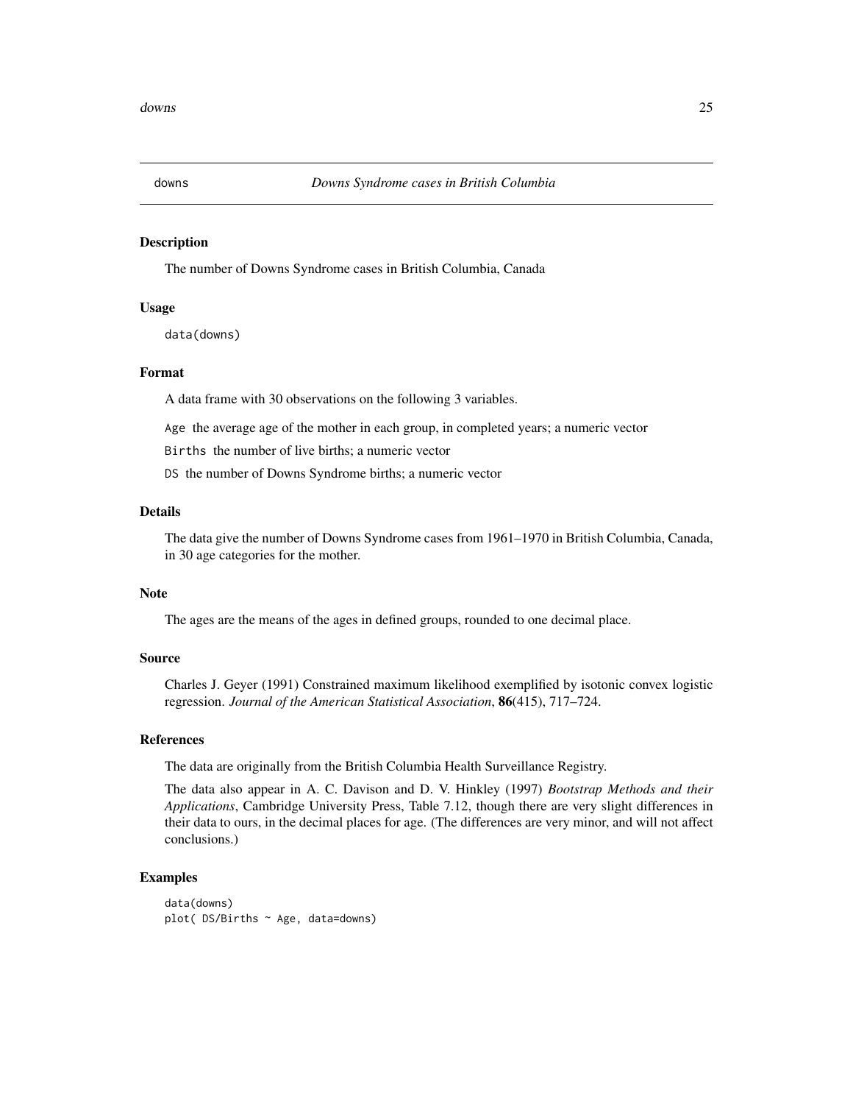<span id="page-24-0"></span>

The number of Downs Syndrome cases in British Columbia, Canada

#### Usage

data(downs)

#### Format

A data frame with 30 observations on the following 3 variables.

Age the average age of the mother in each group, in completed years; a numeric vector

Births the number of live births; a numeric vector

DS the number of Downs Syndrome births; a numeric vector

#### Details

The data give the number of Downs Syndrome cases from 1961–1970 in British Columbia, Canada, in 30 age categories for the mother.

#### Note

The ages are the means of the ages in defined groups, rounded to one decimal place.

#### Source

Charles J. Geyer (1991) Constrained maximum likelihood exemplified by isotonic convex logistic regression. *Journal of the American Statistical Association*, 86(415), 717–724.

#### References

The data are originally from the British Columbia Health Surveillance Registry.

The data also appear in A. C. Davison and D. V. Hinkley (1997) *Bootstrap Methods and their Applications*, Cambridge University Press, Table 7.12, though there are very slight differences in their data to ours, in the decimal places for age. (The differences are very minor, and will not affect conclusions.)

#### Examples

data(downs) plot( DS/Births ~ Age, data=downs)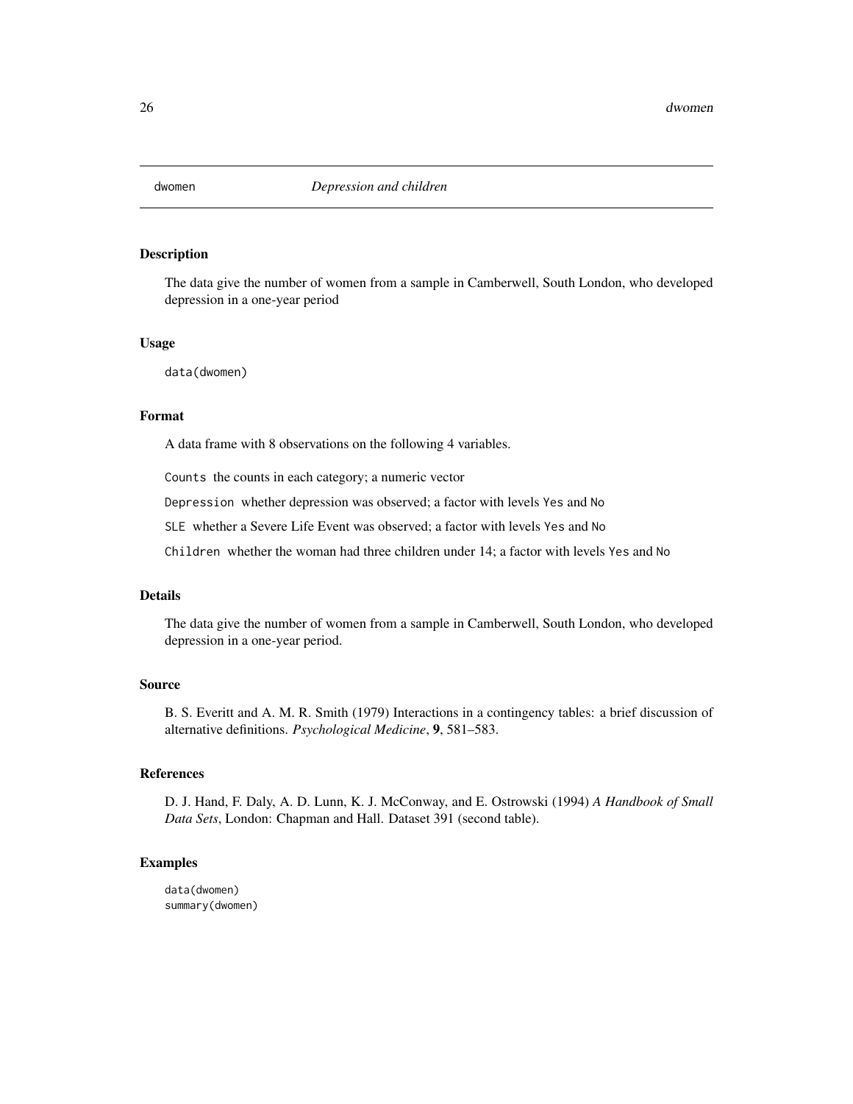<span id="page-25-0"></span>

The data give the number of women from a sample in Camberwell, South London, who developed depression in a one-year period

#### Usage

data(dwomen)

#### Format

A data frame with 8 observations on the following 4 variables.

Counts the counts in each category; a numeric vector

Depression whether depression was observed; a factor with levels Yes and No

SLE whether a Severe Life Event was observed; a factor with levels Yes and No

Children whether the woman had three children under 14; a factor with levels Yes and No

#### Details

The data give the number of women from a sample in Camberwell, South London, who developed depression in a one-year period.

#### Source

B. S. Everitt and A. M. R. Smith (1979) Interactions in a contingency tables: a brief discussion of alternative definitions. *Psychological Medicine*, 9, 581–583.

#### References

D. J. Hand, F. Daly, A. D. Lunn, K. J. McConway, and E. Ostrowski (1994) *A Handbook of Small Data Sets*, London: Chapman and Hall. Dataset 391 (second table).

#### Examples

data(dwomen) summary(dwomen)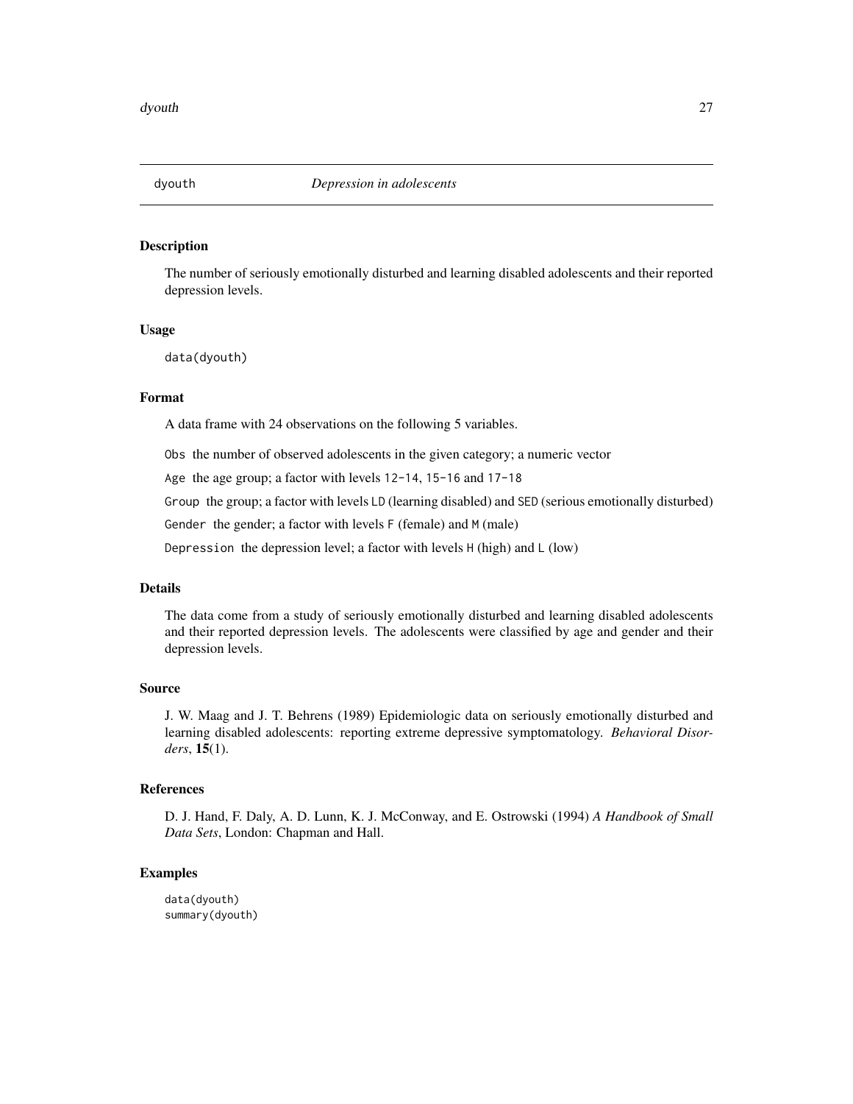<span id="page-26-0"></span>The number of seriously emotionally disturbed and learning disabled adolescents and their reported depression levels.

#### Usage

data(dyouth)

#### Format

A data frame with 24 observations on the following 5 variables.

Obs the number of observed adolescents in the given category; a numeric vector

Age the age group; a factor with levels 12-14, 15-16 and 17-18

Group the group; a factor with levels LD (learning disabled) and SED (serious emotionally disturbed)

Gender the gender; a factor with levels F (female) and M (male)

Depression the depression level; a factor with levels H (high) and L (low)

#### Details

The data come from a study of seriously emotionally disturbed and learning disabled adolescents and their reported depression levels. The adolescents were classified by age and gender and their depression levels.

#### Source

J. W. Maag and J. T. Behrens (1989) Epidemiologic data on seriously emotionally disturbed and learning disabled adolescents: reporting extreme depressive symptomatology. *Behavioral Disorders*, 15(1).

#### References

D. J. Hand, F. Daly, A. D. Lunn, K. J. McConway, and E. Ostrowski (1994) *A Handbook of Small Data Sets*, London: Chapman and Hall.

#### Examples

data(dyouth) summary(dyouth)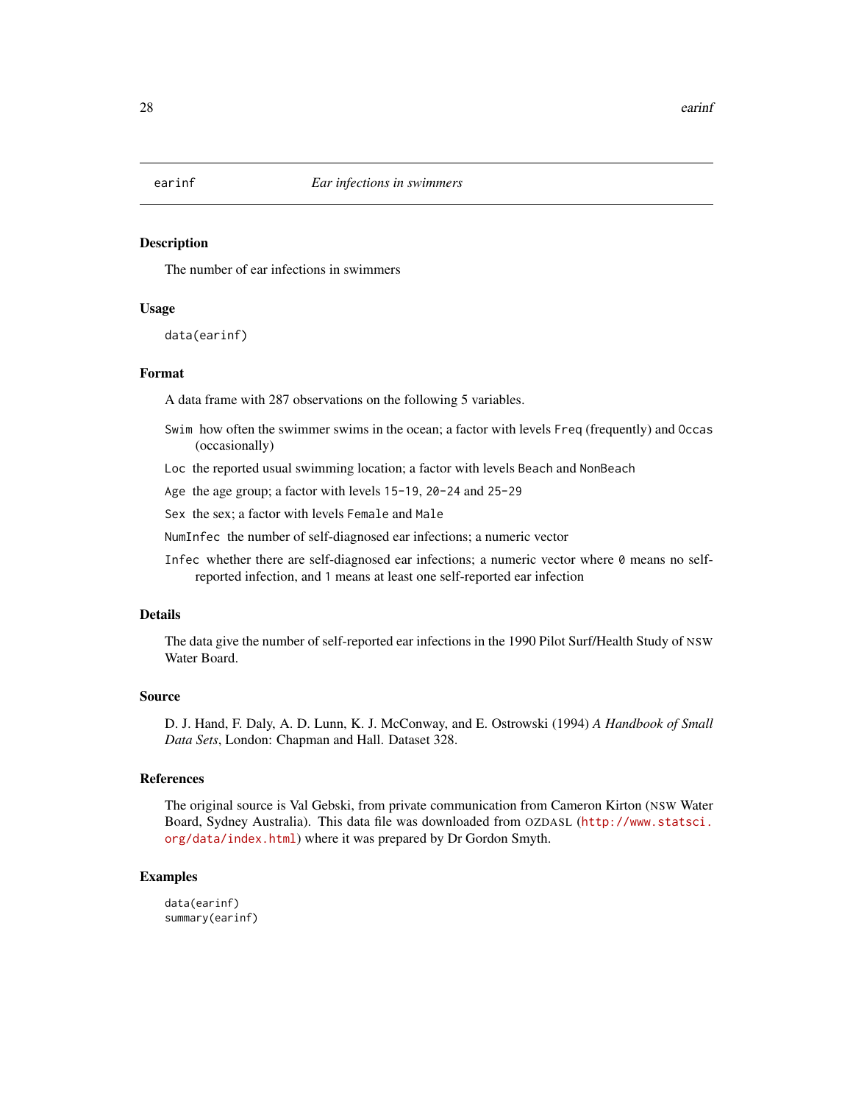<span id="page-27-0"></span>

The number of ear infections in swimmers

#### Usage

data(earinf)

#### Format

A data frame with 287 observations on the following 5 variables.

- Swim how often the swimmer swims in the ocean; a factor with levels Freq (frequently) and Occas (occasionally)
- Loc the reported usual swimming location; a factor with levels Beach and NonBeach

Age the age group; a factor with levels 15-19, 20-24 and 25-29

Sex the sex; a factor with levels Female and Male

NumInfec the number of self-diagnosed ear infections; a numeric vector

Infec whether there are self-diagnosed ear infections; a numeric vector where 0 means no selfreported infection, and 1 means at least one self-reported ear infection

#### Details

The data give the number of self-reported ear infections in the 1990 Pilot Surf/Health Study of NSW Water Board.

#### Source

D. J. Hand, F. Daly, A. D. Lunn, K. J. McConway, and E. Ostrowski (1994) *A Handbook of Small Data Sets*, London: Chapman and Hall. Dataset 328.

#### References

The original source is Val Gebski, from private communication from Cameron Kirton (NSW Water Board, Sydney Australia). This data file was downloaded from OZDASL ([http://www.statsci.](http://www.statsci.org/data/index.html) [org/data/index.html](http://www.statsci.org/data/index.html)) where it was prepared by Dr Gordon Smyth.

#### Examples

data(earinf) summary(earinf)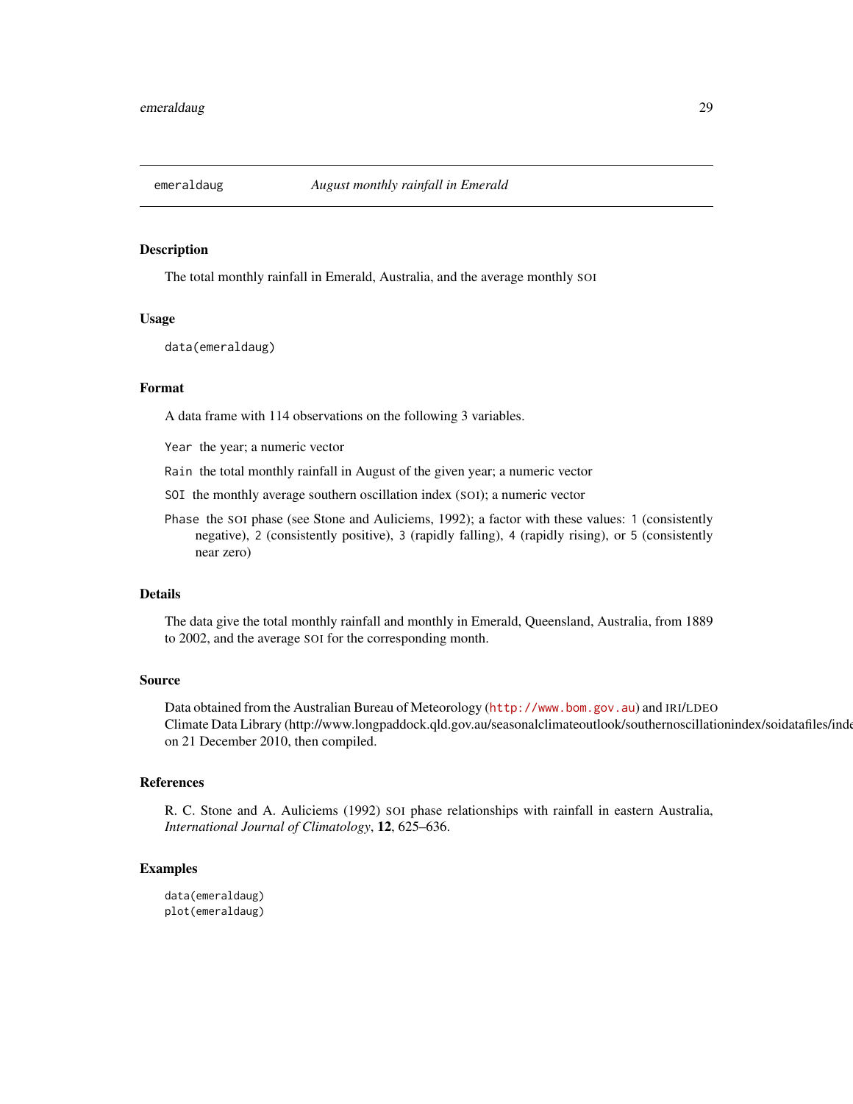<span id="page-28-0"></span>

The total monthly rainfall in Emerald, Australia, and the average monthly SOI

#### Usage

data(emeraldaug)

#### Format

A data frame with 114 observations on the following 3 variables.

Year the year; a numeric vector

Rain the total monthly rainfall in August of the given year; a numeric vector

SOI the monthly average southern oscillation index (SOI); a numeric vector

Phase the SOI phase (see Stone and Auliciems, 1992); a factor with these values: 1 (consistently negative), 2 (consistently positive), 3 (rapidly falling), 4 (rapidly rising), or 5 (consistently near zero)

#### Details

The data give the total monthly rainfall and monthly in Emerald, Queensland, Australia, from 1889 to 2002, and the average SOI for the corresponding month.

#### Source

Data obtained from the Australian Bureau of Meteorology (<http://www.bom.gov.au>) and IRI/LDEO Climate Data Library (http://www.longpaddock.qld.gov.au/seasonalclimateoutlook/southernoscillationindex/soidatafiles/index.php on 21 December 2010, then compiled.

#### References

R. C. Stone and A. Auliciems (1992) SOI phase relationships with rainfall in eastern Australia, *International Journal of Climatology*, 12, 625–636.

#### Examples

data(emeraldaug) plot(emeraldaug)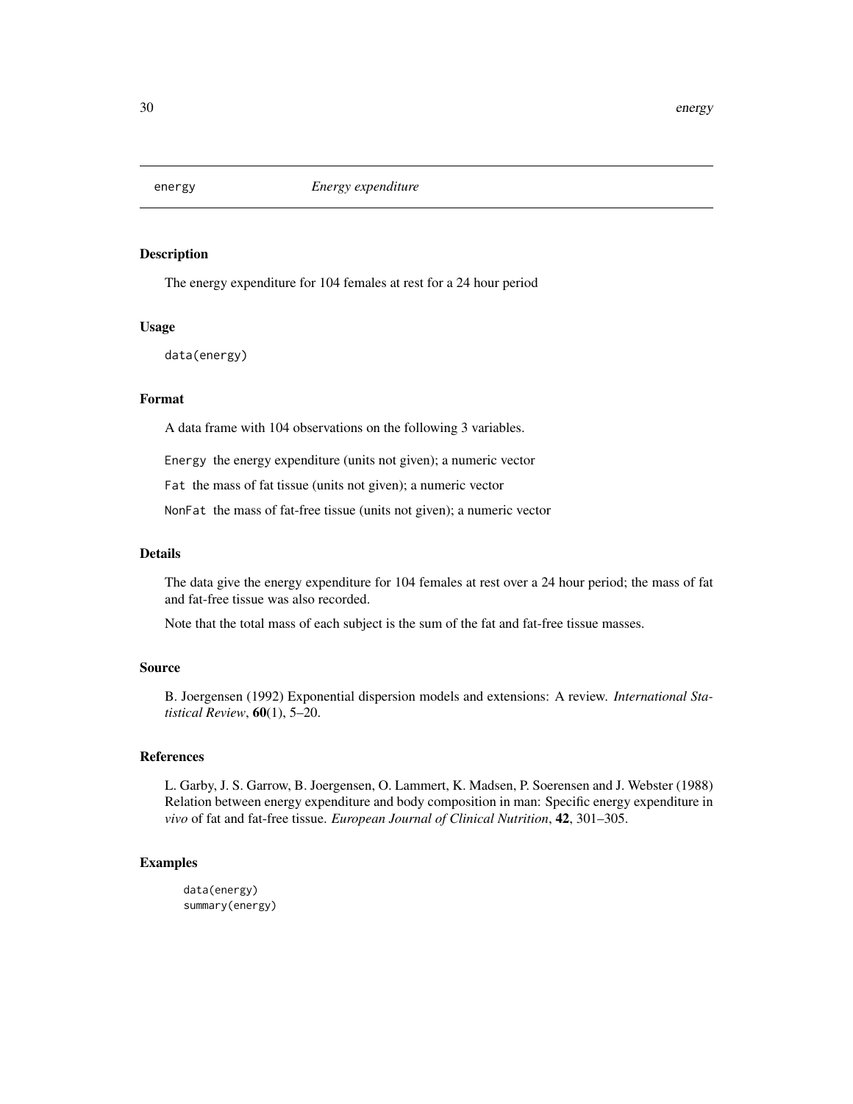<span id="page-29-0"></span>

The energy expenditure for 104 females at rest for a 24 hour period

#### Usage

data(energy)

#### Format

A data frame with 104 observations on the following 3 variables.

Energy the energy expenditure (units not given); a numeric vector

Fat the mass of fat tissue (units not given); a numeric vector

NonFat the mass of fat-free tissue (units not given); a numeric vector

#### Details

The data give the energy expenditure for 104 females at rest over a 24 hour period; the mass of fat and fat-free tissue was also recorded.

Note that the total mass of each subject is the sum of the fat and fat-free tissue masses.

#### Source

B. Joergensen (1992) Exponential dispersion models and extensions: A review. *International Statistical Review*, 60(1), 5–20.

#### References

L. Garby, J. S. Garrow, B. Joergensen, O. Lammert, K. Madsen, P. Soerensen and J. Webster (1988) Relation between energy expenditure and body composition in man: Specific energy expenditure in *vivo* of fat and fat-free tissue. *European Journal of Clinical Nutrition*, 42, 301–305.

#### Examples

data(energy) summary(energy)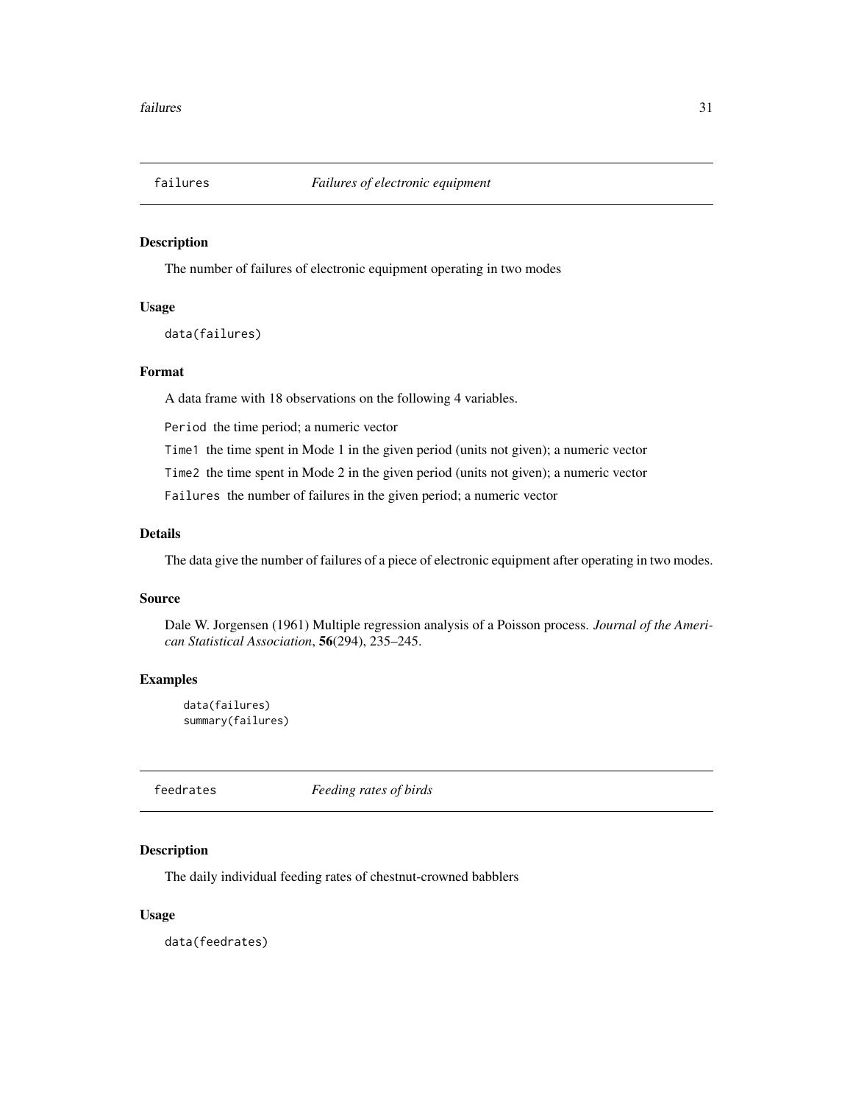<span id="page-30-0"></span>

The number of failures of electronic equipment operating in two modes

#### Usage

data(failures)

#### Format

A data frame with 18 observations on the following 4 variables.

Period the time period; a numeric vector

Time1 the time spent in Mode 1 in the given period (units not given); a numeric vector

Time2 the time spent in Mode 2 in the given period (units not given); a numeric vector

Failures the number of failures in the given period; a numeric vector

#### Details

The data give the number of failures of a piece of electronic equipment after operating in two modes.

#### Source

Dale W. Jorgensen (1961) Multiple regression analysis of a Poisson process. *Journal of the American Statistical Association*, 56(294), 235–245.

#### Examples

data(failures) summary(failures)

feedrates *Feeding rates of birds*

#### Description

The daily individual feeding rates of chestnut-crowned babblers

#### Usage

data(feedrates)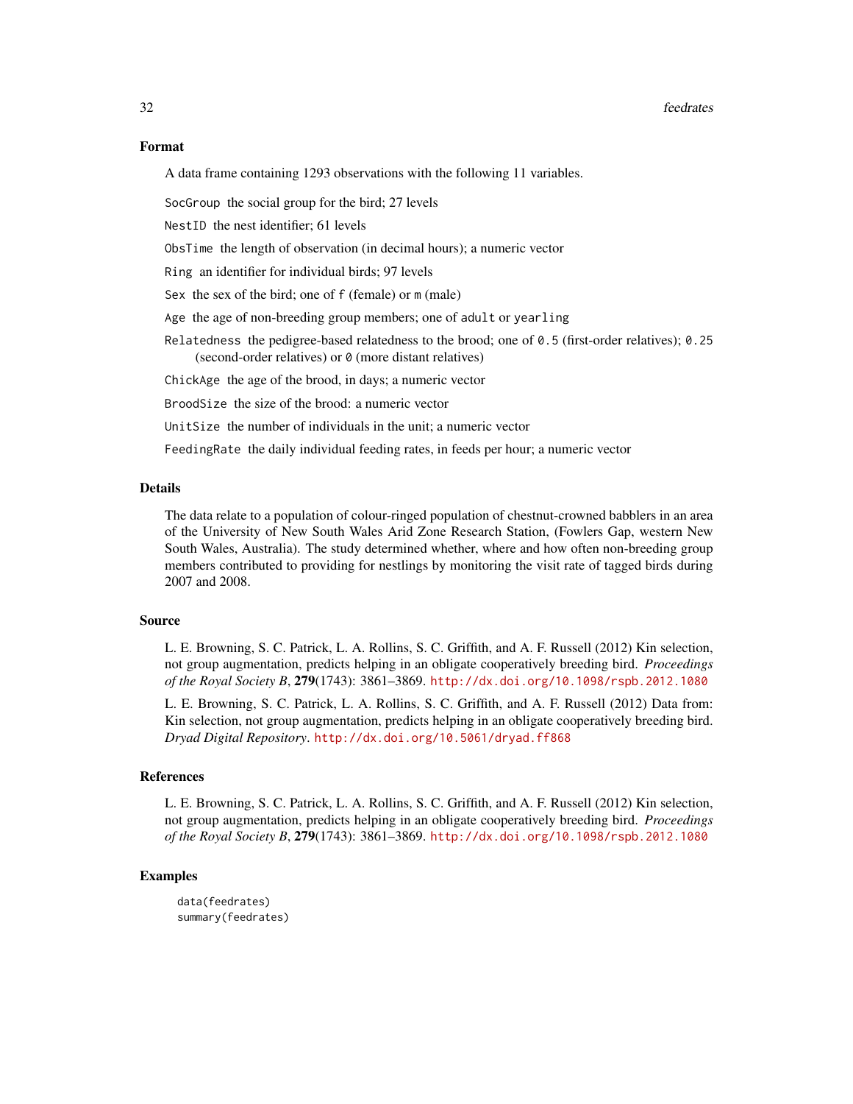A data frame containing 1293 observations with the following 11 variables.

SocGroup the social group for the bird; 27 levels

NestID the nest identifier; 61 levels

ObsTime the length of observation (in decimal hours); a numeric vector

Ring an identifier for individual birds; 97 levels

Sex the sex of the bird; one of f (female) or m (male)

Age the age of non-breeding group members; one of adult or yearling

Relatedness the pedigree-based relatedness to the brood; one of  $\theta$ . 5 (first-order relatives);  $\theta$ . 25 (second-order relatives) or 0 (more distant relatives)

ChickAge the age of the brood, in days; a numeric vector

BroodSize the size of the brood: a numeric vector

UnitSize the number of individuals in the unit; a numeric vector

FeedingRate the daily individual feeding rates, in feeds per hour; a numeric vector

#### Details

The data relate to a population of colour-ringed population of chestnut-crowned babblers in an area of the University of New South Wales Arid Zone Research Station, (Fowlers Gap, western New South Wales, Australia). The study determined whether, where and how often non-breeding group members contributed to providing for nestlings by monitoring the visit rate of tagged birds during 2007 and 2008.

#### Source

L. E. Browning, S. C. Patrick, L. A. Rollins, S. C. Griffith, and A. F. Russell (2012) Kin selection, not group augmentation, predicts helping in an obligate cooperatively breeding bird. *Proceedings of the Royal Society B*, 279(1743): 3861–3869. <http://dx.doi.org/10.1098/rspb.2012.1080>

L. E. Browning, S. C. Patrick, L. A. Rollins, S. C. Griffith, and A. F. Russell (2012) Data from: Kin selection, not group augmentation, predicts helping in an obligate cooperatively breeding bird. *Dryad Digital Repository*. <http://dx.doi.org/10.5061/dryad.ff868>

#### References

L. E. Browning, S. C. Patrick, L. A. Rollins, S. C. Griffith, and A. F. Russell (2012) Kin selection, not group augmentation, predicts helping in an obligate cooperatively breeding bird. *Proceedings of the Royal Society B*, 279(1743): 3861–3869. <http://dx.doi.org/10.1098/rspb.2012.1080>

#### Examples

data(feedrates) summary(feedrates)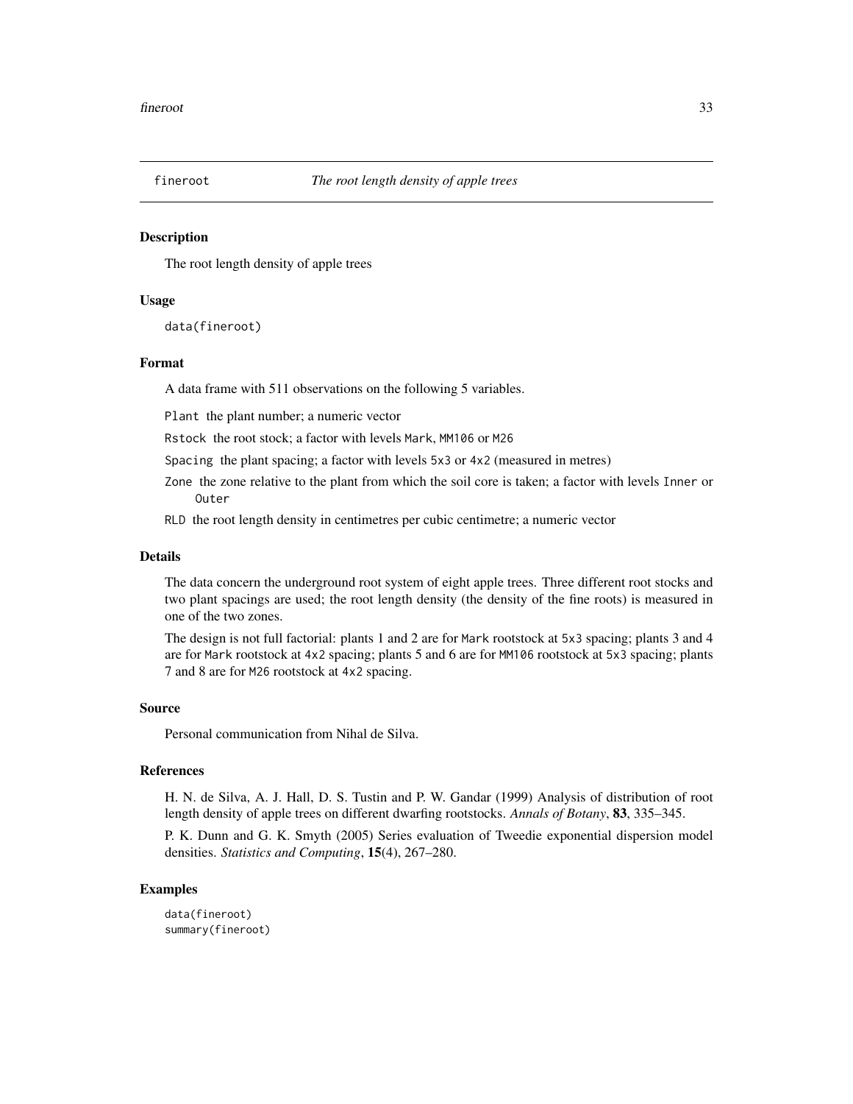<span id="page-32-0"></span>

The root length density of apple trees

#### Usage

data(fineroot)

#### Format

A data frame with 511 observations on the following 5 variables.

Plant the plant number; a numeric vector

Rstock the root stock; a factor with levels Mark, MM106 or M26

Spacing the plant spacing; a factor with levels 5x3 or 4x2 (measured in metres)

- Zone the zone relative to the plant from which the soil core is taken; a factor with levels Inner or Outer
- RLD the root length density in centimetres per cubic centimetre; a numeric vector

#### Details

The data concern the underground root system of eight apple trees. Three different root stocks and two plant spacings are used; the root length density (the density of the fine roots) is measured in one of the two zones.

The design is not full factorial: plants 1 and 2 are for Mark rootstock at 5x3 spacing; plants 3 and 4 are for Mark rootstock at 4x2 spacing; plants 5 and 6 are for MM106 rootstock at 5x3 spacing; plants 7 and 8 are for M26 rootstock at 4x2 spacing.

#### Source

Personal communication from Nihal de Silva.

#### References

H. N. de Silva, A. J. Hall, D. S. Tustin and P. W. Gandar (1999) Analysis of distribution of root length density of apple trees on different dwarfing rootstocks. *Annals of Botany*, 83, 335–345.

P. K. Dunn and G. K. Smyth (2005) Series evaluation of Tweedie exponential dispersion model densities. *Statistics and Computing*, 15(4), 267–280.

#### Examples

data(fineroot) summary(fineroot)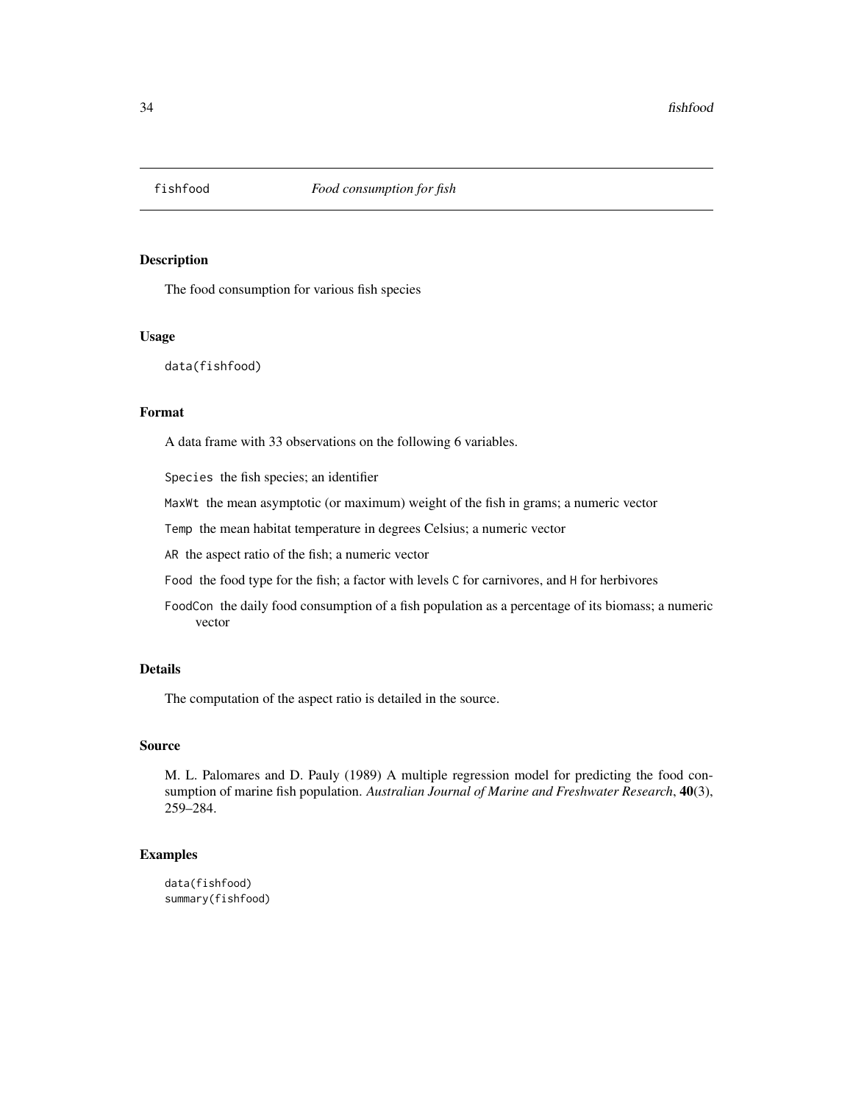<span id="page-33-0"></span>

The food consumption for various fish species

#### Usage

data(fishfood)

#### Format

A data frame with 33 observations on the following 6 variables.

Species the fish species; an identifier

MaxWt the mean asymptotic (or maximum) weight of the fish in grams; a numeric vector

Temp the mean habitat temperature in degrees Celsius; a numeric vector

AR the aspect ratio of the fish; a numeric vector

Food the food type for the fish; a factor with levels C for carnivores, and H for herbivores

FoodCon the daily food consumption of a fish population as a percentage of its biomass; a numeric vector

#### Details

The computation of the aspect ratio is detailed in the source.

#### Source

M. L. Palomares and D. Pauly (1989) A multiple regression model for predicting the food consumption of marine fish population. *Australian Journal of Marine and Freshwater Research*, 40(3), 259–284.

#### Examples

data(fishfood) summary(fishfood)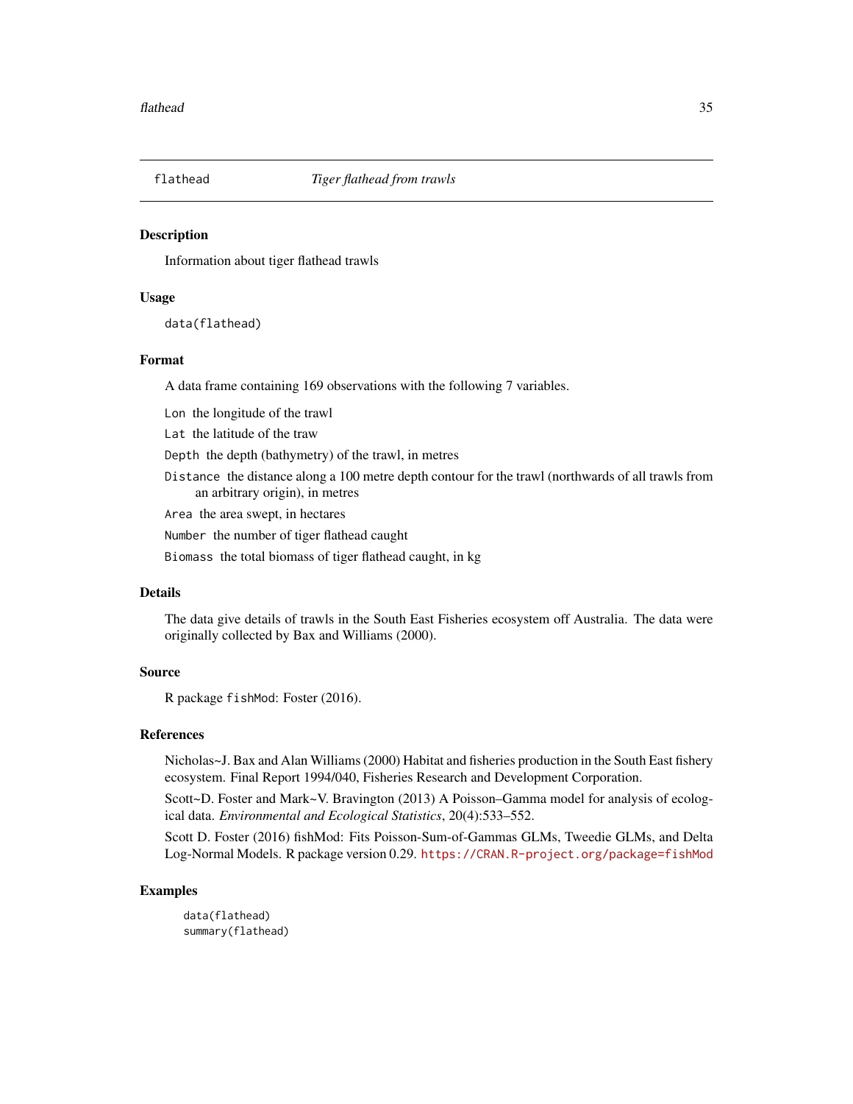<span id="page-34-0"></span>

Information about tiger flathead trawls

#### Usage

data(flathead)

#### Format

A data frame containing 169 observations with the following 7 variables.

Lon the longitude of the trawl

Lat the latitude of the traw

Depth the depth (bathymetry) of the trawl, in metres

Distance the distance along a 100 metre depth contour for the trawl (northwards of all trawls from an arbitrary origin), in metres

Area the area swept, in hectares

Number the number of tiger flathead caught

Biomass the total biomass of tiger flathead caught, in kg

#### Details

The data give details of trawls in the South East Fisheries ecosystem off Australia. The data were originally collected by Bax and Williams (2000).

#### Source

R package fishMod: Foster (2016).

#### References

Nicholas~J. Bax and Alan Williams (2000) Habitat and fisheries production in the South East fishery ecosystem. Final Report 1994/040, Fisheries Research and Development Corporation.

Scott~D. Foster and Mark~V. Bravington (2013) A Poisson–Gamma model for analysis of ecological data. *Environmental and Ecological Statistics*, 20(4):533–552.

Scott D. Foster (2016) fishMod: Fits Poisson-Sum-of-Gammas GLMs, Tweedie GLMs, and Delta Log-Normal Models. R package version 0.29. <https://CRAN.R-project.org/package=fishMod>

#### Examples

data(flathead) summary(flathead)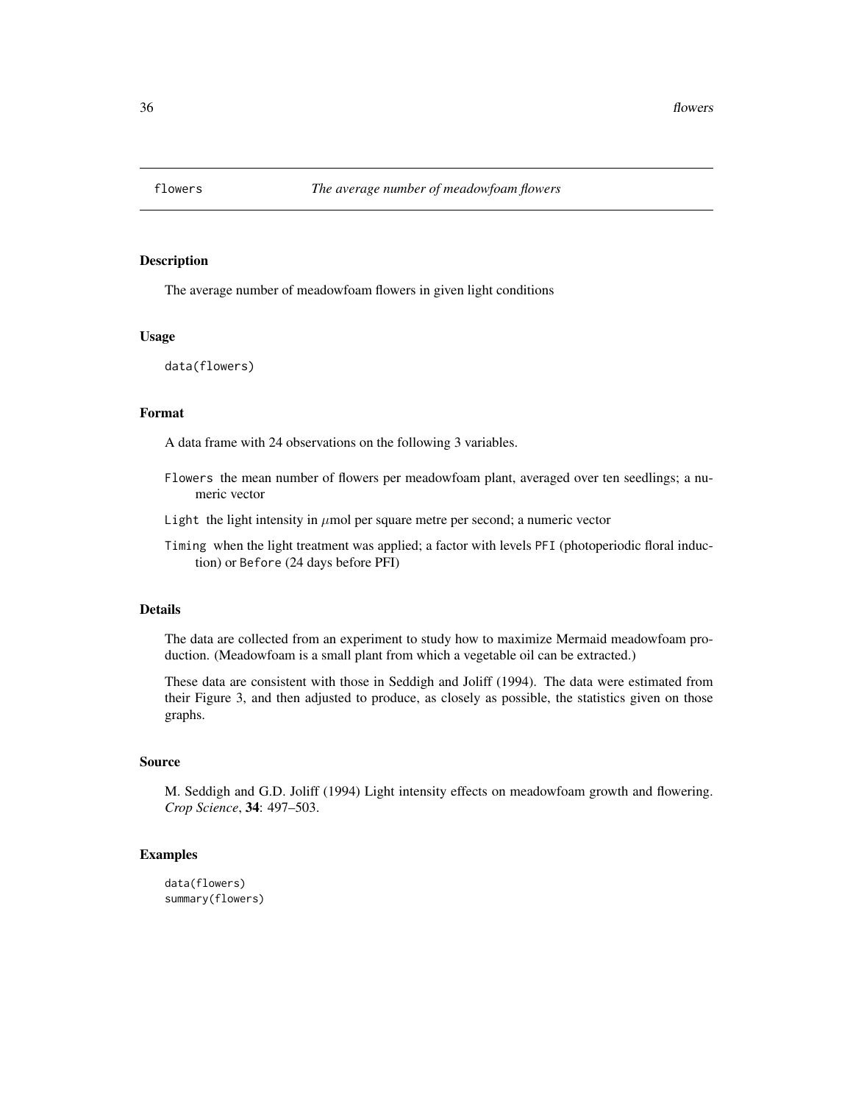<span id="page-35-0"></span>

The average number of meadowfoam flowers in given light conditions

#### Usage

```
data(flowers)
```
#### Format

A data frame with 24 observations on the following 3 variables.

- Flowers the mean number of flowers per meadowfoam plant, averaged over ten seedlings; a numeric vector
- Light the light intensity in  $\mu$ mol per square metre per second; a numeric vector
- Timing when the light treatment was applied; a factor with levels PFI (photoperiodic floral induction) or Before (24 days before PFI)

#### Details

The data are collected from an experiment to study how to maximize Mermaid meadowfoam production. (Meadowfoam is a small plant from which a vegetable oil can be extracted.)

These data are consistent with those in Seddigh and Joliff (1994). The data were estimated from their Figure 3, and then adjusted to produce, as closely as possible, the statistics given on those graphs.

#### Source

M. Seddigh and G.D. Joliff (1994) Light intensity effects on meadowfoam growth and flowering. *Crop Science*, 34: 497–503.

```
data(flowers)
summary(flowers)
```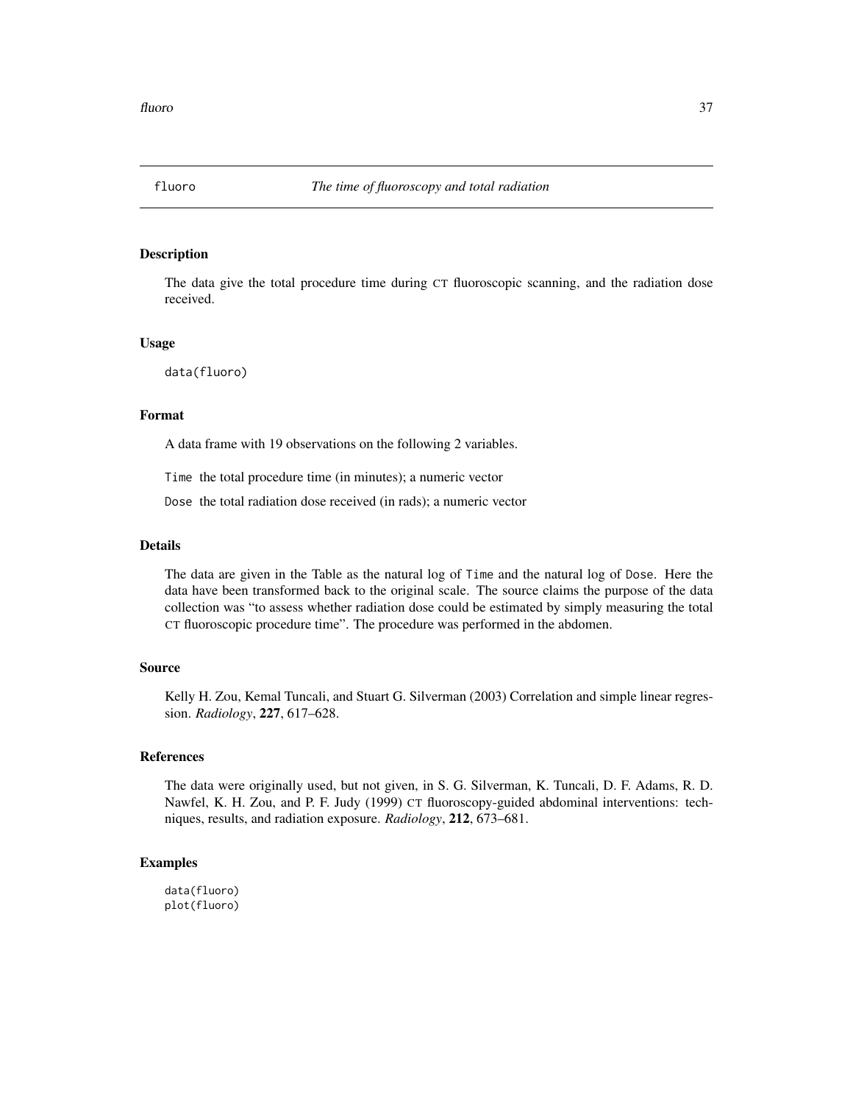The data give the total procedure time during CT fluoroscopic scanning, and the radiation dose received.

#### Usage

data(fluoro)

#### Format

A data frame with 19 observations on the following 2 variables.

Time the total procedure time (in minutes); a numeric vector

Dose the total radiation dose received (in rads); a numeric vector

# Details

The data are given in the Table as the natural log of Time and the natural log of Dose. Here the data have been transformed back to the original scale. The source claims the purpose of the data collection was "to assess whether radiation dose could be estimated by simply measuring the total CT fluoroscopic procedure time". The procedure was performed in the abdomen.

#### Source

Kelly H. Zou, Kemal Tuncali, and Stuart G. Silverman (2003) Correlation and simple linear regression. *Radiology*, 227, 617–628.

### References

The data were originally used, but not given, in S. G. Silverman, K. Tuncali, D. F. Adams, R. D. Nawfel, K. H. Zou, and P. F. Judy (1999) CT fluoroscopy-guided abdominal interventions: techniques, results, and radiation exposure. *Radiology*, 212, 673–681.

### Examples

data(fluoro) plot(fluoro)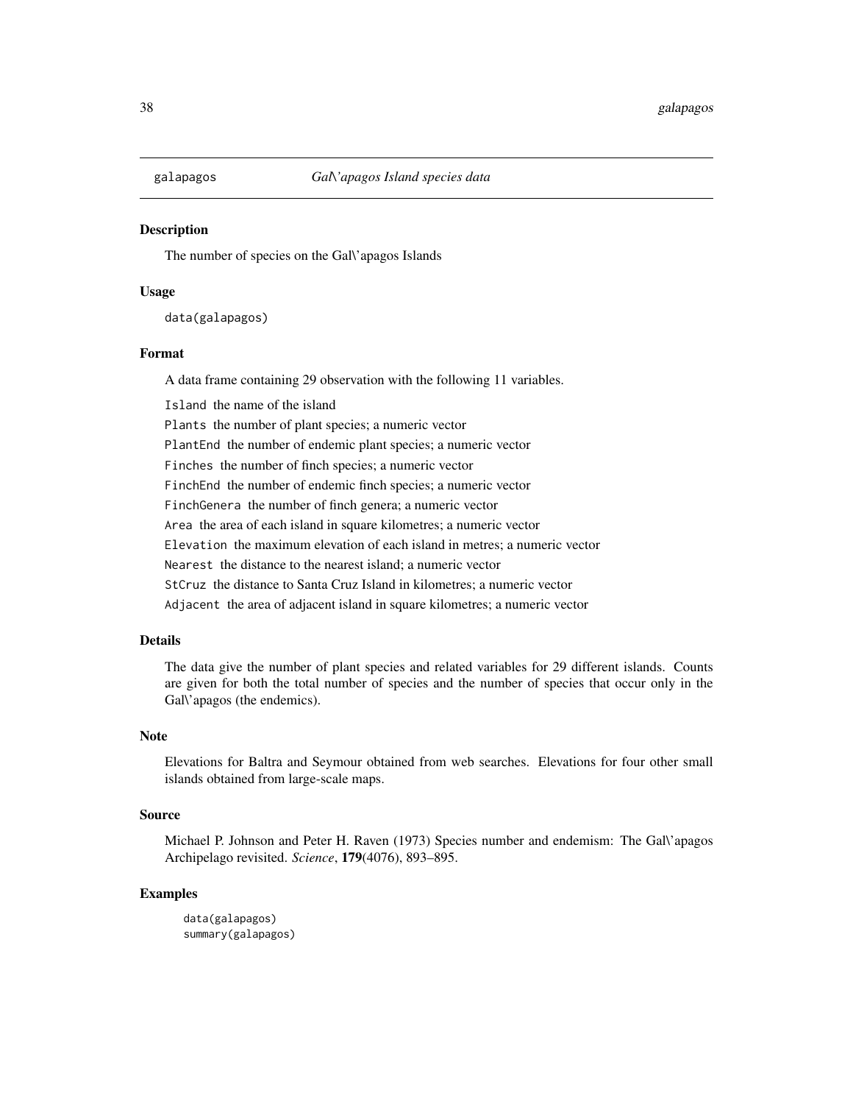The number of species on the Gal\'apagos Islands

## Usage

data(galapagos)

# Format

A data frame containing 29 observation with the following 11 variables.

Island the name of the island Plants the number of plant species; a numeric vector PlantEnd the number of endemic plant species; a numeric vector Finches the number of finch species; a numeric vector FinchEnd the number of endemic finch species; a numeric vector FinchGenera the number of finch genera; a numeric vector Area the area of each island in square kilometres; a numeric vector Elevation the maximum elevation of each island in metres; a numeric vector Nearest the distance to the nearest island; a numeric vector StCruz the distance to Santa Cruz Island in kilometres; a numeric vector Adjacent the area of adjacent island in square kilometres; a numeric vector

## Details

The data give the number of plant species and related variables for 29 different islands. Counts are given for both the total number of species and the number of species that occur only in the Gal\'apagos (the endemics).

# **Note**

Elevations for Baltra and Seymour obtained from web searches. Elevations for four other small islands obtained from large-scale maps.

### Source

Michael P. Johnson and Peter H. Raven (1973) Species number and endemism: The Gal\'apagos Archipelago revisited. *Science*, 179(4076), 893–895.

```
data(galapagos)
summary(galapagos)
```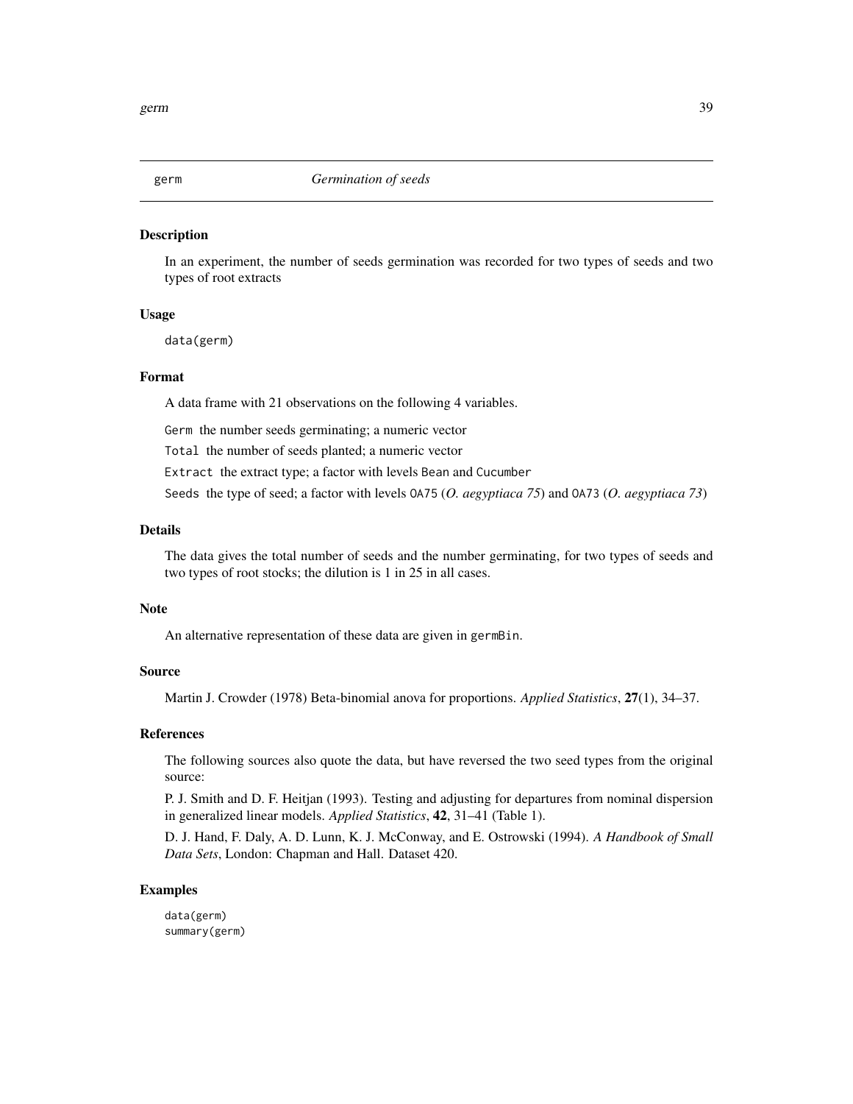In an experiment, the number of seeds germination was recorded for two types of seeds and two types of root extracts

## Usage

data(germ)

# Format

A data frame with 21 observations on the following 4 variables.

Germ the number seeds germinating; a numeric vector

Total the number of seeds planted; a numeric vector

Extract the extract type; a factor with levels Bean and Cucumber

Seeds the type of seed; a factor with levels OA75 (*O. aegyptiaca 75*) and OA73 (*O. aegyptiaca 73*)

#### Details

The data gives the total number of seeds and the number germinating, for two types of seeds and two types of root stocks; the dilution is 1 in 25 in all cases.

#### Note

An alternative representation of these data are given in germBin.

#### Source

Martin J. Crowder (1978) Beta-binomial anova for proportions. *Applied Statistics*, 27(1), 34–37.

#### References

The following sources also quote the data, but have reversed the two seed types from the original source:

P. J. Smith and D. F. Heitjan (1993). Testing and adjusting for departures from nominal dispersion in generalized linear models. *Applied Statistics*, 42, 31–41 (Table 1).

D. J. Hand, F. Daly, A. D. Lunn, K. J. McConway, and E. Ostrowski (1994). *A Handbook of Small Data Sets*, London: Chapman and Hall. Dataset 420.

### Examples

data(germ) summary(germ)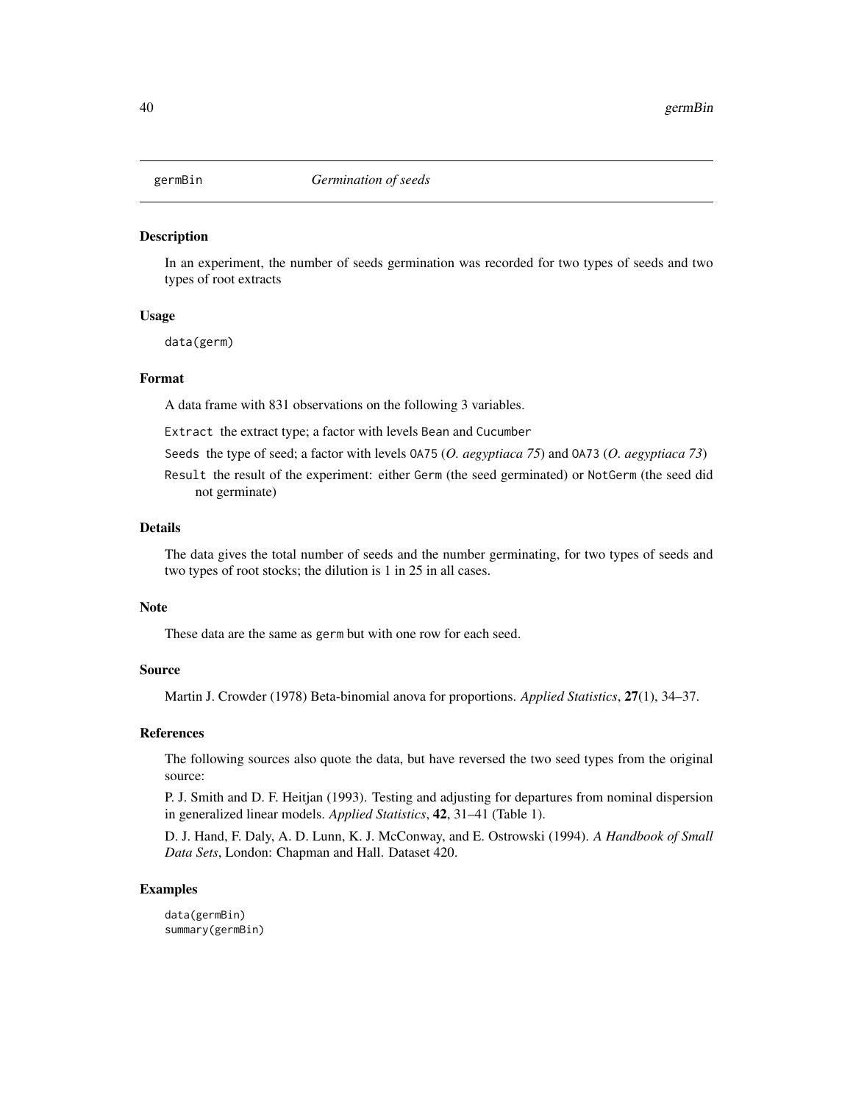In an experiment, the number of seeds germination was recorded for two types of seeds and two types of root extracts

### Usage

data(germ)

### Format

A data frame with 831 observations on the following 3 variables.

Extract the extract type; a factor with levels Bean and Cucumber

Seeds the type of seed; a factor with levels OA75 (*O. aegyptiaca 75*) and OA73 (*O. aegyptiaca 73*)

Result the result of the experiment: either Germ (the seed germinated) or NotGerm (the seed did not germinate)

# Details

The data gives the total number of seeds and the number germinating, for two types of seeds and two types of root stocks; the dilution is 1 in 25 in all cases.

#### Note

These data are the same as germ but with one row for each seed.

#### Source

Martin J. Crowder (1978) Beta-binomial anova for proportions. *Applied Statistics*, 27(1), 34–37.

### References

The following sources also quote the data, but have reversed the two seed types from the original source:

P. J. Smith and D. F. Heitjan (1993). Testing and adjusting for departures from nominal dispersion in generalized linear models. *Applied Statistics*, 42, 31–41 (Table 1).

D. J. Hand, F. Daly, A. D. Lunn, K. J. McConway, and E. Ostrowski (1994). *A Handbook of Small Data Sets*, London: Chapman and Hall. Dataset 420.

### Examples

data(germBin) summary(germBin)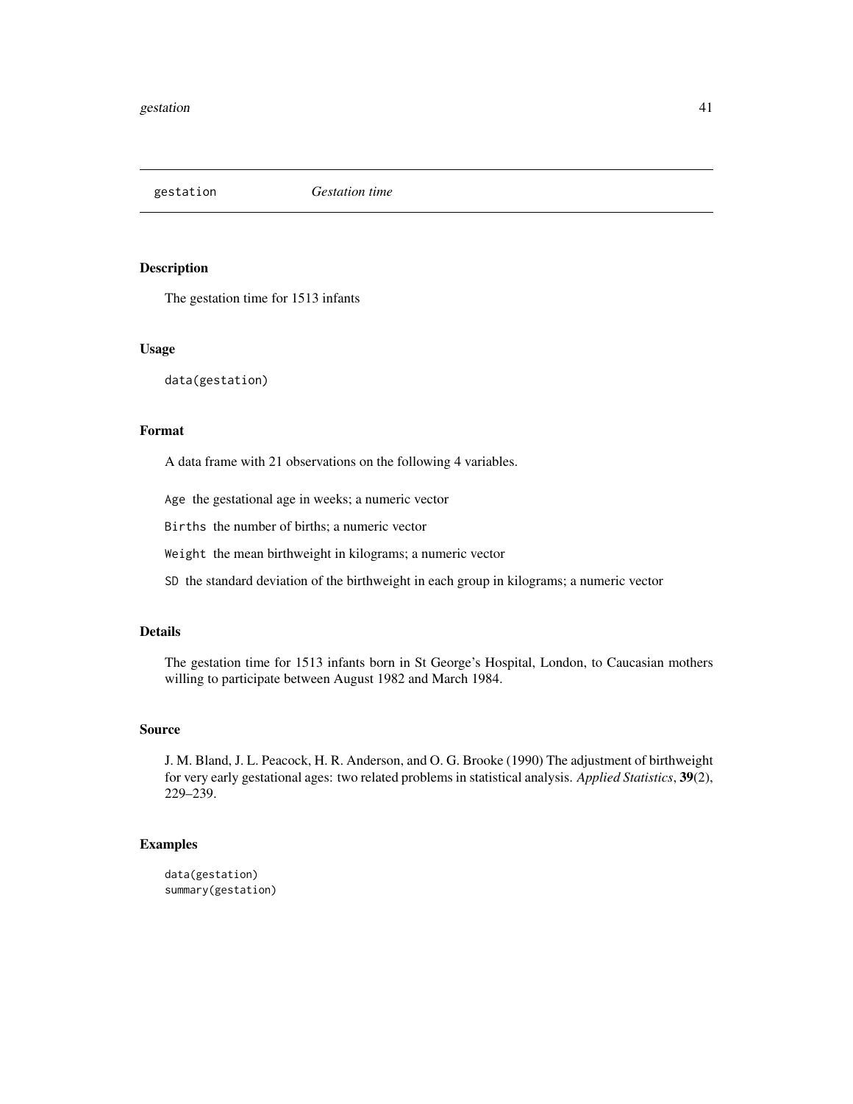gestation *Gestation time*

# Description

The gestation time for 1513 infants

#### Usage

data(gestation)

### Format

A data frame with 21 observations on the following 4 variables.

Age the gestational age in weeks; a numeric vector

Births the number of births; a numeric vector

Weight the mean birthweight in kilograms; a numeric vector

SD the standard deviation of the birthweight in each group in kilograms; a numeric vector

# Details

The gestation time for 1513 infants born in St George's Hospital, London, to Caucasian mothers willing to participate between August 1982 and March 1984.

## Source

J. M. Bland, J. L. Peacock, H. R. Anderson, and O. G. Brooke (1990) The adjustment of birthweight for very early gestational ages: two related problems in statistical analysis. *Applied Statistics*, 39(2), 229–239.

```
data(gestation)
summary(gestation)
```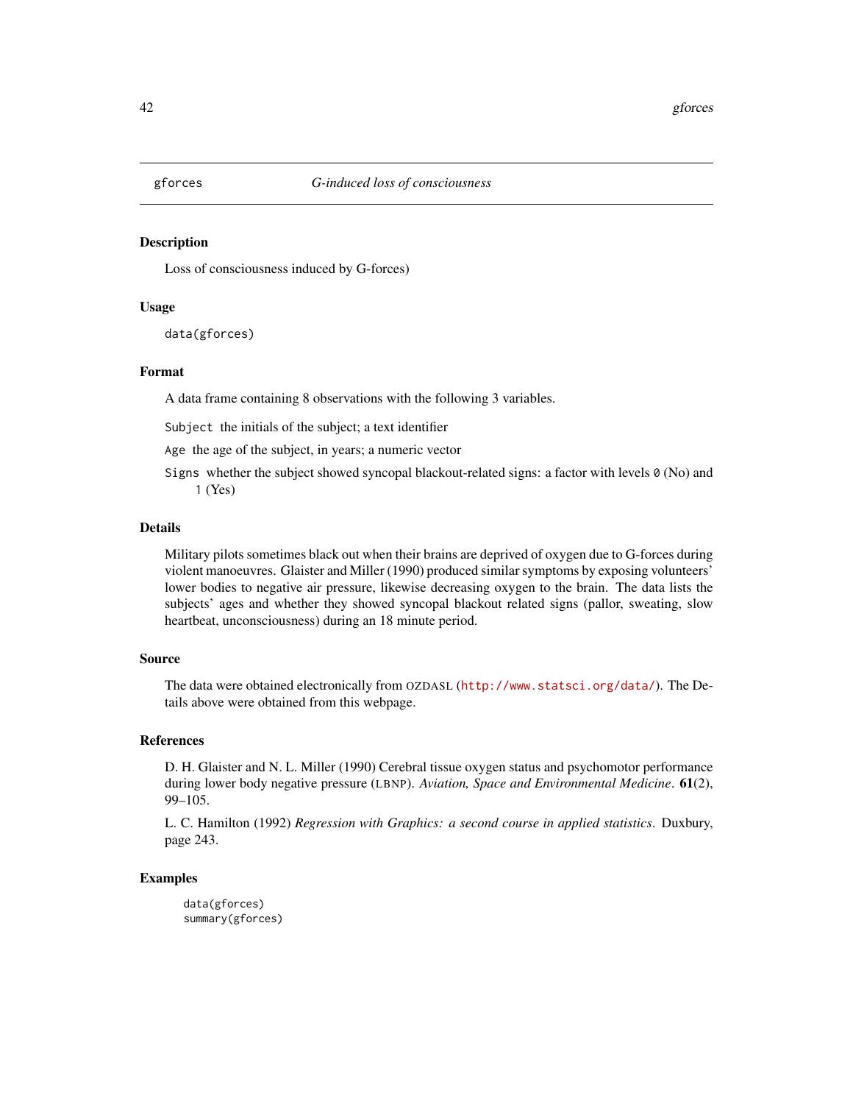Loss of consciousness induced by G-forces)

# Usage

data(gforces)

#### Format

A data frame containing 8 observations with the following 3 variables.

Subject the initials of the subject; a text identifier

Age the age of the subject, in years; a numeric vector

Signs whether the subject showed syncopal blackout-related signs: a factor with levels 0 (No) and 1 (Yes)

# Details

Military pilots sometimes black out when their brains are deprived of oxygen due to G-forces during violent manoeuvres. Glaister and Miller (1990) produced similar symptoms by exposing volunteers' lower bodies to negative air pressure, likewise decreasing oxygen to the brain. The data lists the subjects' ages and whether they showed syncopal blackout related signs (pallor, sweating, slow heartbeat, unconsciousness) during an 18 minute period.

# Source

The data were obtained electronically from OZDASL (<http://www.statsci.org/data/>). The Details above were obtained from this webpage.

### References

D. H. Glaister and N. L. Miller (1990) Cerebral tissue oxygen status and psychomotor performance during lower body negative pressure (LBNP). *Aviation, Space and Environmental Medicine*. 61(2), 99–105.

L. C. Hamilton (1992) *Regression with Graphics: a second course in applied statistics*. Duxbury, page 243.

```
data(gforces)
summary(gforces)
```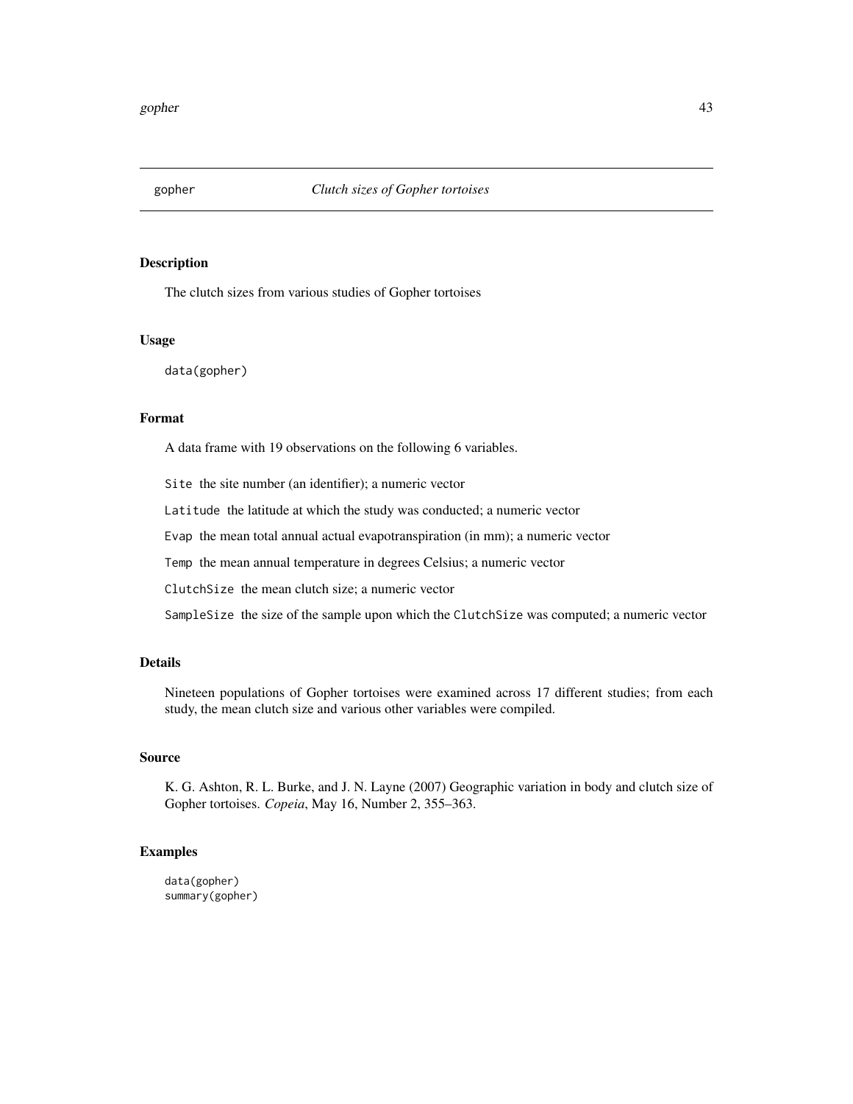The clutch sizes from various studies of Gopher tortoises

### Usage

data(gopher)

# Format

A data frame with 19 observations on the following 6 variables.

Site the site number (an identifier); a numeric vector

Latitude the latitude at which the study was conducted; a numeric vector

Evap the mean total annual actual evapotranspiration (in mm); a numeric vector

Temp the mean annual temperature in degrees Celsius; a numeric vector

ClutchSize the mean clutch size; a numeric vector

SampleSize the size of the sample upon which the ClutchSize was computed; a numeric vector

### Details

Nineteen populations of Gopher tortoises were examined across 17 different studies; from each study, the mean clutch size and various other variables were compiled.

### Source

K. G. Ashton, R. L. Burke, and J. N. Layne (2007) Geographic variation in body and clutch size of Gopher tortoises. *Copeia*, May 16, Number 2, 355–363.

# Examples

data(gopher) summary(gopher)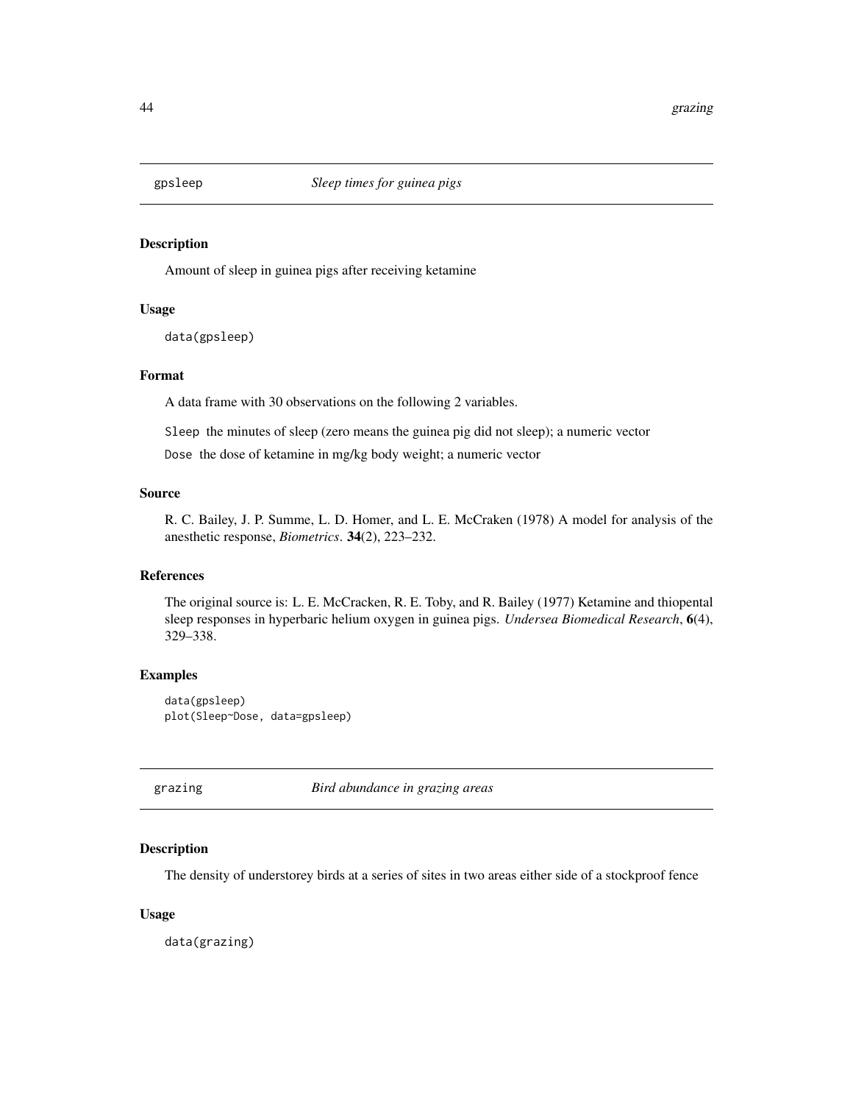Amount of sleep in guinea pigs after receiving ketamine

### Usage

data(gpsleep)

# Format

A data frame with 30 observations on the following 2 variables.

Sleep the minutes of sleep (zero means the guinea pig did not sleep); a numeric vector

Dose the dose of ketamine in mg/kg body weight; a numeric vector

### Source

R. C. Bailey, J. P. Summe, L. D. Homer, and L. E. McCraken (1978) A model for analysis of the anesthetic response, *Biometrics*. 34(2), 223–232.

## References

The original source is: L. E. McCracken, R. E. Toby, and R. Bailey (1977) Ketamine and thiopental sleep responses in hyperbaric helium oxygen in guinea pigs. *Undersea Biomedical Research*, 6(4), 329–338.

# Examples

data(gpsleep) plot(Sleep~Dose, data=gpsleep)

grazing *Bird abundance in grazing areas*

### Description

The density of understorey birds at a series of sites in two areas either side of a stockproof fence

### Usage

data(grazing)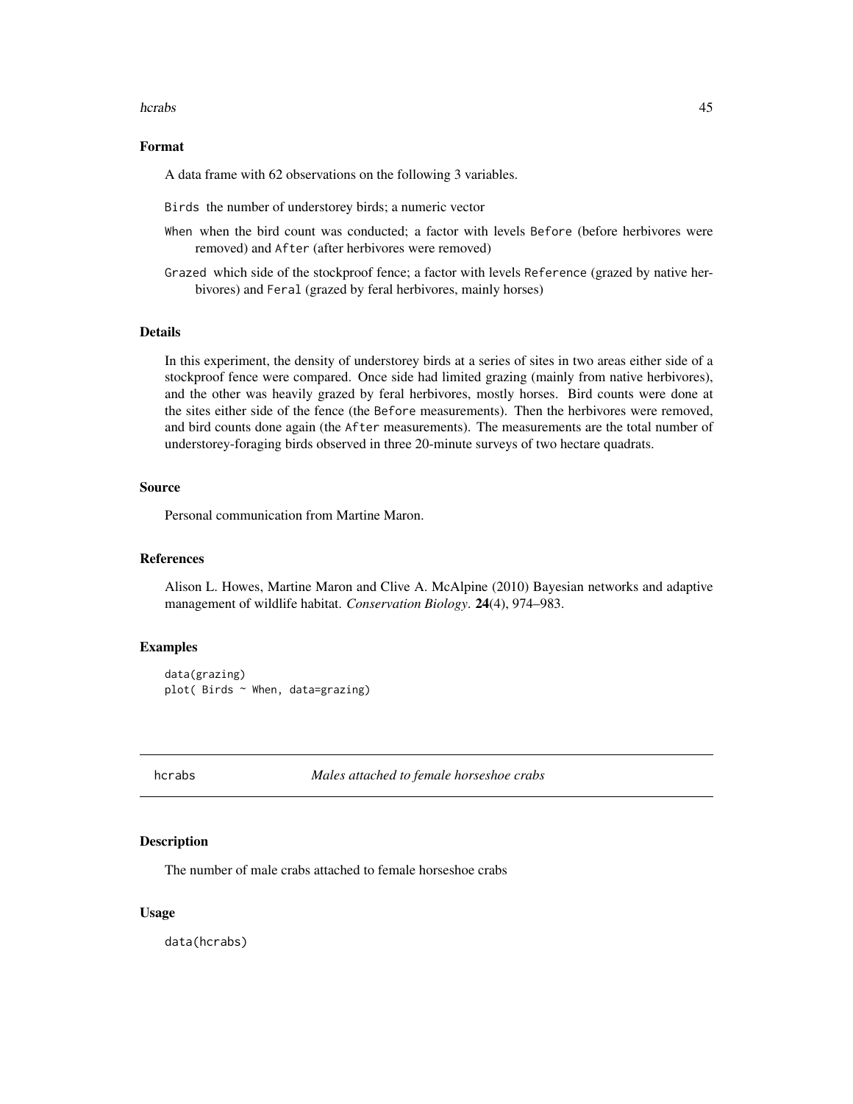#### hcrabs and the contract of the contract of the contract of the contract of the contract of the contract of the contract of the contract of the contract of the contract of the contract of the contract of the contract of the

### Format

A data frame with 62 observations on the following 3 variables.

Birds the number of understorey birds; a numeric vector

When when the bird count was conducted; a factor with levels Before (before herbivores were removed) and After (after herbivores were removed)

Grazed which side of the stockproof fence; a factor with levels Reference (grazed by native herbivores) and Feral (grazed by feral herbivores, mainly horses)

## Details

In this experiment, the density of understorey birds at a series of sites in two areas either side of a stockproof fence were compared. Once side had limited grazing (mainly from native herbivores), and the other was heavily grazed by feral herbivores, mostly horses. Bird counts were done at the sites either side of the fence (the Before measurements). Then the herbivores were removed, and bird counts done again (the After measurements). The measurements are the total number of understorey-foraging birds observed in three 20-minute surveys of two hectare quadrats.

### Source

Personal communication from Martine Maron.

#### References

Alison L. Howes, Martine Maron and Clive A. McAlpine (2010) Bayesian networks and adaptive management of wildlife habitat. *Conservation Biology*. 24(4), 974–983.

#### Examples

```
data(grazing)
plot( Birds ~ When, data=grazing)
```
hcrabs *Males attached to female horseshoe crabs*

## Description

The number of male crabs attached to female horseshoe crabs

## Usage

data(hcrabs)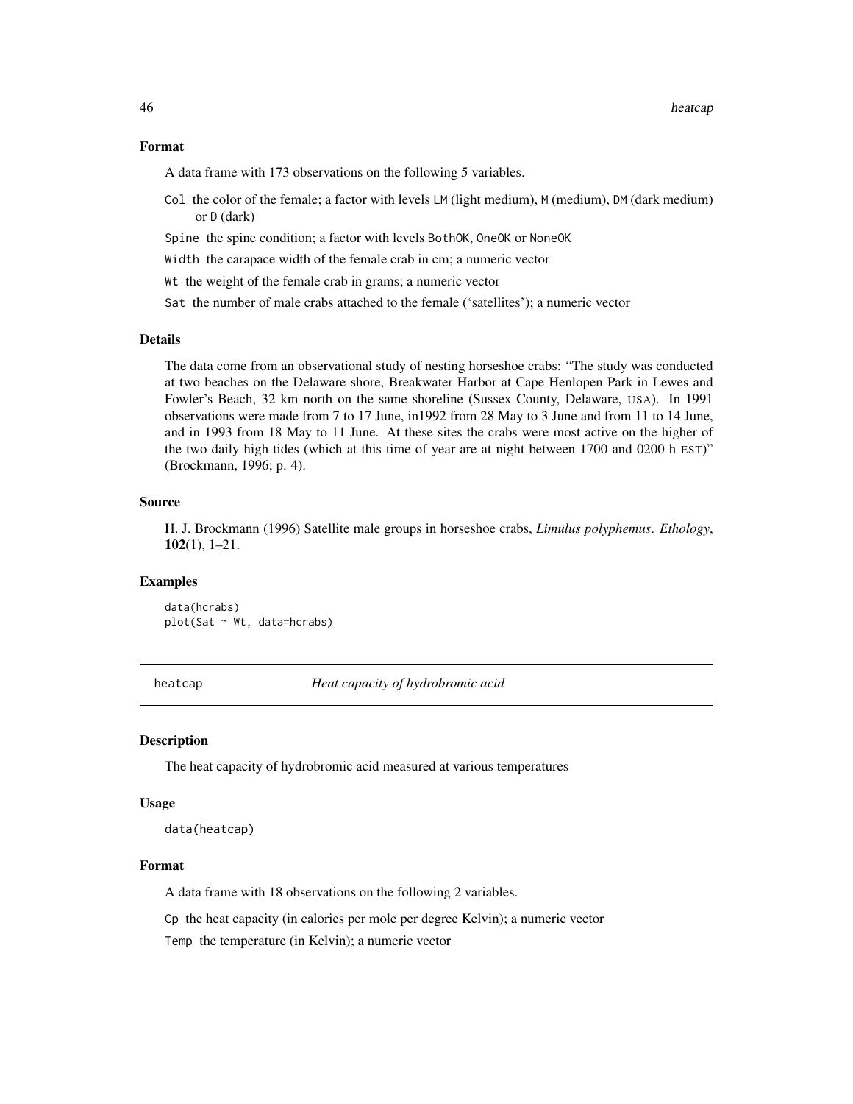### Format

A data frame with 173 observations on the following 5 variables.

- Col the color of the female; a factor with levels LM (light medium), M (medium), DM (dark medium) or D (dark)
- Spine the spine condition; a factor with levels BothOK, OneOK or NoneOK

Width the carapace width of the female crab in cm; a numeric vector

Wt the weight of the female crab in grams; a numeric vector

Sat the number of male crabs attached to the female ('satellites'); a numeric vector

# Details

The data come from an observational study of nesting horseshoe crabs: "The study was conducted at two beaches on the Delaware shore, Breakwater Harbor at Cape Henlopen Park in Lewes and Fowler's Beach, 32 km north on the same shoreline (Sussex County, Delaware, USA). In 1991 observations were made from 7 to 17 June, in1992 from 28 May to 3 June and from 11 to 14 June, and in 1993 from 18 May to 11 June. At these sites the crabs were most active on the higher of the two daily high tides (which at this time of year are at night between 1700 and 0200 h EST)" (Brockmann, 1996; p. 4).

#### Source

H. J. Brockmann (1996) Satellite male groups in horseshoe crabs, *Limulus polyphemus*. *Ethology*, 102(1), 1–21.

# Examples

data(hcrabs) plot(Sat ~ Wt, data=hcrabs)

heatcap *Heat capacity of hydrobromic acid*

### Description

The heat capacity of hydrobromic acid measured at various temperatures

# Usage

data(heatcap)

# Format

A data frame with 18 observations on the following 2 variables.

Cp the heat capacity (in calories per mole per degree Kelvin); a numeric vector

Temp the temperature (in Kelvin); a numeric vector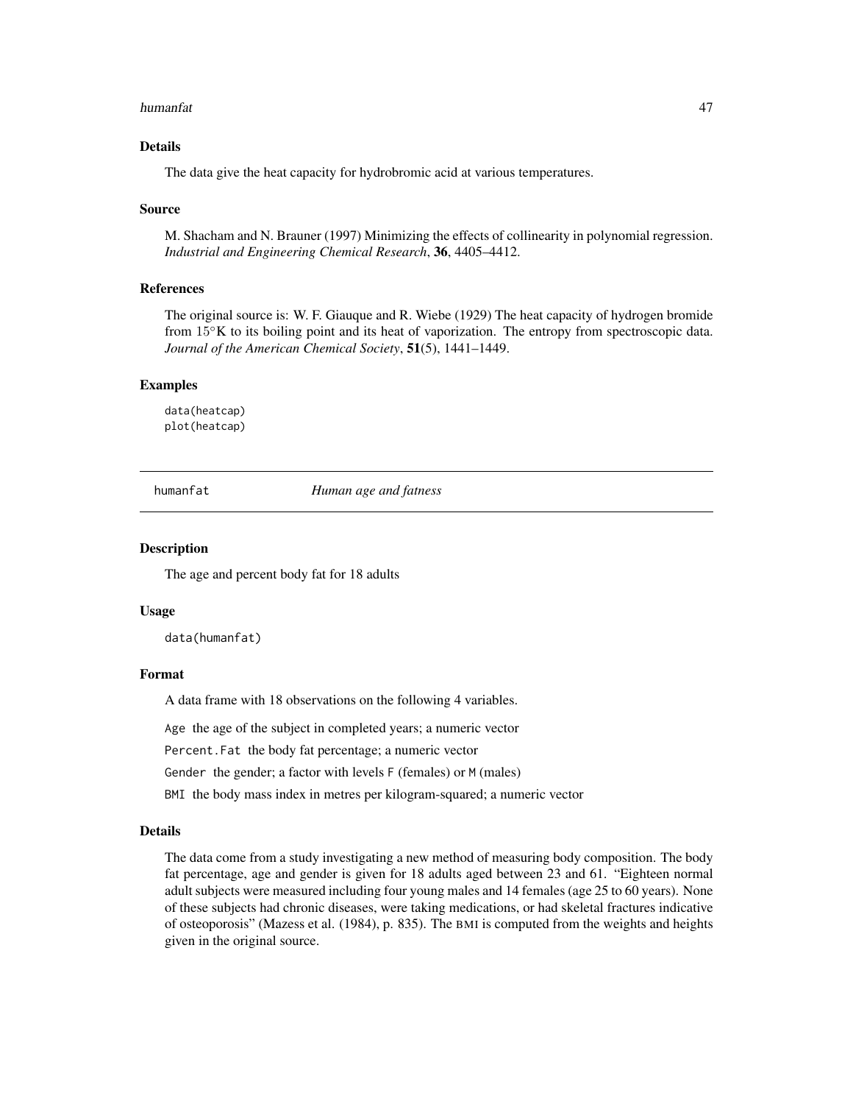#### humanfat 47

# Details

The data give the heat capacity for hydrobromic acid at various temperatures.

#### Source

M. Shacham and N. Brauner (1997) Minimizing the effects of collinearity in polynomial regression. *Industrial and Engineering Chemical Research*, 36, 4405–4412.

### References

The original source is: W. F. Giauque and R. Wiebe (1929) The heat capacity of hydrogen bromide from 15◦K to its boiling point and its heat of vaporization. The entropy from spectroscopic data. *Journal of the American Chemical Society*, 51(5), 1441–1449.

### Examples

data(heatcap) plot(heatcap)

humanfat *Human age and fatness*

#### **Description**

The age and percent body fat for 18 adults

#### Usage

data(humanfat)

# Format

A data frame with 18 observations on the following 4 variables.

Age the age of the subject in completed years; a numeric vector

Percent.Fat the body fat percentage; a numeric vector

Gender the gender; a factor with levels F (females) or M (males)

BMI the body mass index in metres per kilogram-squared; a numeric vector

#### Details

The data come from a study investigating a new method of measuring body composition. The body fat percentage, age and gender is given for 18 adults aged between 23 and 61. "Eighteen normal adult subjects were measured including four young males and 14 females (age 25 to 60 years). None of these subjects had chronic diseases, were taking medications, or had skeletal fractures indicative of osteoporosis" (Mazess et al. (1984), p. 835). The BMI is computed from the weights and heights given in the original source.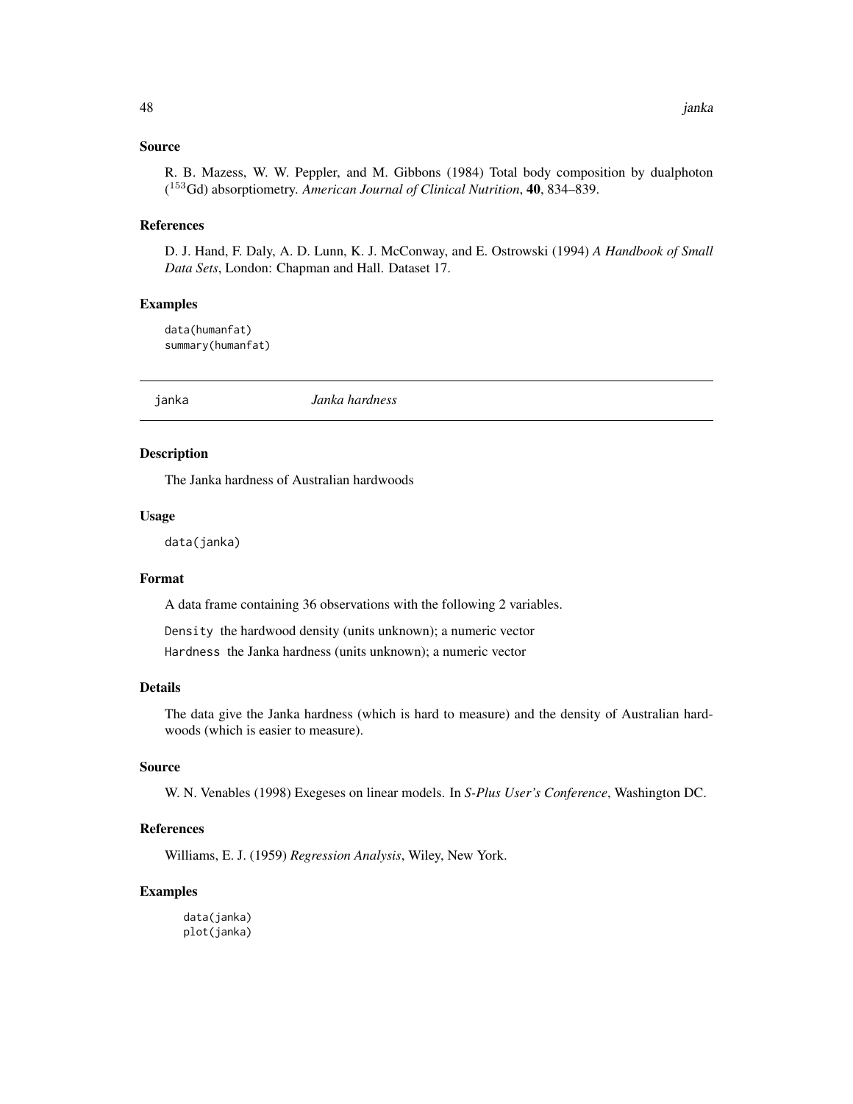### Source

R. B. Mazess, W. W. Peppler, and M. Gibbons (1984) Total body composition by dualphoton ( <sup>153</sup>Gd) absorptiometry. *American Journal of Clinical Nutrition*, 40, 834–839.

#### References

D. J. Hand, F. Daly, A. D. Lunn, K. J. McConway, and E. Ostrowski (1994) *A Handbook of Small Data Sets*, London: Chapman and Hall. Dataset 17.

### Examples

data(humanfat) summary(humanfat)

janka *Janka hardness*

### Description

The Janka hardness of Australian hardwoods

#### Usage

data(janka)

#### Format

A data frame containing 36 observations with the following 2 variables.

Density the hardwood density (units unknown); a numeric vector

Hardness the Janka hardness (units unknown); a numeric vector

### Details

The data give the Janka hardness (which is hard to measure) and the density of Australian hardwoods (which is easier to measure).

# Source

W. N. Venables (1998) Exegeses on linear models. In *S-Plus User's Conference*, Washington DC.

# References

Williams, E. J. (1959) *Regression Analysis*, Wiley, New York.

# Examples

data(janka) plot(janka)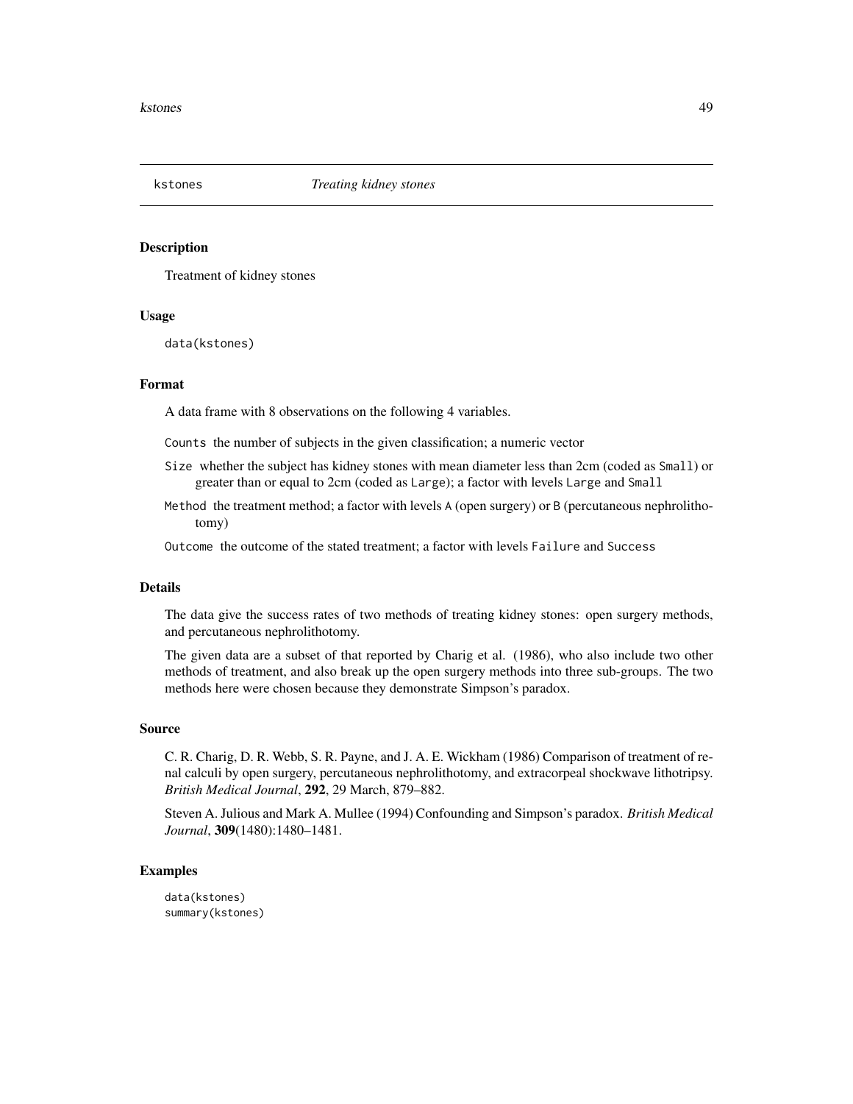Treatment of kidney stones

### Usage

data(kstones)

# Format

A data frame with 8 observations on the following 4 variables.

Counts the number of subjects in the given classification; a numeric vector

- Size whether the subject has kidney stones with mean diameter less than 2cm (coded as Small) or greater than or equal to 2cm (coded as Large); a factor with levels Large and Small
- Method the treatment method; a factor with levels A (open surgery) or B (percutaneous nephrolithotomy)

Outcome the outcome of the stated treatment; a factor with levels Failure and Success

### Details

The data give the success rates of two methods of treating kidney stones: open surgery methods, and percutaneous nephrolithotomy.

The given data are a subset of that reported by Charig et al. (1986), who also include two other methods of treatment, and also break up the open surgery methods into three sub-groups. The two methods here were chosen because they demonstrate Simpson's paradox.

#### Source

C. R. Charig, D. R. Webb, S. R. Payne, and J. A. E. Wickham (1986) Comparison of treatment of renal calculi by open surgery, percutaneous nephrolithotomy, and extracorpeal shockwave lithotripsy. *British Medical Journal*, 292, 29 March, 879–882.

Steven A. Julious and Mark A. Mullee (1994) Confounding and Simpson's paradox. *British Medical Journal*, 309(1480):1480–1481.

### Examples

data(kstones) summary(kstones)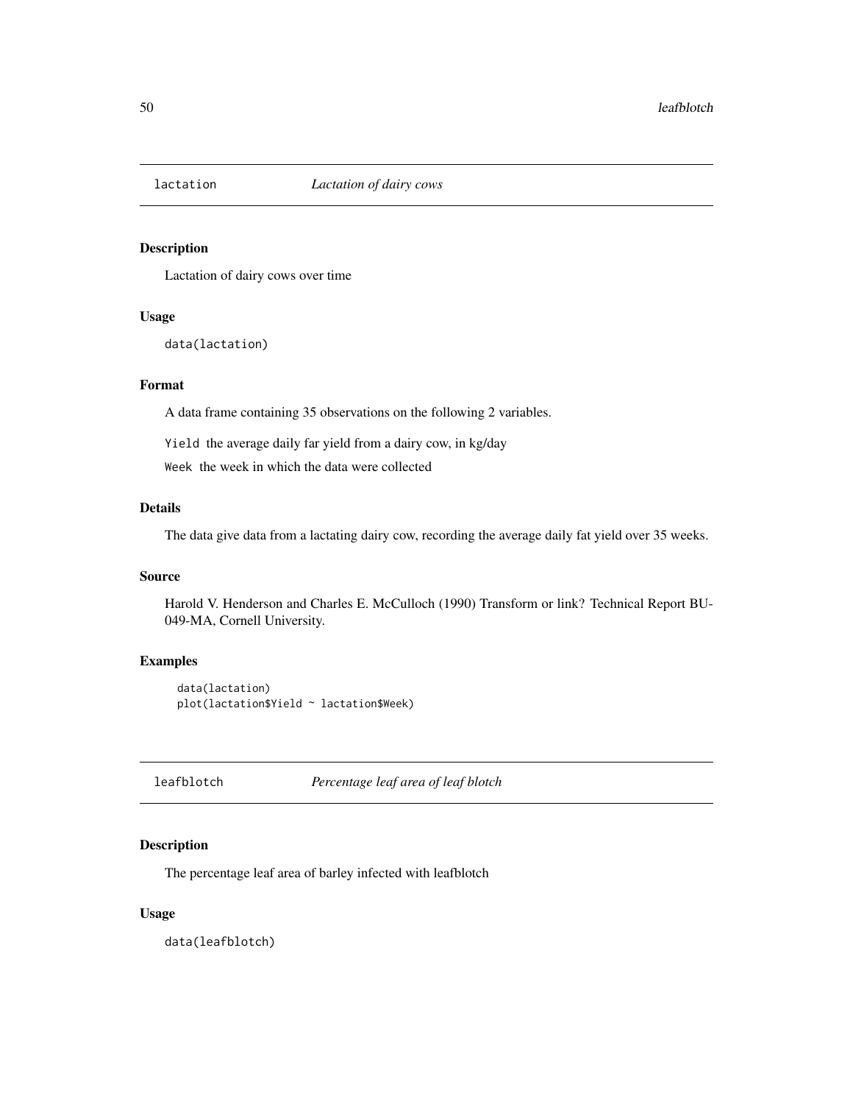Lactation of dairy cows over time

#### Usage

data(lactation)

# Format

A data frame containing 35 observations on the following 2 variables.

Yield the average daily far yield from a dairy cow, in kg/day

Week the week in which the data were collected

# Details

The data give data from a lactating dairy cow, recording the average daily fat yield over 35 weeks.

#### Source

Harold V. Henderson and Charles E. McCulloch (1990) Transform or link? Technical Report BU-049-MA, Cornell University.

# Examples

```
data(lactation)
plot(lactation$Yield ~ lactation$Week)
```
leafblotch *Percentage leaf area of leaf blotch*

## Description

The percentage leaf area of barley infected with leafblotch

## Usage

data(leafblotch)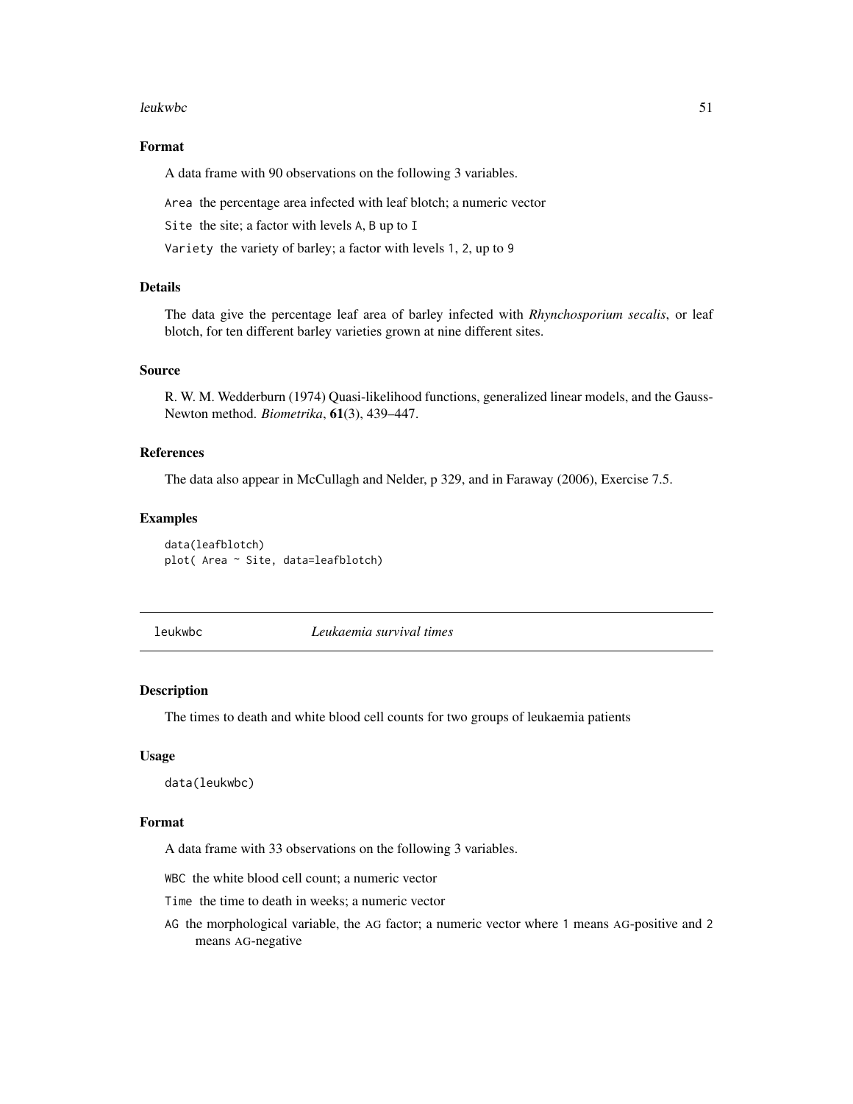#### leukwbc 51

# Format

A data frame with 90 observations on the following 3 variables.

Area the percentage area infected with leaf blotch; a numeric vector

Site the site; a factor with levels A, B up to I

Variety the variety of barley; a factor with levels 1, 2, up to 9

### Details

The data give the percentage leaf area of barley infected with *Rhynchosporium secalis*, or leaf blotch, for ten different barley varieties grown at nine different sites.

## Source

R. W. M. Wedderburn (1974) Quasi-likelihood functions, generalized linear models, and the Gauss-Newton method. *Biometrika*, 61(3), 439–447.

## References

The data also appear in McCullagh and Nelder, p 329, and in Faraway (2006), Exercise 7.5.

### Examples

```
data(leafblotch)
plot( Area ~ Site, data=leafblotch)
```
leukwbc *Leukaemia survival times*

### Description

The times to death and white blood cell counts for two groups of leukaemia patients

## Usage

data(leukwbc)

# Format

A data frame with 33 observations on the following 3 variables.

WBC the white blood cell count; a numeric vector

- Time the time to death in weeks; a numeric vector
- AG the morphological variable, the AG factor; a numeric vector where 1 means AG-positive and 2 means AG-negative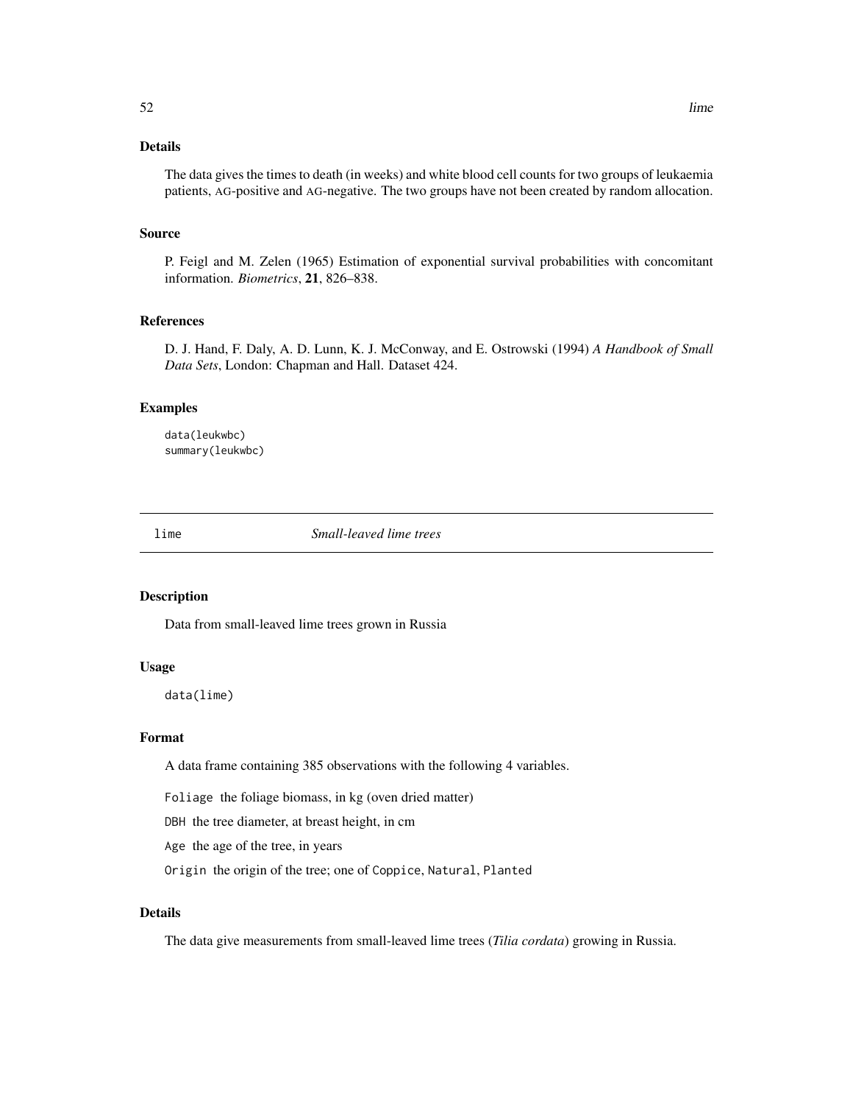# Details

The data gives the times to death (in weeks) and white blood cell counts for two groups of leukaemia patients, AG-positive and AG-negative. The two groups have not been created by random allocation.

#### Source

P. Feigl and M. Zelen (1965) Estimation of exponential survival probabilities with concomitant information. *Biometrics*, 21, 826–838.

# References

D. J. Hand, F. Daly, A. D. Lunn, K. J. McConway, and E. Ostrowski (1994) *A Handbook of Small Data Sets*, London: Chapman and Hall. Dataset 424.

### Examples

data(leukwbc) summary(leukwbc)

lime *Small-leaved lime trees*

# Description

Data from small-leaved lime trees grown in Russia

#### Usage

data(lime)

## Format

A data frame containing 385 observations with the following 4 variables.

Foliage the foliage biomass, in kg (oven dried matter)

DBH the tree diameter, at breast height, in cm

Age the age of the tree, in years

Origin the origin of the tree; one of Coppice, Natural, Planted

# Details

The data give measurements from small-leaved lime trees (*Tilia cordata*) growing in Russia.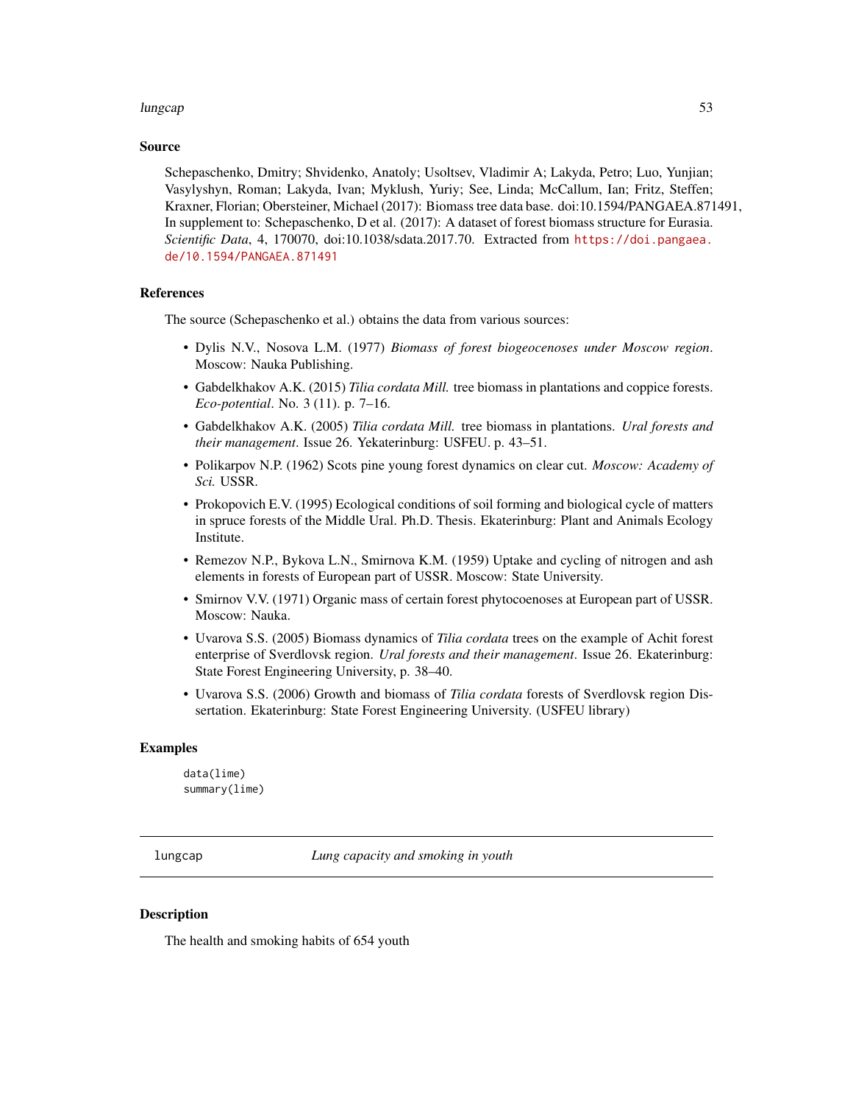#### lungcap 53

#### Source

Schepaschenko, Dmitry; Shvidenko, Anatoly; Usoltsev, Vladimir A; Lakyda, Petro; Luo, Yunjian; Vasylyshyn, Roman; Lakyda, Ivan; Myklush, Yuriy; See, Linda; McCallum, Ian; Fritz, Steffen; Kraxner, Florian; Obersteiner, Michael (2017): Biomass tree data base. doi:10.1594/PANGAEA.871491, In supplement to: Schepaschenko, D et al. (2017): A dataset of forest biomass structure for Eurasia. *Scientific Data*, 4, 170070, doi:10.1038/sdata.2017.70. Extracted from [https://doi.pangaea.](https://doi.pangaea.de/10.1594/PANGAEA.871491) [de/10.1594/PANGAEA.871491](https://doi.pangaea.de/10.1594/PANGAEA.871491)

### References

The source (Schepaschenko et al.) obtains the data from various sources:

- Dylis N.V., Nosova L.M. (1977) *Biomass of forest biogeocenoses under Moscow region*. Moscow: Nauka Publishing.
- Gabdelkhakov A.K. (2015) *Tilia cordata Mill.* tree biomass in plantations and coppice forests. *Eco-potential*. No. 3 (11). p. 7–16.
- Gabdelkhakov A.K. (2005) *Tilia cordata Mill.* tree biomass in plantations. *Ural forests and their management*. Issue 26. Yekaterinburg: USFEU. p. 43–51.
- Polikarpov N.P. (1962) Scots pine young forest dynamics on clear cut. *Moscow: Academy of Sci.* USSR.
- Prokopovich E.V. (1995) Ecological conditions of soil forming and biological cycle of matters in spruce forests of the Middle Ural. Ph.D. Thesis. Ekaterinburg: Plant and Animals Ecology Institute.
- Remezov N.P., Bykova L.N., Smirnova K.M. (1959) Uptake and cycling of nitrogen and ash elements in forests of European part of USSR. Moscow: State University.
- Smirnov V.V. (1971) Organic mass of certain forest phytocoenoses at European part of USSR. Moscow: Nauka.
- Uvarova S.S. (2005) Biomass dynamics of *Tilia cordata* trees on the example of Achit forest enterprise of Sverdlovsk region. *Ural forests and their management*. Issue 26. Ekaterinburg: State Forest Engineering University, p. 38–40.
- Uvarova S.S. (2006) Growth and biomass of *Tilia cordata* forests of Sverdlovsk region Dissertation. Ekaterinburg: State Forest Engineering University. (USFEU library)

### Examples

data(lime) summary(lime)

lungcap *Lung capacity and smoking in youth*

### Description

The health and smoking habits of 654 youth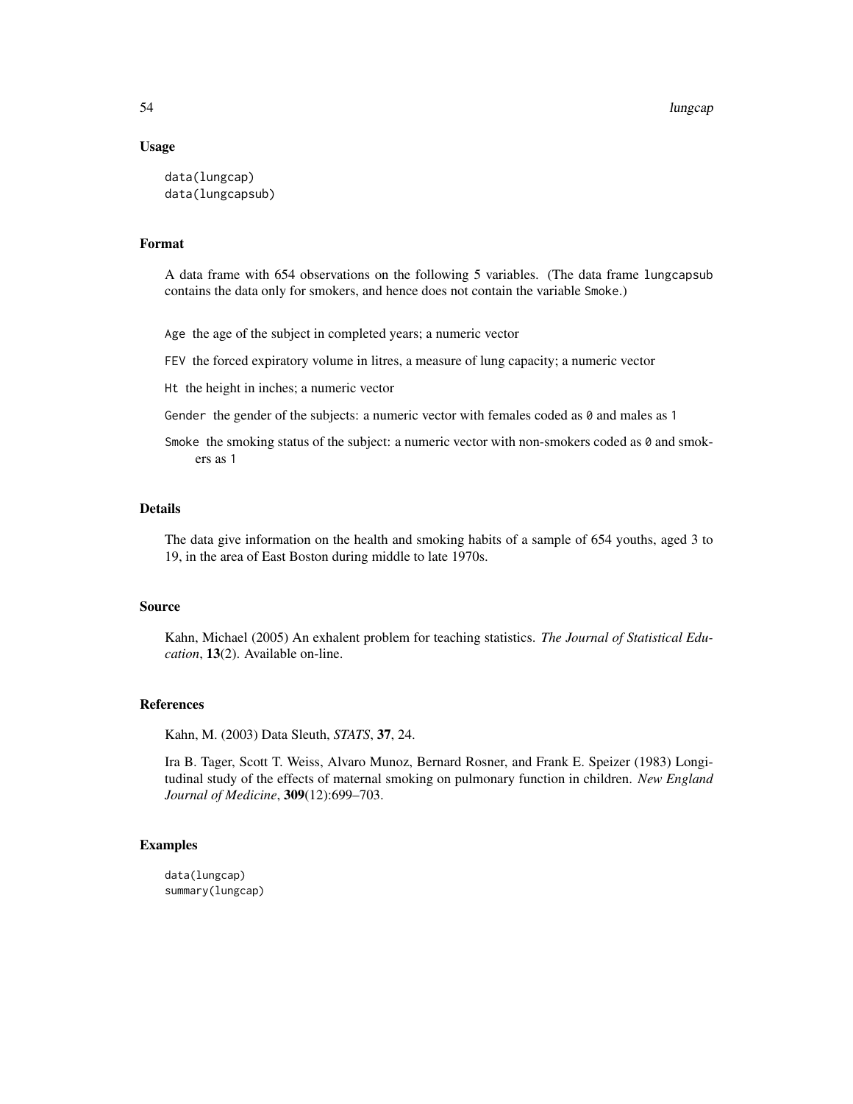### Usage

```
data(lungcap)
data(lungcapsub)
```
# Format

A data frame with 654 observations on the following 5 variables. (The data frame lungcapsub contains the data only for smokers, and hence does not contain the variable Smoke.)

Age the age of the subject in completed years; a numeric vector

FEV the forced expiratory volume in litres, a measure of lung capacity; a numeric vector

Ht the height in inches; a numeric vector

Gender the gender of the subjects: a numeric vector with females coded as  $\theta$  and males as 1

Smoke the smoking status of the subject: a numeric vector with non-smokers coded as  $\theta$  and smokers as 1

# Details

The data give information on the health and smoking habits of a sample of 654 youths, aged 3 to 19, in the area of East Boston during middle to late 1970s.

### Source

Kahn, Michael (2005) An exhalent problem for teaching statistics. *The Journal of Statistical Education*, 13(2). Available on-line.

# References

Kahn, M. (2003) Data Sleuth, *STATS*, 37, 24.

Ira B. Tager, Scott T. Weiss, Alvaro Munoz, Bernard Rosner, and Frank E. Speizer (1983) Longitudinal study of the effects of maternal smoking on pulmonary function in children. *New England Journal of Medicine*, 309(12):699–703.

### Examples

data(lungcap) summary(lungcap)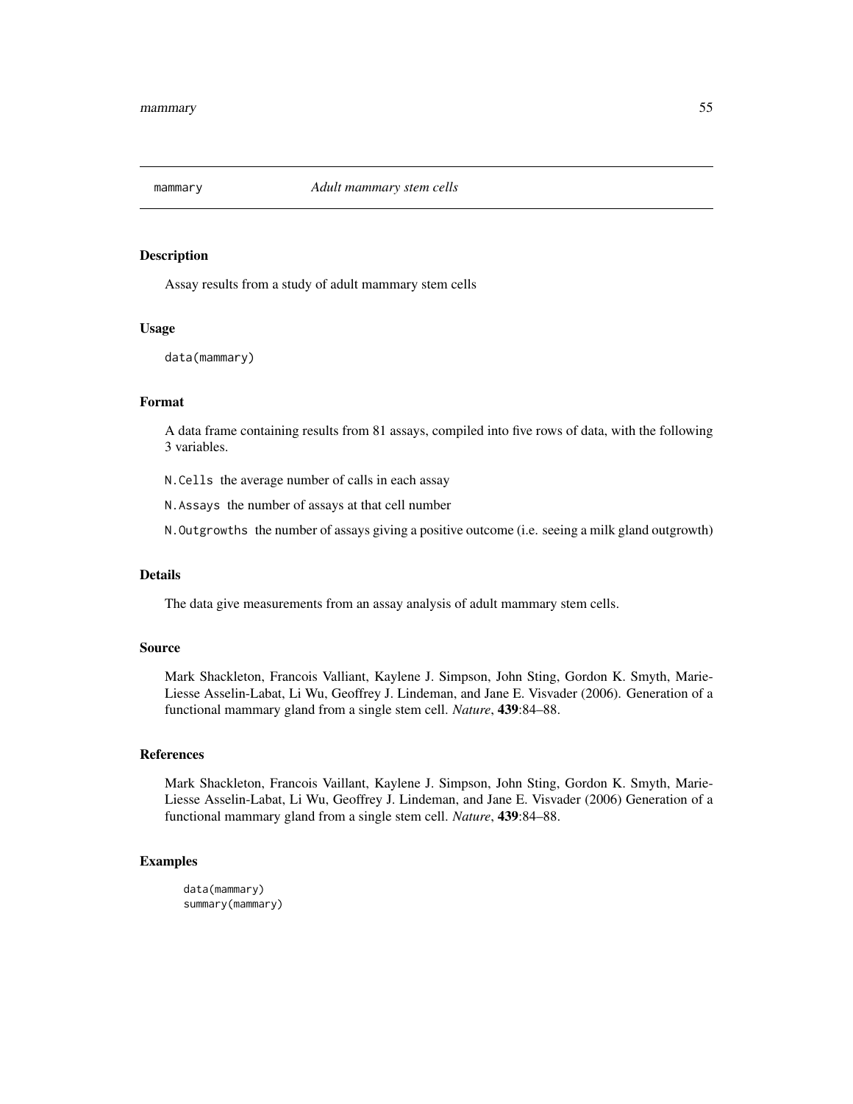Assay results from a study of adult mammary stem cells

# Usage

data(mammary)

# Format

A data frame containing results from 81 assays, compiled into five rows of data, with the following 3 variables.

N.Cells the average number of calls in each assay

N.Assays the number of assays at that cell number

N.Outgrowths the number of assays giving a positive outcome (i.e. seeing a milk gland outgrowth)

## Details

The data give measurements from an assay analysis of adult mammary stem cells.

#### Source

Mark Shackleton, Francois Valliant, Kaylene J. Simpson, John Sting, Gordon K. Smyth, Marie-Liesse Asselin-Labat, Li Wu, Geoffrey J. Lindeman, and Jane E. Visvader (2006). Generation of a functional mammary gland from a single stem cell. *Nature*, 439:84–88.

#### References

Mark Shackleton, Francois Vaillant, Kaylene J. Simpson, John Sting, Gordon K. Smyth, Marie-Liesse Asselin-Labat, Li Wu, Geoffrey J. Lindeman, and Jane E. Visvader (2006) Generation of a functional mammary gland from a single stem cell. *Nature*, 439:84–88.

```
data(mammary)
summary(mammary)
```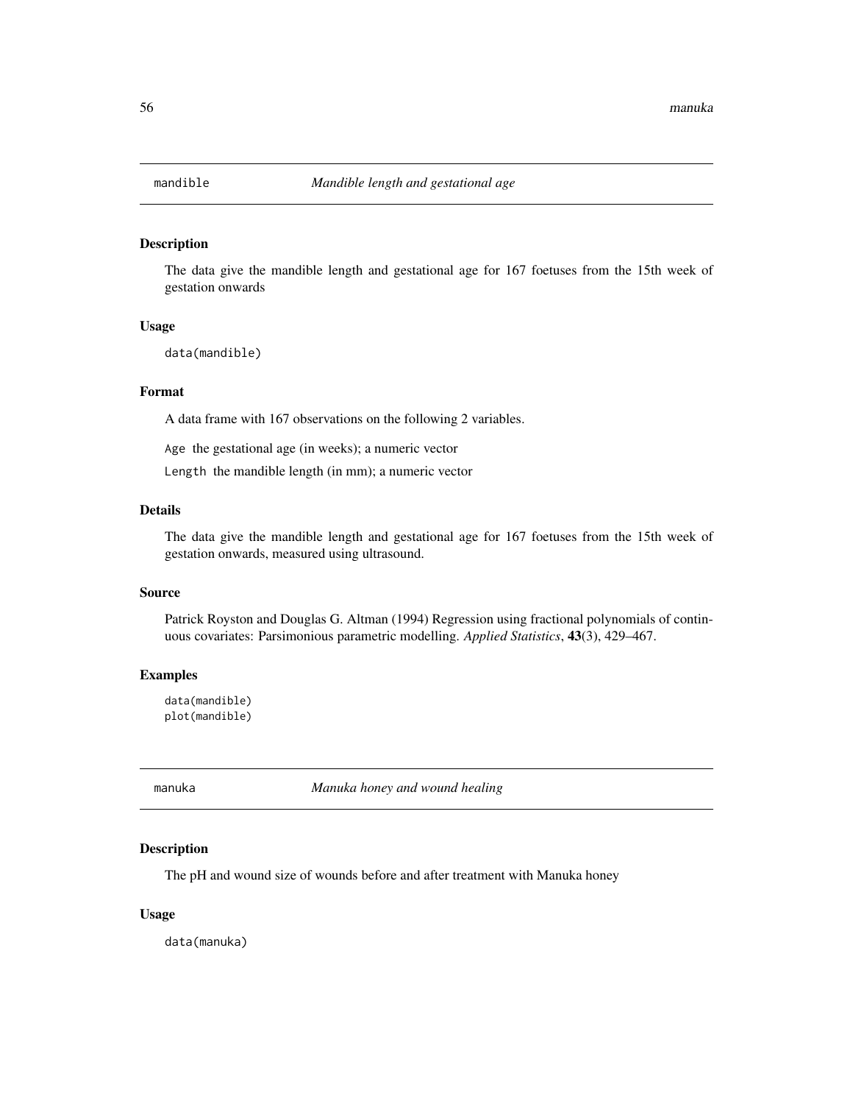The data give the mandible length and gestational age for 167 foetuses from the 15th week of gestation onwards

### Usage

data(mandible)

### Format

A data frame with 167 observations on the following 2 variables.

Age the gestational age (in weeks); a numeric vector

Length the mandible length (in mm); a numeric vector

# Details

The data give the mandible length and gestational age for 167 foetuses from the 15th week of gestation onwards, measured using ultrasound.

### Source

Patrick Royston and Douglas G. Altman (1994) Regression using fractional polynomials of continuous covariates: Parsimonious parametric modelling. *Applied Statistics*, 43(3), 429–467.

# Examples

data(mandible) plot(mandible)

manuka *Manuka honey and wound healing*

#### Description

The pH and wound size of wounds before and after treatment with Manuka honey

### Usage

data(manuka)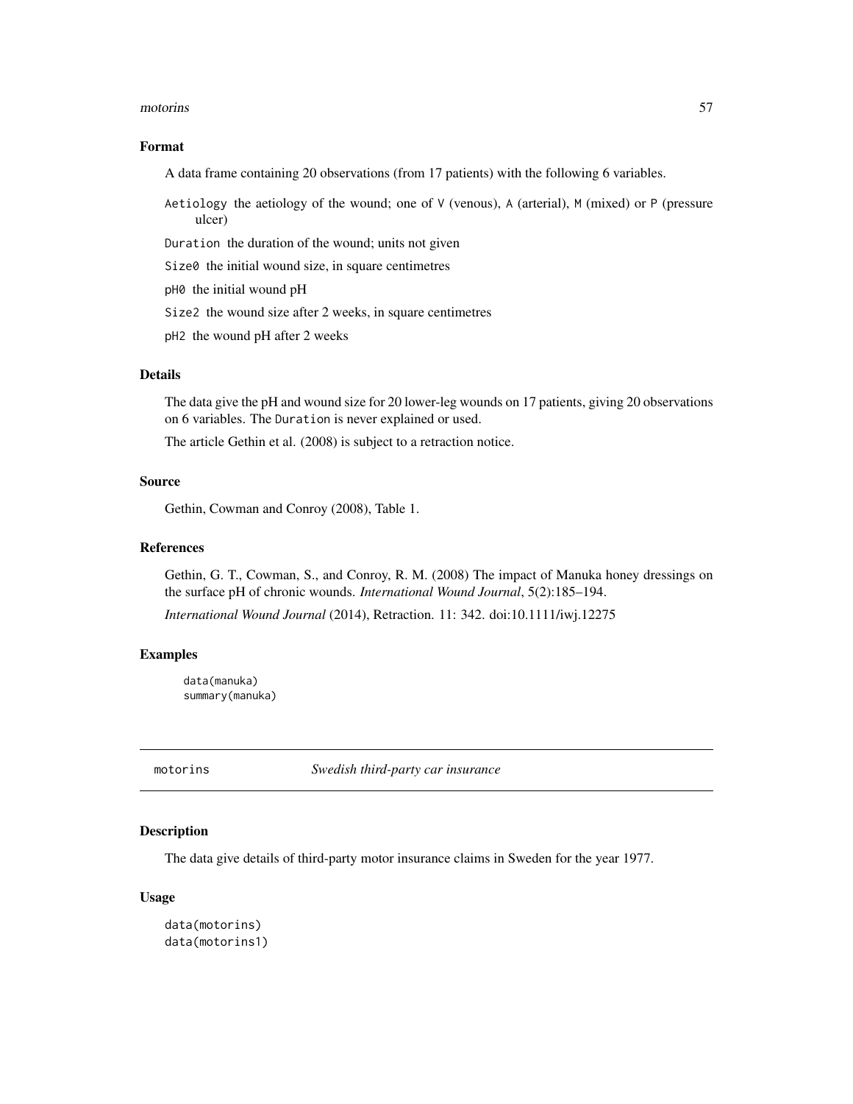#### motorins 57

### Format

A data frame containing 20 observations (from 17 patients) with the following 6 variables.

- Aetiology the aetiology of the wound; one of V (venous), A (arterial), M (mixed) or P (pressure ulcer)
- Duration the duration of the wound; units not given
- Size0 the initial wound size, in square centimetres
- pH0 the initial wound pH
- Size2 the wound size after 2 weeks, in square centimetres
- pH2 the wound pH after 2 weeks

# Details

The data give the pH and wound size for 20 lower-leg wounds on 17 patients, giving 20 observations on 6 variables. The Duration is never explained or used.

The article Gethin et al. (2008) is subject to a retraction notice.

## Source

Gethin, Cowman and Conroy (2008), Table 1.

## References

Gethin, G. T., Cowman, S., and Conroy, R. M. (2008) The impact of Manuka honey dressings on the surface pH of chronic wounds. *International Wound Journal*, 5(2):185–194.

*International Wound Journal* (2014), Retraction. 11: 342. doi:10.1111/iwj.12275

### Examples

data(manuka) summary(manuka)

motorins *Swedish third-party car insurance*

### Description

The data give details of third-party motor insurance claims in Sweden for the year 1977.

### Usage

```
data(motorins)
data(motorins1)
```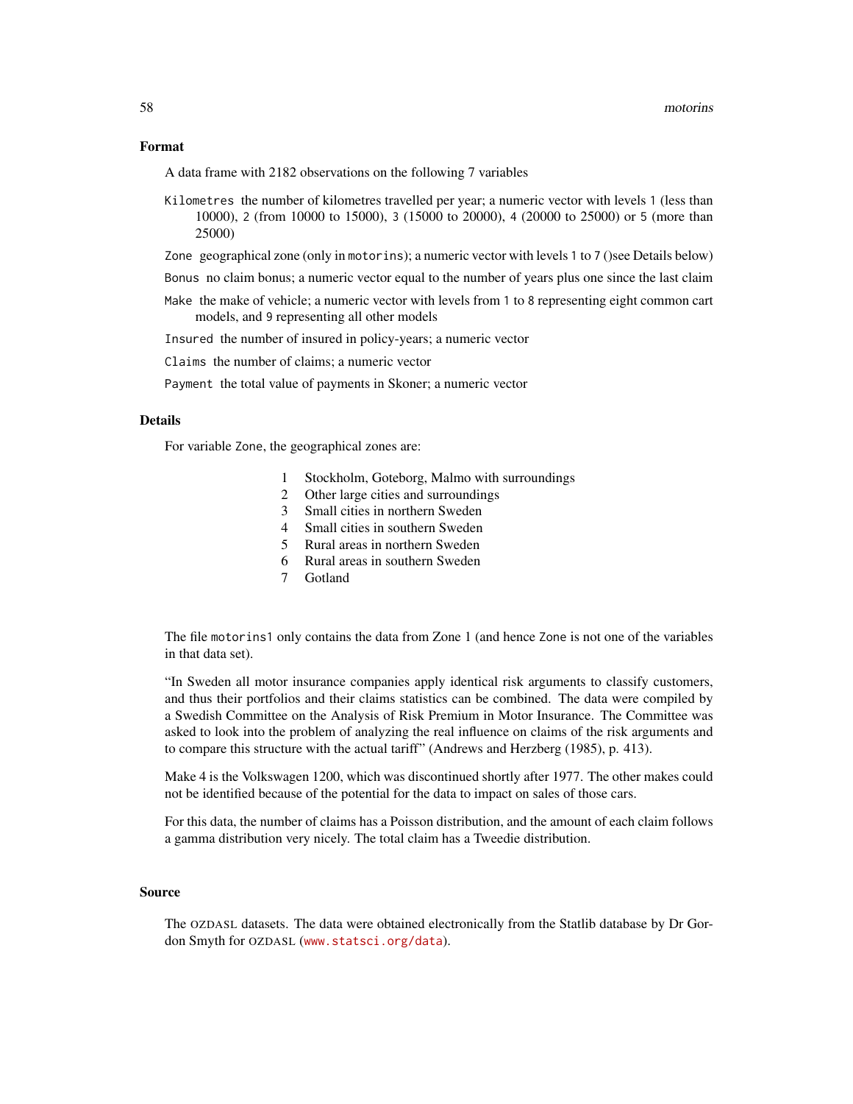#### Format

A data frame with 2182 observations on the following 7 variables

- Kilometres the number of kilometres travelled per year; a numeric vector with levels 1 (less than 10000), 2 (from 10000 to 15000), 3 (15000 to 20000), 4 (20000 to 25000) or 5 (more than 25000)
- Zone geographical zone (only in motorins); a numeric vector with levels 1 to 7 ()see Details below)
- Bonus no claim bonus; a numeric vector equal to the number of years plus one since the last claim
- Make the make of vehicle; a numeric vector with levels from 1 to 8 representing eight common cart models, and 9 representing all other models

Insured the number of insured in policy-years; a numeric vector

Claims the number of claims; a numeric vector

Payment the total value of payments in Skoner; a numeric vector

# Details

For variable Zone, the geographical zones are:

- 1 Stockholm, Goteborg, Malmo with surroundings
- 2 Other large cities and surroundings
- 3 Small cities in northern Sweden
- 4 Small cities in southern Sweden
- 5 Rural areas in northern Sweden
- 6 Rural areas in southern Sweden
- 7 Gotland

The file motorins1 only contains the data from Zone 1 (and hence Zone is not one of the variables in that data set).

"In Sweden all motor insurance companies apply identical risk arguments to classify customers, and thus their portfolios and their claims statistics can be combined. The data were compiled by a Swedish Committee on the Analysis of Risk Premium in Motor Insurance. The Committee was asked to look into the problem of analyzing the real influence on claims of the risk arguments and to compare this structure with the actual tariff" (Andrews and Herzberg (1985), p. 413).

Make 4 is the Volkswagen 1200, which was discontinued shortly after 1977. The other makes could not be identified because of the potential for the data to impact on sales of those cars.

For this data, the number of claims has a Poisson distribution, and the amount of each claim follows a gamma distribution very nicely. The total claim has a Tweedie distribution.

#### Source

The OZDASL datasets. The data were obtained electronically from the Statlib database by Dr Gordon Smyth for OZDASL (<www.statsci.org/data>).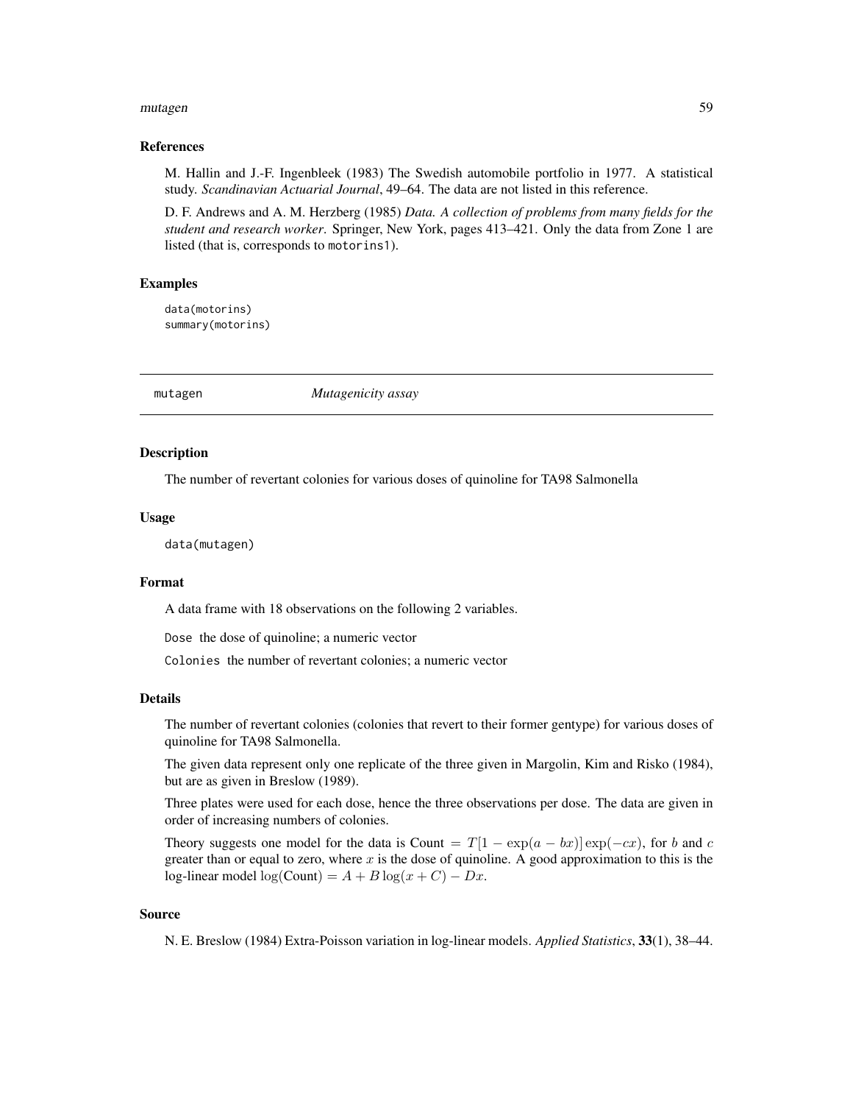#### mutagen 59 besteht in de staat 1990 besteht in de staat 1990 besteht in de staat 1990 besteht in de staat 1990

### References

M. Hallin and J.-F. Ingenbleek (1983) The Swedish automobile portfolio in 1977. A statistical study. *Scandinavian Actuarial Journal*, 49–64. The data are not listed in this reference.

D. F. Andrews and A. M. Herzberg (1985) *Data. A collection of problems from many fields for the student and research worker*. Springer, New York, pages 413–421. Only the data from Zone 1 are listed (that is, corresponds to motorins1).

# Examples

data(motorins) summary(motorins)

mutagen *Mutagenicity assay*

# Description

The number of revertant colonies for various doses of quinoline for TA98 Salmonella

#### Usage

data(mutagen)

# Format

A data frame with 18 observations on the following 2 variables.

Dose the dose of quinoline; a numeric vector

Colonies the number of revertant colonies; a numeric vector

#### Details

The number of revertant colonies (colonies that revert to their former gentype) for various doses of quinoline for TA98 Salmonella.

The given data represent only one replicate of the three given in Margolin, Kim and Risko (1984), but are as given in Breslow (1989).

Three plates were used for each dose, hence the three observations per dose. The data are given in order of increasing numbers of colonies.

Theory suggests one model for the data is Count =  $T[1 - \exp(a - bx)] \exp(-cx)$ , for b and c greater than or equal to zero, where x is the dose of quinoline. A good approximation to this is the log-linear model log(Count) =  $A + B \log(x + C) - Dx$ .

### Source

N. E. Breslow (1984) Extra-Poisson variation in log-linear models. *Applied Statistics*, 33(1), 38–44.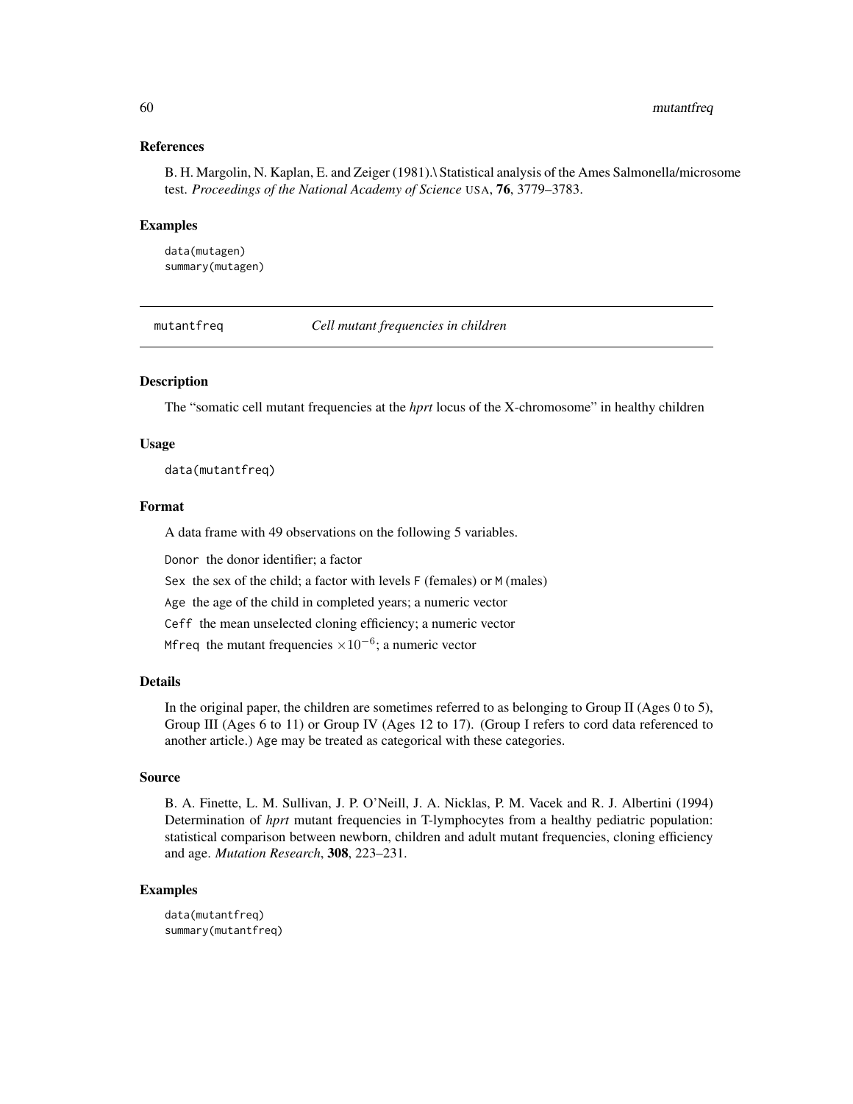## References

B. H. Margolin, N. Kaplan, E. and Zeiger (1981).\ Statistical analysis of the Ames Salmonella/microsome test. *Proceedings of the National Academy of Science* USA, 76, 3779–3783.

#### Examples

data(mutagen) summary(mutagen)

mutantfreq *Cell mutant frequencies in children*

## **Description**

The "somatic cell mutant frequencies at the *hprt* locus of the X-chromosome" in healthy children

### Usage

data(mutantfreq)

#### Format

A data frame with 49 observations on the following 5 variables.

Donor the donor identifier; a factor

Sex the sex of the child; a factor with levels F (females) or M (males)

Age the age of the child in completed years; a numeric vector

Ceff the mean unselected cloning efficiency; a numeric vector

Mfreq the mutant frequencies  $\times 10^{-6}$ ; a numeric vector

# Details

In the original paper, the children are sometimes referred to as belonging to Group II (Ages 0 to 5), Group III (Ages 6 to 11) or Group IV (Ages 12 to 17). (Group I refers to cord data referenced to another article.) Age may be treated as categorical with these categories.

#### Source

B. A. Finette, L. M. Sullivan, J. P. O'Neill, J. A. Nicklas, P. M. Vacek and R. J. Albertini (1994) Determination of *hprt* mutant frequencies in T-lymphocytes from a healthy pediatric population: statistical comparison between newborn, children and adult mutant frequencies, cloning efficiency and age. *Mutation Research*, 308, 223–231.

```
data(mutantfreq)
summary(mutantfreq)
```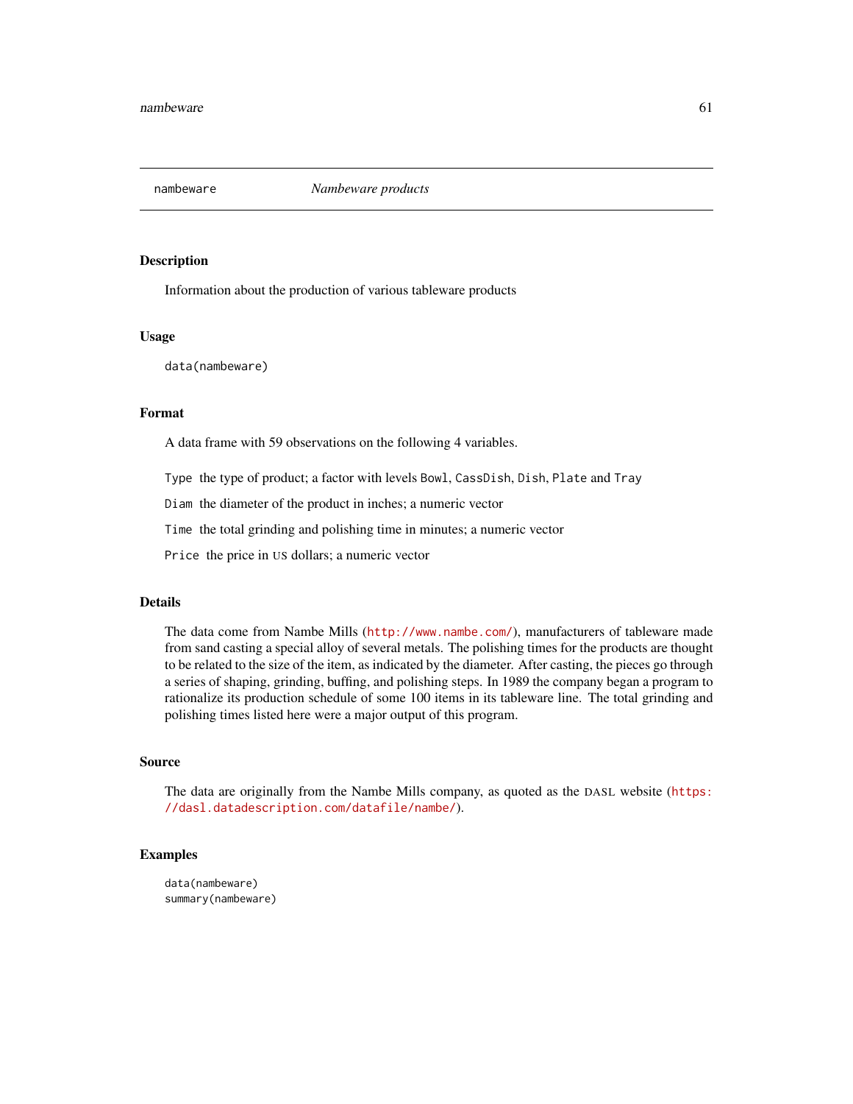Information about the production of various tableware products

# Usage

data(nambeware)

# Format

A data frame with 59 observations on the following 4 variables.

Type the type of product; a factor with levels Bowl, CassDish, Dish, Plate and Tray

Diam the diameter of the product in inches; a numeric vector

Time the total grinding and polishing time in minutes; a numeric vector

Price the price in US dollars; a numeric vector

## Details

The data come from Nambe Mills (<http://www.nambe.com/>), manufacturers of tableware made from sand casting a special alloy of several metals. The polishing times for the products are thought to be related to the size of the item, as indicated by the diameter. After casting, the pieces go through a series of shaping, grinding, buffing, and polishing steps. In 1989 the company began a program to rationalize its production schedule of some 100 items in its tableware line. The total grinding and polishing times listed here were a major output of this program.

### Source

The data are originally from the Nambe Mills company, as quoted as the DASL website ([https:](https://dasl.datadescription.com/datafile/nambe/) [//dasl.datadescription.com/datafile/nambe/](https://dasl.datadescription.com/datafile/nambe/)).

#### Examples

data(nambeware) summary(nambeware)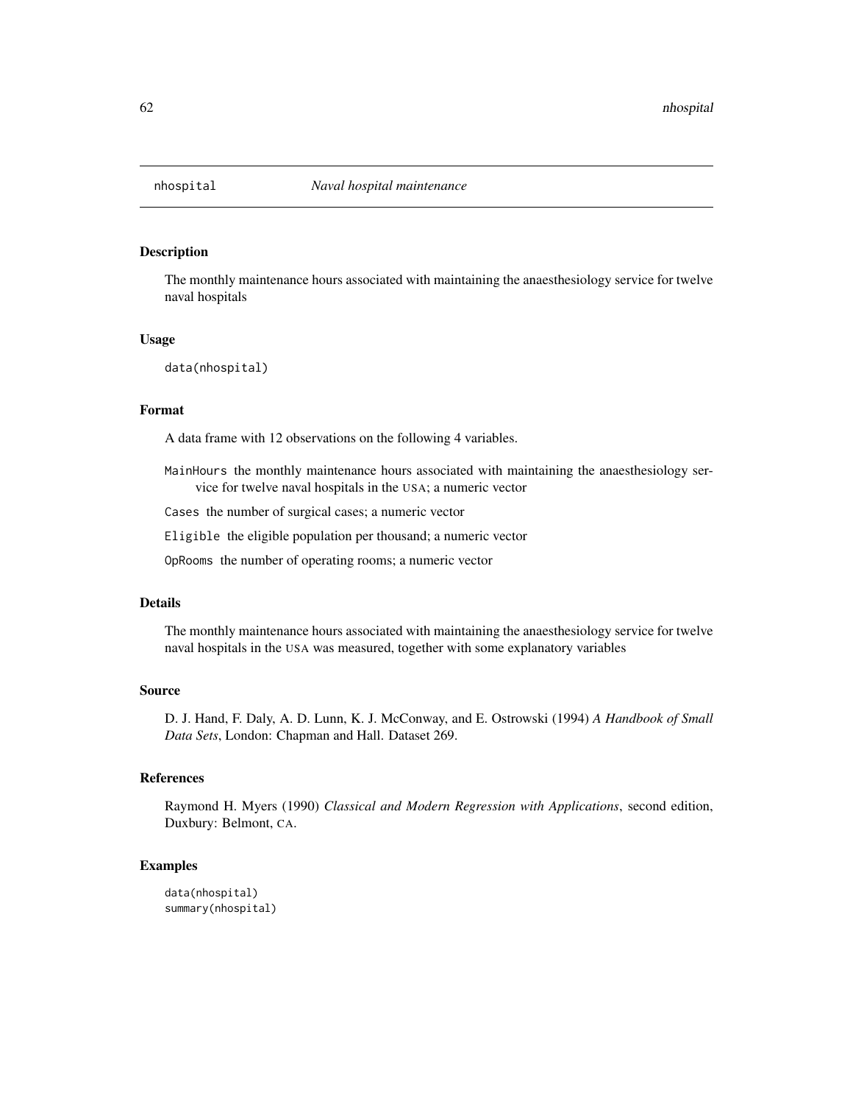The monthly maintenance hours associated with maintaining the anaesthesiology service for twelve naval hospitals

#### Usage

data(nhospital)

### Format

A data frame with 12 observations on the following 4 variables.

MainHours the monthly maintenance hours associated with maintaining the anaesthesiology service for twelve naval hospitals in the USA; a numeric vector

Cases the number of surgical cases; a numeric vector

Eligible the eligible population per thousand; a numeric vector

OpRooms the number of operating rooms; a numeric vector

## Details

The monthly maintenance hours associated with maintaining the anaesthesiology service for twelve naval hospitals in the USA was measured, together with some explanatory variables

#### Source

D. J. Hand, F. Daly, A. D. Lunn, K. J. McConway, and E. Ostrowski (1994) *A Handbook of Small Data Sets*, London: Chapman and Hall. Dataset 269.

# References

Raymond H. Myers (1990) *Classical and Modern Regression with Applications*, second edition, Duxbury: Belmont, CA.

```
data(nhospital)
summary(nhospital)
```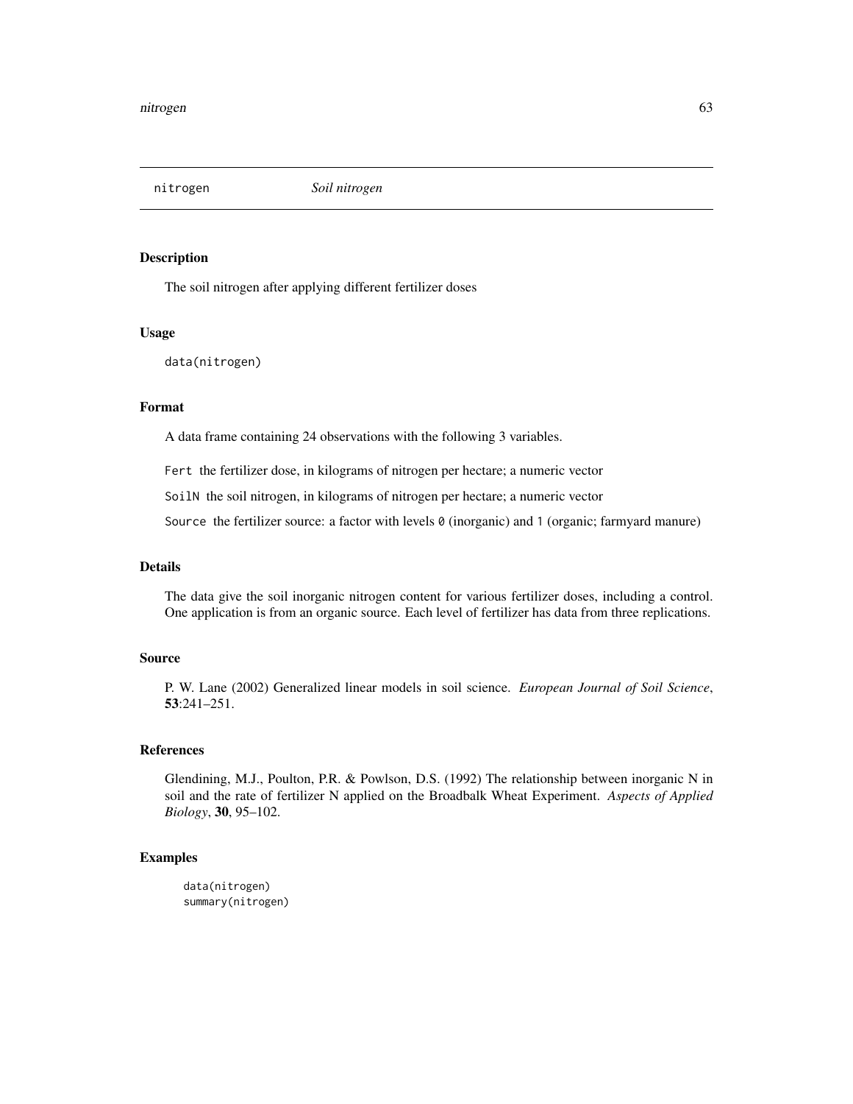nitrogen *Soil nitrogen*

### Description

The soil nitrogen after applying different fertilizer doses

#### Usage

data(nitrogen)

# Format

A data frame containing 24 observations with the following 3 variables.

Fert the fertilizer dose, in kilograms of nitrogen per hectare; a numeric vector

SoilN the soil nitrogen, in kilograms of nitrogen per hectare; a numeric vector

Source the fertilizer source: a factor with levels 0 (inorganic) and 1 (organic; farmyard manure)

# Details

The data give the soil inorganic nitrogen content for various fertilizer doses, including a control. One application is from an organic source. Each level of fertilizer has data from three replications.

#### Source

P. W. Lane (2002) Generalized linear models in soil science. *European Journal of Soil Science*, 53:241–251.

#### References

Glendining, M.J., Poulton, P.R. & Powlson, D.S. (1992) The relationship between inorganic N in soil and the rate of fertilizer N applied on the Broadbalk Wheat Experiment. *Aspects of Applied Biology*, 30, 95–102.

# Examples

data(nitrogen) summary(nitrogen)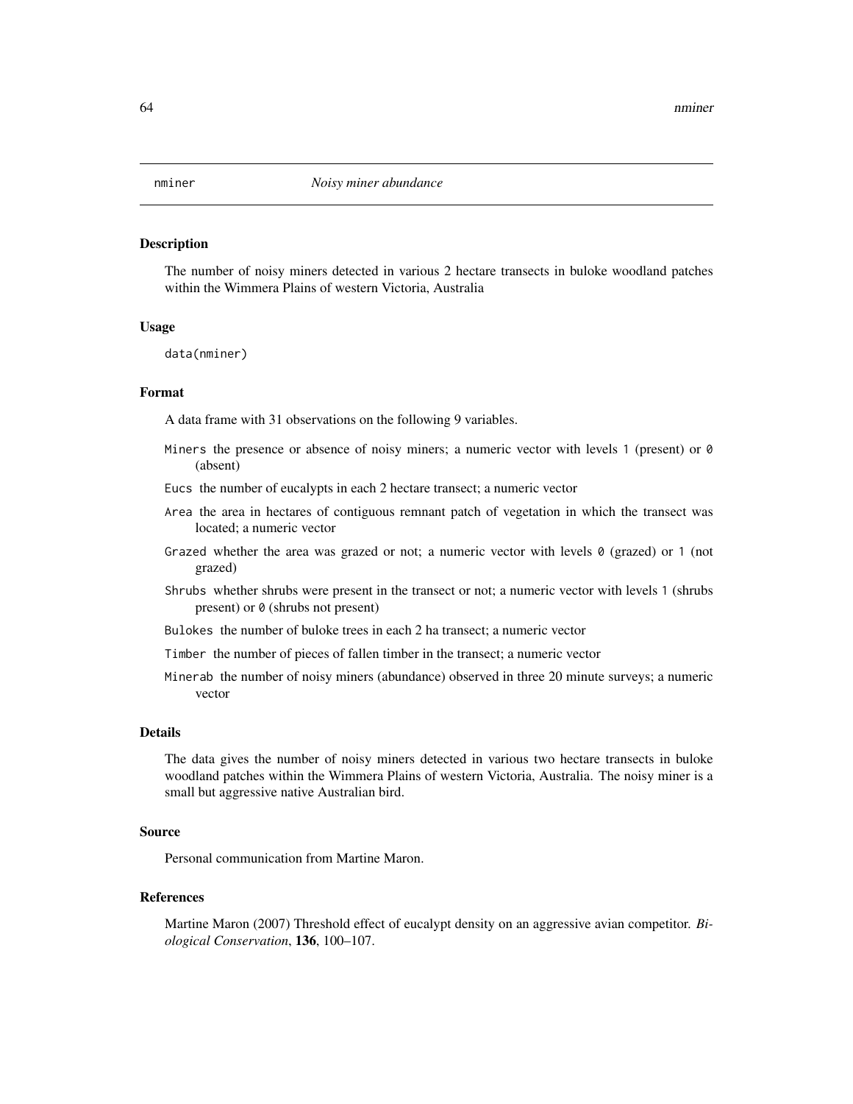The number of noisy miners detected in various 2 hectare transects in buloke woodland patches within the Wimmera Plains of western Victoria, Australia

#### Usage

data(nminer)

## Format

A data frame with 31 observations on the following 9 variables.

- Miners the presence or absence of noisy miners; a numeric vector with levels 1 (present) or 0 (absent)
- Eucs the number of eucalypts in each 2 hectare transect; a numeric vector
- Area the area in hectares of contiguous remnant patch of vegetation in which the transect was located; a numeric vector
- Grazed whether the area was grazed or not; a numeric vector with levels  $\theta$  (grazed) or 1 (not grazed)
- Shrubs whether shrubs were present in the transect or not; a numeric vector with levels 1 (shrubs present) or 0 (shrubs not present)
- Bulokes the number of buloke trees in each 2 ha transect; a numeric vector
- Timber the number of pieces of fallen timber in the transect; a numeric vector
- Minerab the number of noisy miners (abundance) observed in three 20 minute surveys; a numeric vector

#### Details

The data gives the number of noisy miners detected in various two hectare transects in buloke woodland patches within the Wimmera Plains of western Victoria, Australia. The noisy miner is a small but aggressive native Australian bird.

### Source

Personal communication from Martine Maron.

### References

Martine Maron (2007) Threshold effect of eucalypt density on an aggressive avian competitor. *Biological Conservation*, 136, 100–107.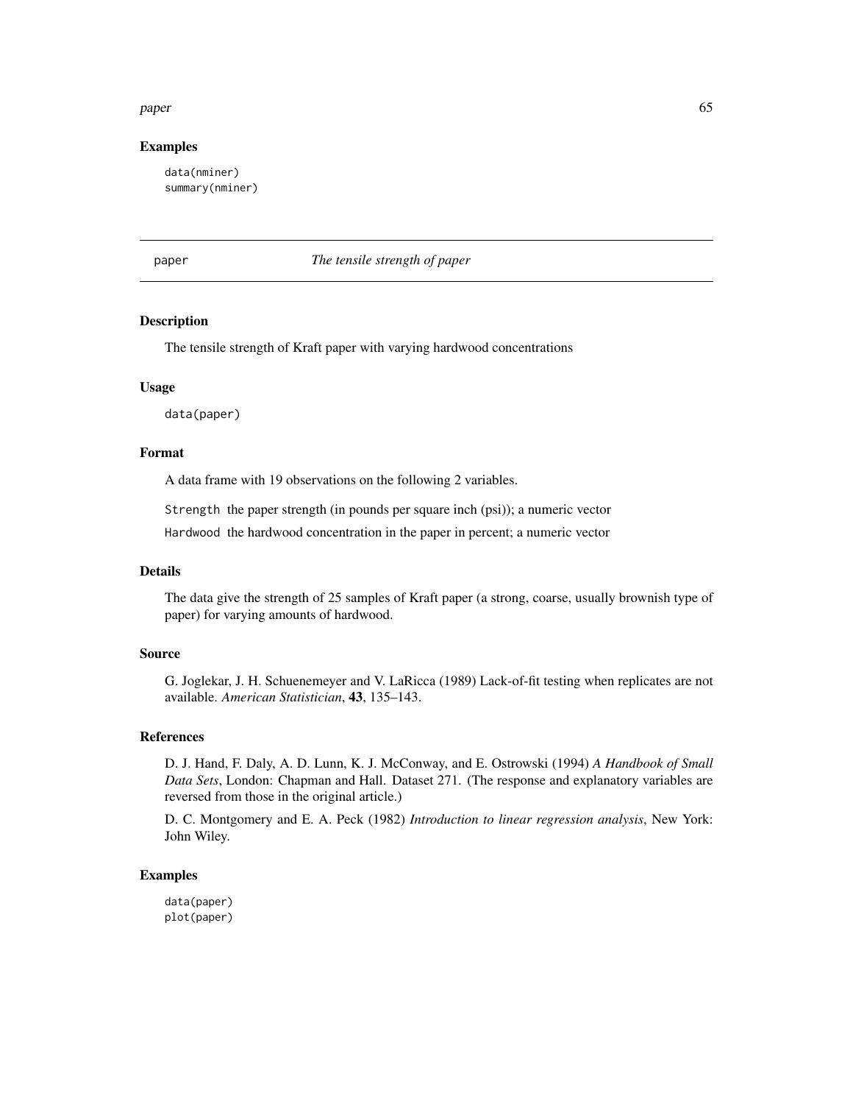### paper 65

### Examples

data(nminer) summary(nminer)

paper *The tensile strength of paper*

# Description

The tensile strength of Kraft paper with varying hardwood concentrations

## Usage

data(paper)

# Format

A data frame with 19 observations on the following 2 variables.

Strength the paper strength (in pounds per square inch (psi)); a numeric vector

Hardwood the hardwood concentration in the paper in percent; a numeric vector

## Details

The data give the strength of 25 samples of Kraft paper (a strong, coarse, usually brownish type of paper) for varying amounts of hardwood.

### Source

G. Joglekar, J. H. Schuenemeyer and V. LaRicca (1989) Lack-of-fit testing when replicates are not available. *American Statistician*, 43, 135–143.

# References

D. J. Hand, F. Daly, A. D. Lunn, K. J. McConway, and E. Ostrowski (1994) *A Handbook of Small Data Sets*, London: Chapman and Hall. Dataset 271. (The response and explanatory variables are reversed from those in the original article.)

D. C. Montgomery and E. A. Peck (1982) *Introduction to linear regression analysis*, New York: John Wiley.

### Examples

data(paper) plot(paper)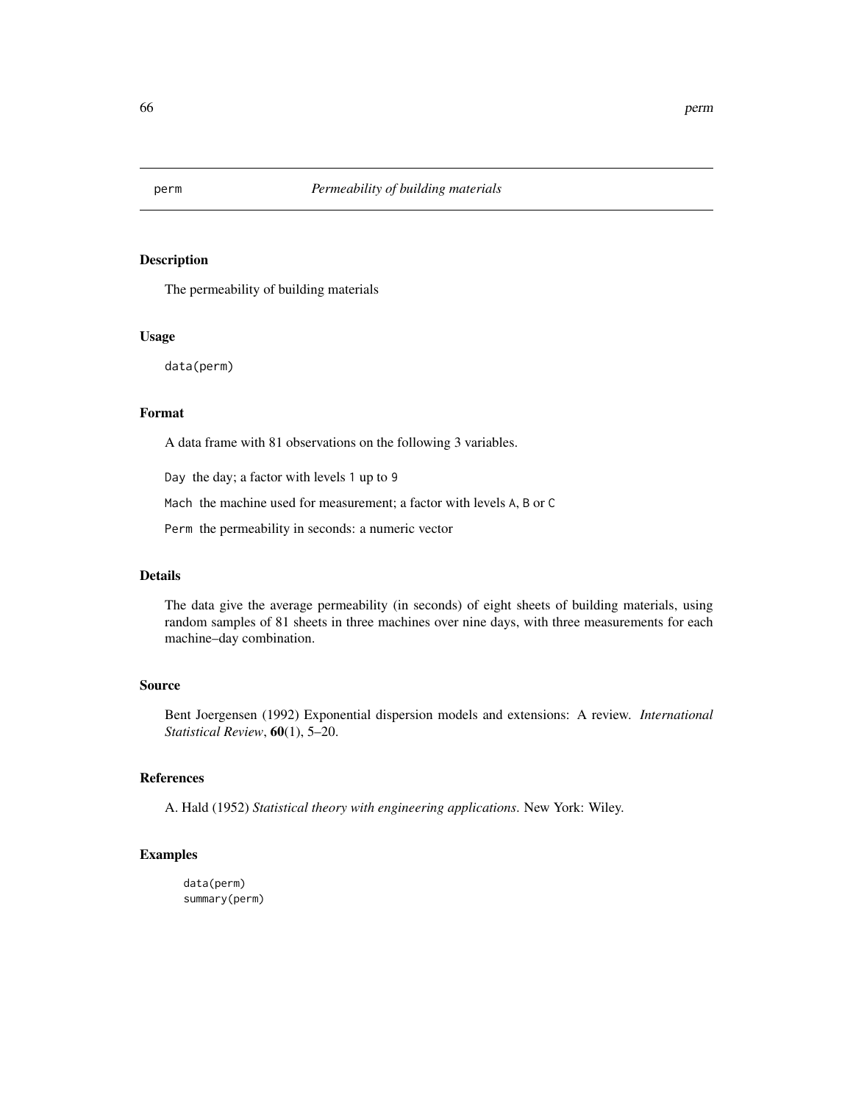The permeability of building materials

# Usage

data(perm)

# Format

A data frame with 81 observations on the following 3 variables.

Day the day; a factor with levels 1 up to 9

Mach the machine used for measurement; a factor with levels A, B or C

Perm the permeability in seconds: a numeric vector

## Details

The data give the average permeability (in seconds) of eight sheets of building materials, using random samples of 81 sheets in three machines over nine days, with three measurements for each machine–day combination.

# Source

Bent Joergensen (1992) Exponential dispersion models and extensions: A review. *International Statistical Review*, 60(1), 5–20.

# References

A. Hald (1952) *Statistical theory with engineering applications*. New York: Wiley.

# Examples

data(perm) summary(perm)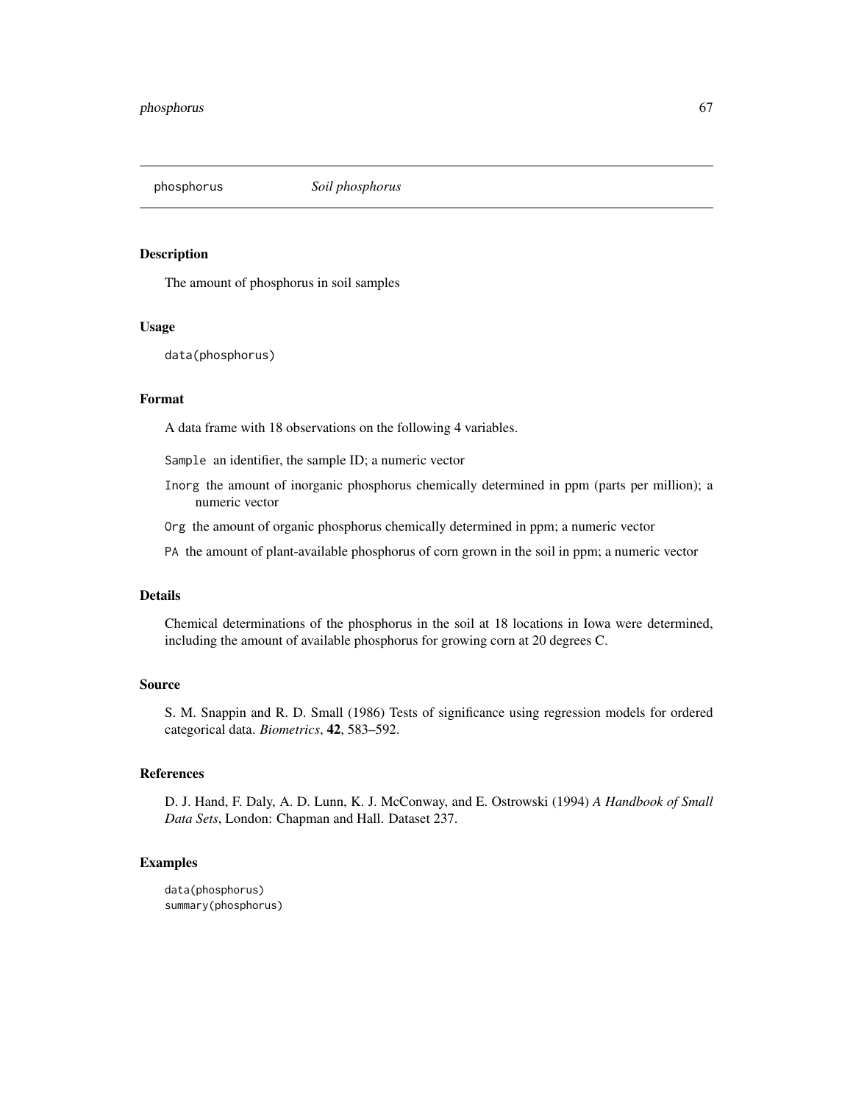phosphorus *Soil phosphorus*

# Description

The amount of phosphorus in soil samples

# Usage

data(phosphorus)

# Format

A data frame with 18 observations on the following 4 variables.

Sample an identifier, the sample ID; a numeric vector

Inorg the amount of inorganic phosphorus chemically determined in ppm (parts per million); a numeric vector

Org the amount of organic phosphorus chemically determined in ppm; a numeric vector

PA the amount of plant-available phosphorus of corn grown in the soil in ppm; a numeric vector

#### Details

Chemical determinations of the phosphorus in the soil at 18 locations in Iowa were determined, including the amount of available phosphorus for growing corn at 20 degrees C.

#### Source

S. M. Snappin and R. D. Small (1986) Tests of significance using regression models for ordered categorical data. *Biometrics*, 42, 583–592.

# References

D. J. Hand, F. Daly, A. D. Lunn, K. J. McConway, and E. Ostrowski (1994) *A Handbook of Small Data Sets*, London: Chapman and Hall. Dataset 237.

# Examples

data(phosphorus) summary(phosphorus)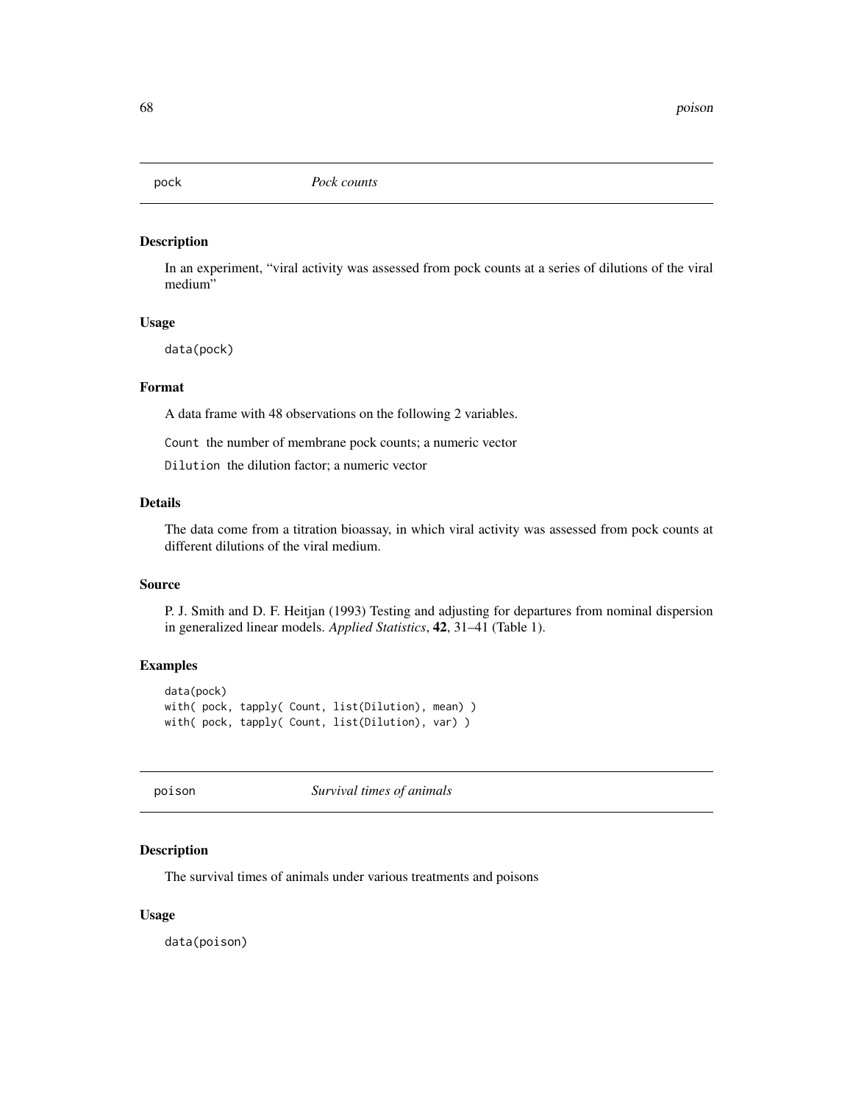In an experiment, "viral activity was assessed from pock counts at a series of dilutions of the viral medium"

# Usage

data(pock)

# Format

A data frame with 48 observations on the following 2 variables.

Count the number of membrane pock counts; a numeric vector

Dilution the dilution factor; a numeric vector

### Details

The data come from a titration bioassay, in which viral activity was assessed from pock counts at different dilutions of the viral medium.

# Source

P. J. Smith and D. F. Heitjan (1993) Testing and adjusting for departures from nominal dispersion in generalized linear models. *Applied Statistics*, 42, 31–41 (Table 1).

# Examples

data(pock) with( pock, tapply( Count, list(Dilution), mean) ) with( pock, tapply( Count, list(Dilution), var) )

poison *Survival times of animals*

# Description

The survival times of animals under various treatments and poisons

### Usage

data(poison)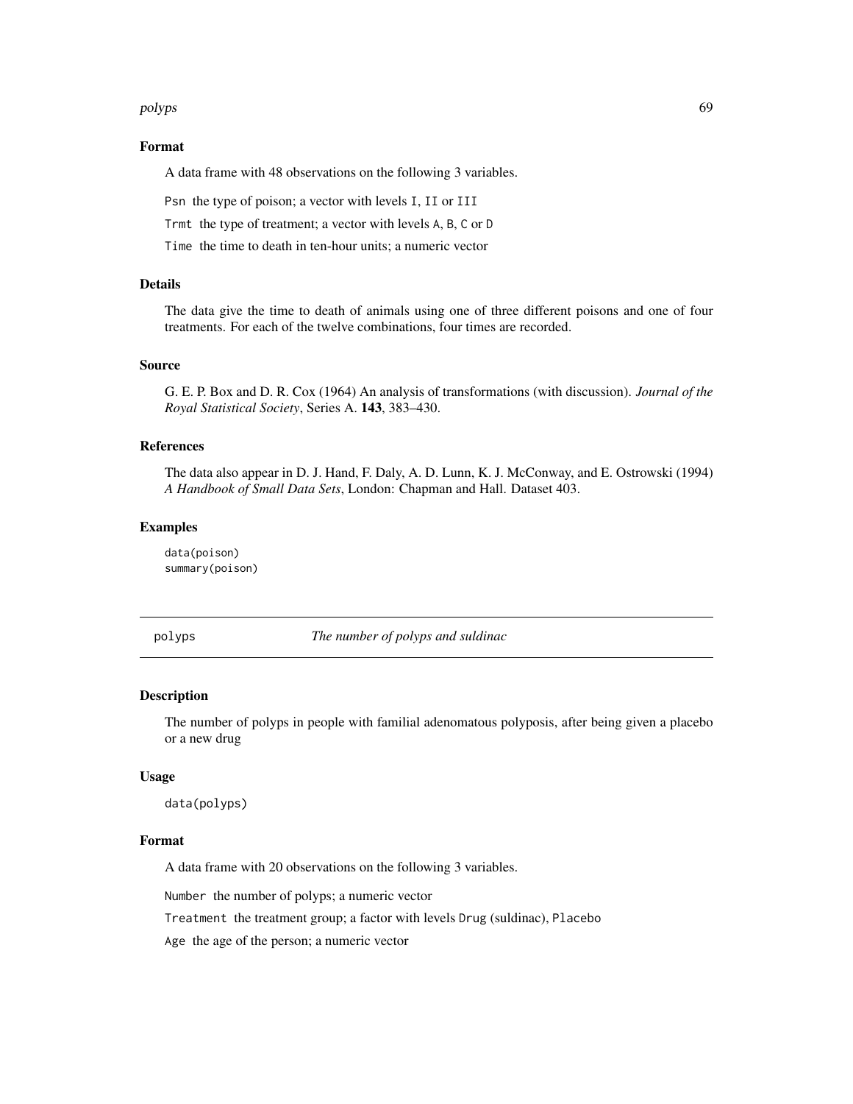#### polyps and the contract of the contract of the contract of the contract of the contract of the contract of the contract of the contract of the contract of the contract of the contract of the contract of the contract of the

### Format

A data frame with 48 observations on the following 3 variables.

Psn the type of poison; a vector with levels I, II or III

Trmt the type of treatment; a vector with levels A, B, C or D

Time the time to death in ten-hour units; a numeric vector

# Details

The data give the time to death of animals using one of three different poisons and one of four treatments. For each of the twelve combinations, four times are recorded.

## Source

G. E. P. Box and D. R. Cox (1964) An analysis of transformations (with discussion). *Journal of the Royal Statistical Society*, Series A. 143, 383–430.

# References

The data also appear in D. J. Hand, F. Daly, A. D. Lunn, K. J. McConway, and E. Ostrowski (1994) *A Handbook of Small Data Sets*, London: Chapman and Hall. Dataset 403.

# Examples

data(poison) summary(poison)

polyps *The number of polyps and suldinac*

#### Description

The number of polyps in people with familial adenomatous polyposis, after being given a placebo or a new drug

## Usage

data(polyps)

#### Format

A data frame with 20 observations on the following 3 variables.

Number the number of polyps; a numeric vector

Treatment the treatment group; a factor with levels Drug (suldinac), Placebo

Age the age of the person; a numeric vector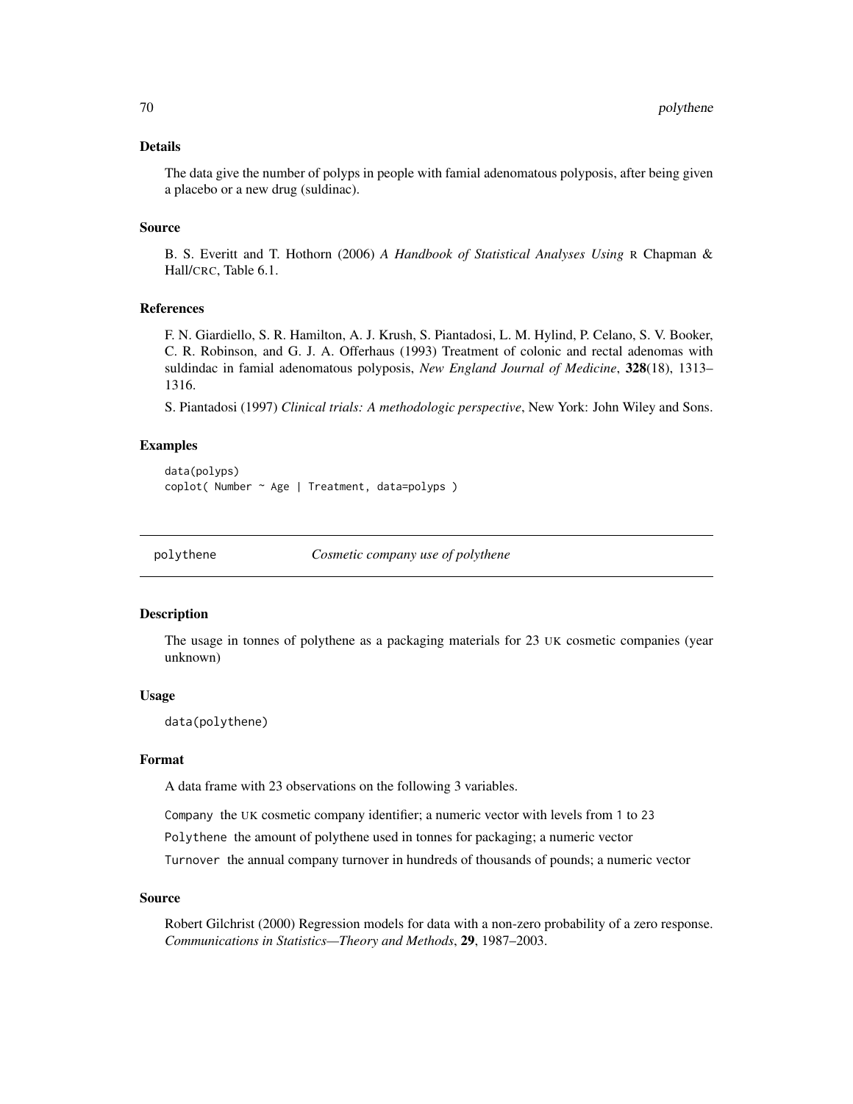# Details

The data give the number of polyps in people with famial adenomatous polyposis, after being given a placebo or a new drug (suldinac).

### Source

B. S. Everitt and T. Hothorn (2006) *A Handbook of Statistical Analyses Using* R Chapman & Hall/CRC, Table 6.1.

## References

F. N. Giardiello, S. R. Hamilton, A. J. Krush, S. Piantadosi, L. M. Hylind, P. Celano, S. V. Booker, C. R. Robinson, and G. J. A. Offerhaus (1993) Treatment of colonic and rectal adenomas with suldindac in famial adenomatous polyposis, *New England Journal of Medicine*, 328(18), 1313– 1316.

S. Piantadosi (1997) *Clinical trials: A methodologic perspective*, New York: John Wiley and Sons.

## Examples

```
data(polyps)
coplot( Number ~ Age | Treatment, data=polyps )
```
polythene *Cosmetic company use of polythene*

#### **Description**

The usage in tonnes of polythene as a packaging materials for 23 UK cosmetic companies (year unknown)

#### Usage

data(polythene)

## Format

A data frame with 23 observations on the following 3 variables.

Company the UK cosmetic company identifier; a numeric vector with levels from 1 to 23

Polythene the amount of polythene used in tonnes for packaging; a numeric vector

Turnover the annual company turnover in hundreds of thousands of pounds; a numeric vector

### Source

Robert Gilchrist (2000) Regression models for data with a non-zero probability of a zero response. *Communications in Statistics—Theory and Methods*, 29, 1987–2003.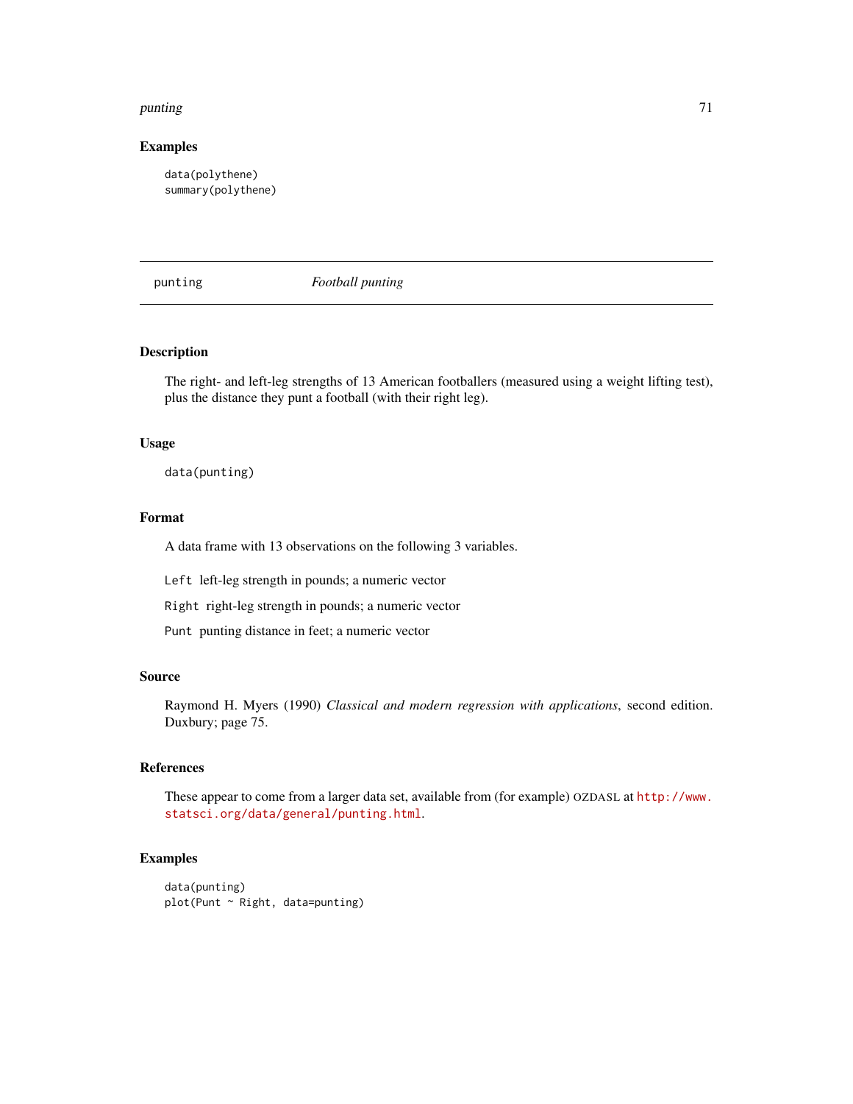### punting 21 and 2012 2013 2014 2015 2016 2017 2018 2019 2017 2018 2019 2017 2018 2019 2019 2017 2018 2019 2019

### Examples

data(polythene) summary(polythene)

punting *Football punting*

# **Description**

The right- and left-leg strengths of 13 American footballers (measured using a weight lifting test), plus the distance they punt a football (with their right leg).

#### Usage

data(punting)

#### Format

A data frame with 13 observations on the following 3 variables.

Left left-leg strength in pounds; a numeric vector

Right right-leg strength in pounds; a numeric vector

Punt punting distance in feet; a numeric vector

# Source

Raymond H. Myers (1990) *Classical and modern regression with applications*, second edition. Duxbury; page 75.

# References

These appear to come from a larger data set, available from (for example) OZDASL at [http://www.](http://www.statsci.org/data/general/punting.html) [statsci.org/data/general/punting.html](http://www.statsci.org/data/general/punting.html).

```
data(punting)
plot(Punt ~ Right, data=punting)
```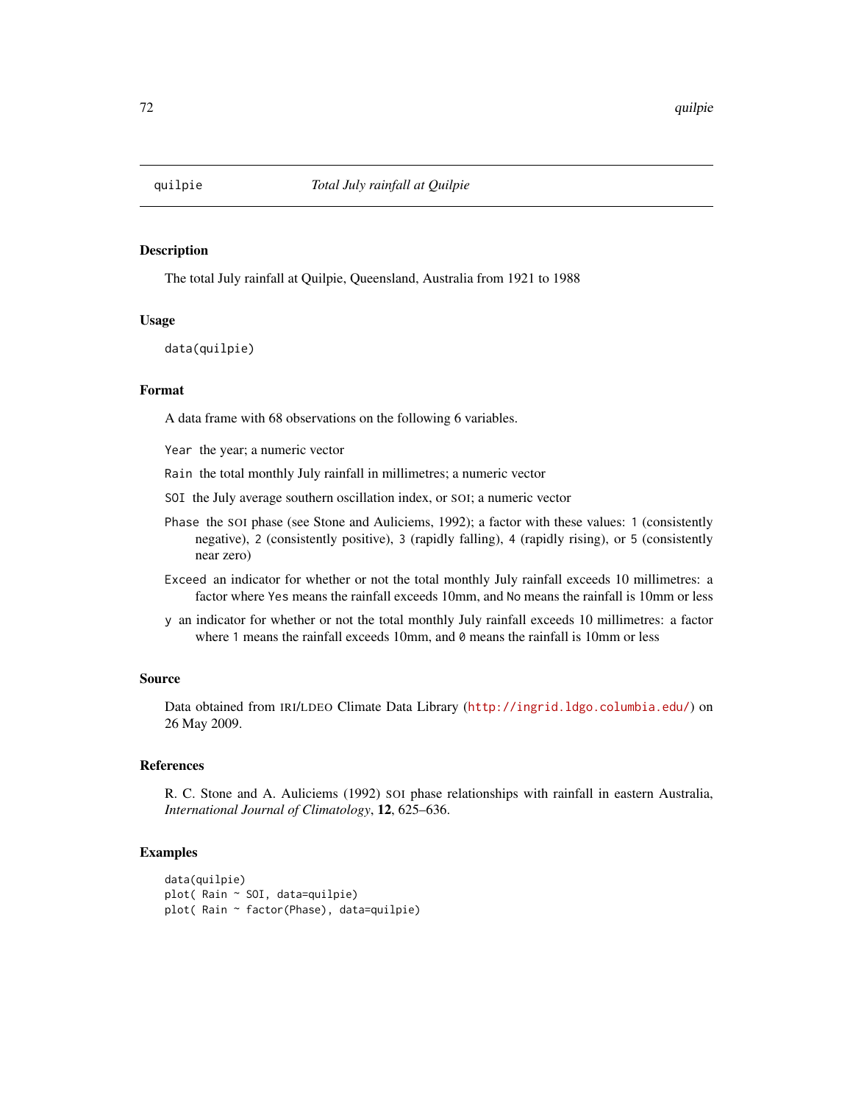The total July rainfall at Quilpie, Queensland, Australia from 1921 to 1988

## Usage

data(quilpie)

# Format

A data frame with 68 observations on the following 6 variables.

Year the year; a numeric vector

Rain the total monthly July rainfall in millimetres; a numeric vector

SOI the July average southern oscillation index, or SOI; a numeric vector

- Phase the SOI phase (see Stone and Auliciems, 1992); a factor with these values: 1 (consistently negative), 2 (consistently positive), 3 (rapidly falling), 4 (rapidly rising), or 5 (consistently near zero)
- Exceed an indicator for whether or not the total monthly July rainfall exceeds 10 millimetres: a factor where Yes means the rainfall exceeds 10mm, and No means the rainfall is 10mm or less
- y an indicator for whether or not the total monthly July rainfall exceeds 10 millimetres: a factor where 1 means the rainfall exceeds 10mm, and 0 means the rainfall is 10mm or less

#### Source

Data obtained from IRI/LDEO Climate Data Library (<http://ingrid.ldgo.columbia.edu/>) on 26 May 2009.

## References

R. C. Stone and A. Auliciems (1992) SOI phase relationships with rainfall in eastern Australia, *International Journal of Climatology*, 12, 625–636.

```
data(quilpie)
plot( Rain ~ SOI, data=quilpie)
plot( Rain ~ factor(Phase), data=quilpie)
```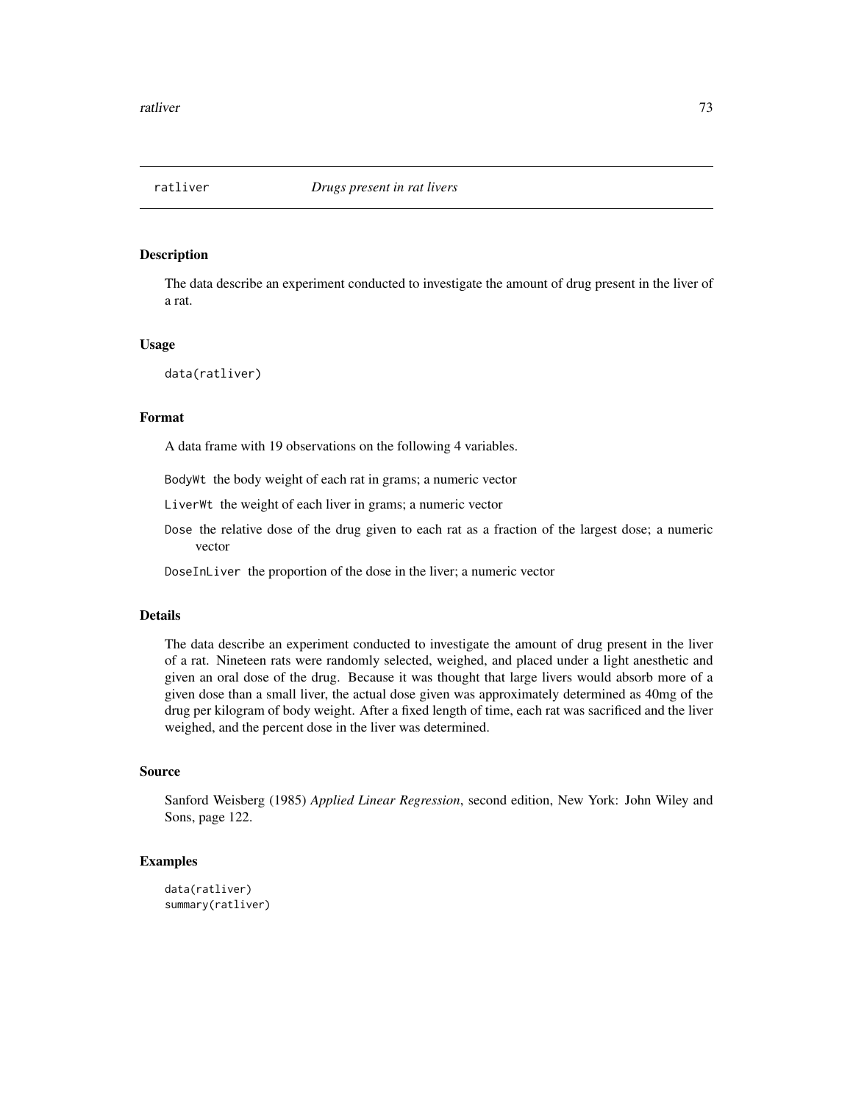<span id="page-72-0"></span>

The data describe an experiment conducted to investigate the amount of drug present in the liver of a rat.

#### Usage

data(ratliver)

# Format

A data frame with 19 observations on the following 4 variables.

BodyWt the body weight of each rat in grams; a numeric vector

LiverWt the weight of each liver in grams; a numeric vector

Dose the relative dose of the drug given to each rat as a fraction of the largest dose; a numeric vector

DoseInLiver the proportion of the dose in the liver; a numeric vector

# Details

The data describe an experiment conducted to investigate the amount of drug present in the liver of a rat. Nineteen rats were randomly selected, weighed, and placed under a light anesthetic and given an oral dose of the drug. Because it was thought that large livers would absorb more of a given dose than a small liver, the actual dose given was approximately determined as 40mg of the drug per kilogram of body weight. After a fixed length of time, each rat was sacrificed and the liver weighed, and the percent dose in the liver was determined.

# Source

Sanford Weisberg (1985) *Applied Linear Regression*, second edition, New York: John Wiley and Sons, page 122.

```
data(ratliver)
summary(ratliver)
```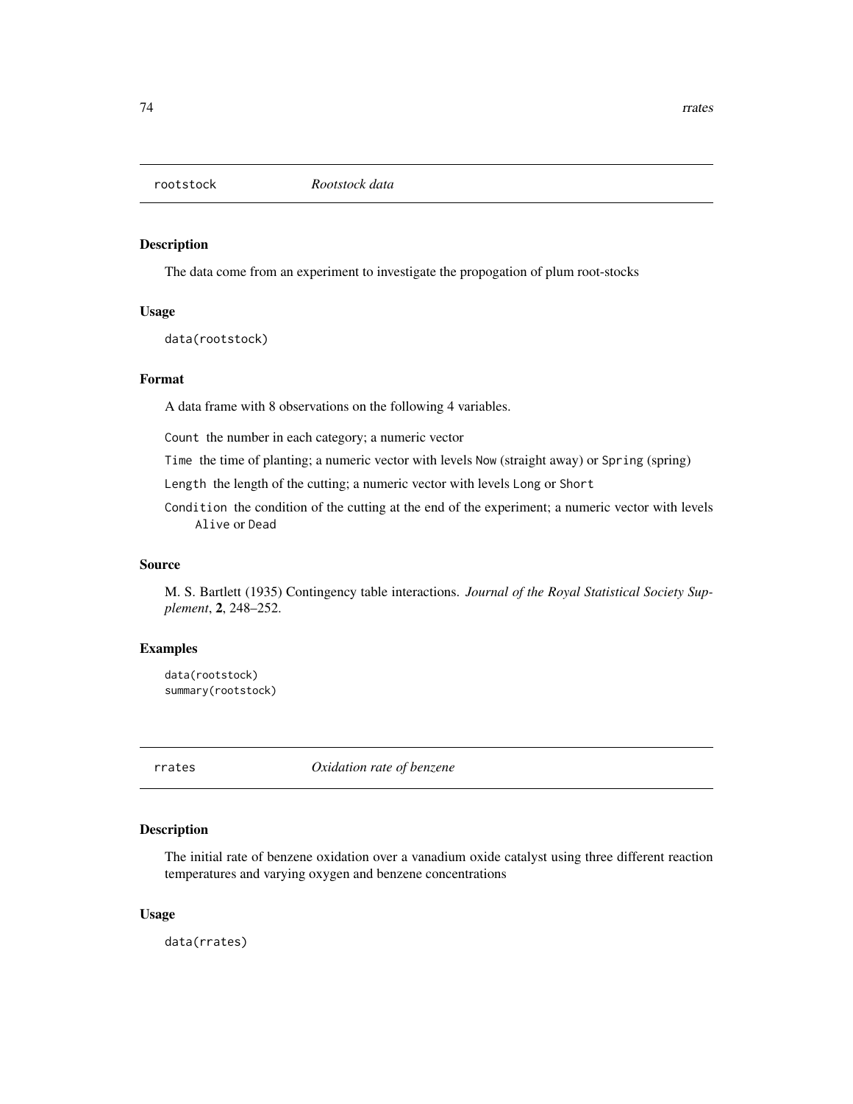<span id="page-73-0"></span>

The data come from an experiment to investigate the propogation of plum root-stocks

#### Usage

data(rootstock)

## Format

A data frame with 8 observations on the following 4 variables.

Count the number in each category; a numeric vector

Time the time of planting; a numeric vector with levels Now (straight away) or Spring (spring)

Length the length of the cutting; a numeric vector with levels Long or Short

Condition the condition of the cutting at the end of the experiment; a numeric vector with levels Alive or Dead

# Source

M. S. Bartlett (1935) Contingency table interactions. *Journal of the Royal Statistical Society Supplement*, 2, 248–252.

#### Examples

data(rootstock) summary(rootstock)

rrates *Oxidation rate of benzene*

# Description

The initial rate of benzene oxidation over a vanadium oxide catalyst using three different reaction temperatures and varying oxygen and benzene concentrations

## Usage

data(rrates)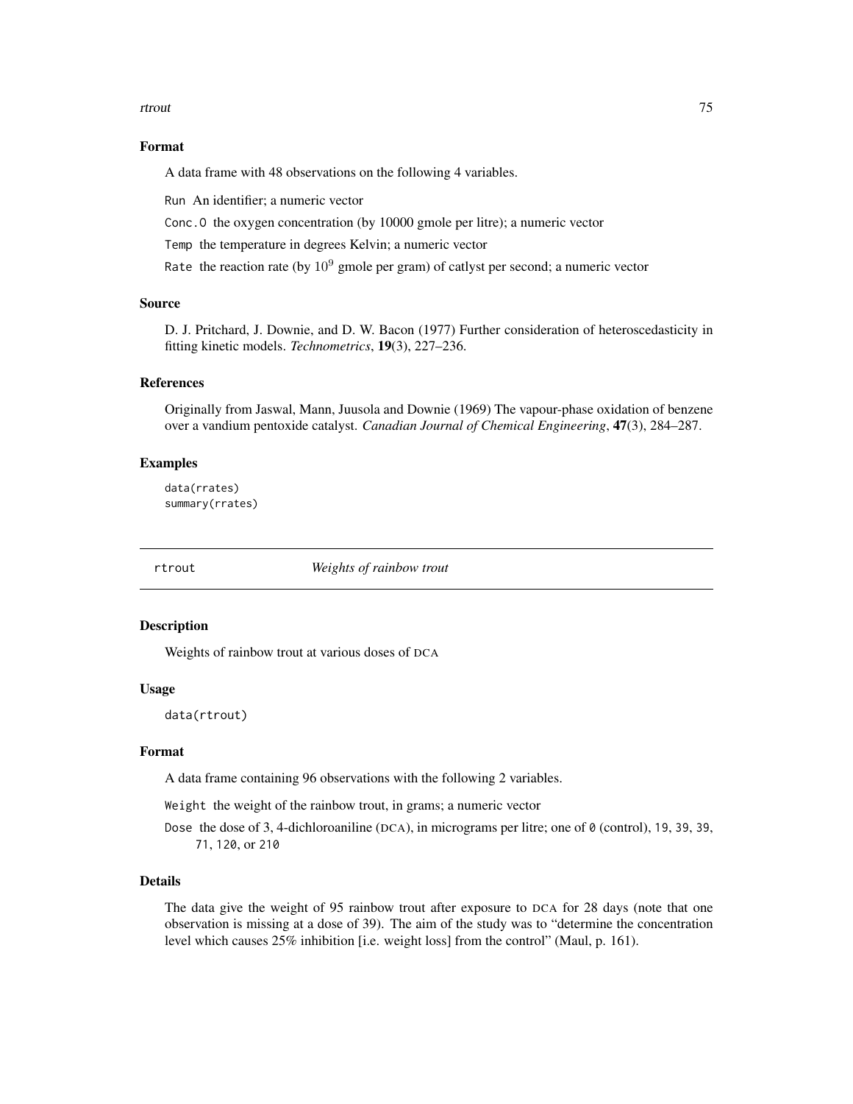#### <span id="page-74-0"></span>rtrout that the contract of the contract of the contract of the contract of the contract of the contract of the contract of the contract of the contract of the contract of the contract of the contract of the contract of th

# Format

A data frame with 48 observations on the following 4 variables.

Run An identifier; a numeric vector

Conc.O the oxygen concentration (by 10000 gmole per litre); a numeric vector

Temp the temperature in degrees Kelvin; a numeric vector

Rate the reaction rate (by  $10^9$  gmole per gram) of catlyst per second; a numeric vector

# Source

D. J. Pritchard, J. Downie, and D. W. Bacon (1977) Further consideration of heteroscedasticity in fitting kinetic models. *Technometrics*, 19(3), 227–236.

# References

Originally from Jaswal, Mann, Juusola and Downie (1969) The vapour-phase oxidation of benzene over a vandium pentoxide catalyst. *Canadian Journal of Chemical Engineering*, 47(3), 284–287.

## Examples

data(rrates) summary(rrates)

rtrout *Weights of rainbow trout*

## Description

Weights of rainbow trout at various doses of DCA

# Usage

data(rtrout)

## Format

A data frame containing 96 observations with the following 2 variables.

Weight the weight of the rainbow trout, in grams; a numeric vector

Dose the dose of 3, 4-dichloroaniline (DCA), in micrograms per litre; one of 0 (control), 19, 39, 39, 71, 120, or 210

# Details

The data give the weight of 95 rainbow trout after exposure to DCA for 28 days (note that one observation is missing at a dose of 39). The aim of the study was to "determine the concentration level which causes 25% inhibition [i.e. weight loss] from the control" (Maul, p. 161).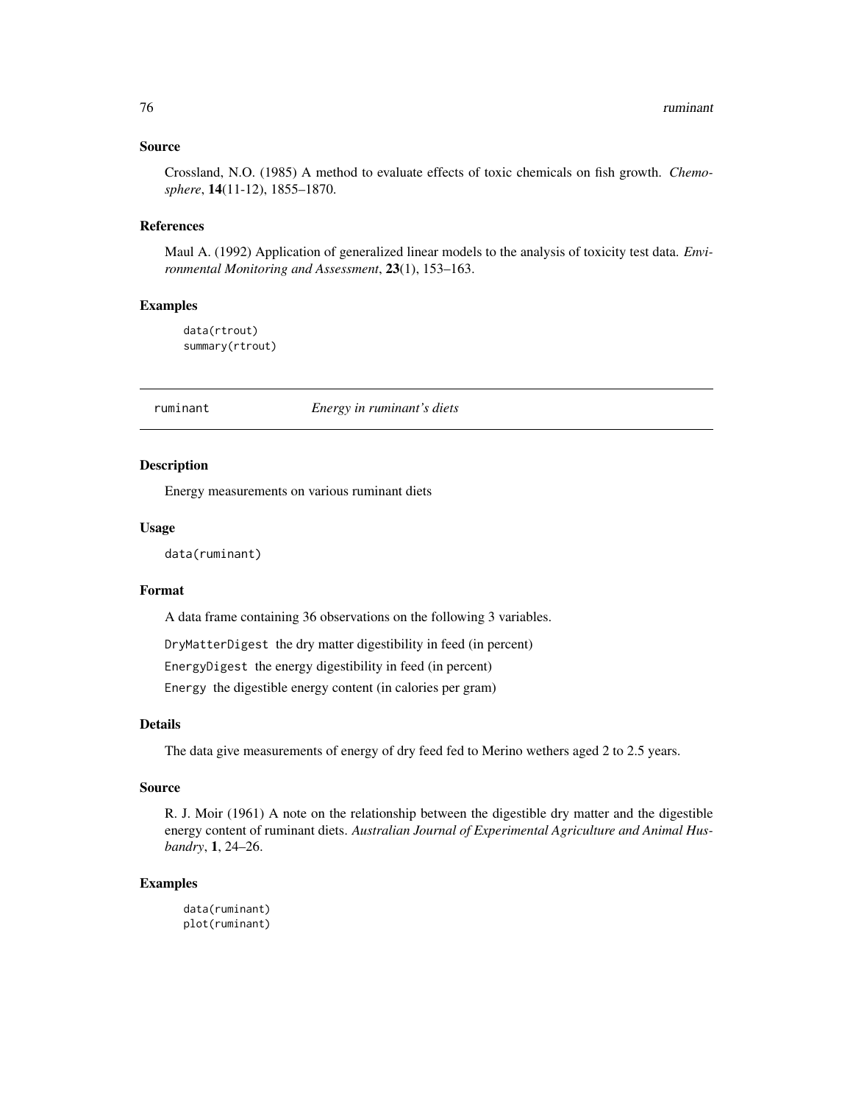## <span id="page-75-0"></span>Source

Crossland, N.O. (1985) A method to evaluate effects of toxic chemicals on fish growth. *Chemosphere*, 14(11-12), 1855–1870.

#### References

Maul A. (1992) Application of generalized linear models to the analysis of toxicity test data. *Environmental Monitoring and Assessment*, 23(1), 153–163.

## Examples

data(rtrout) summary(rtrout)

ruminant *Energy in ruminant's diets*

## Description

Energy measurements on various ruminant diets

# Usage

data(ruminant)

#### Format

A data frame containing 36 observations on the following 3 variables.

DryMatterDigest the dry matter digestibility in feed (in percent)

EnergyDigest the energy digestibility in feed (in percent)

Energy the digestible energy content (in calories per gram)

## Details

The data give measurements of energy of dry feed fed to Merino wethers aged 2 to 2.5 years.

## Source

R. J. Moir (1961) A note on the relationship between the digestible dry matter and the digestible energy content of ruminant diets. *Australian Journal of Experimental Agriculture and Animal Husbandry*, 1, 24–26.

## Examples

data(ruminant) plot(ruminant)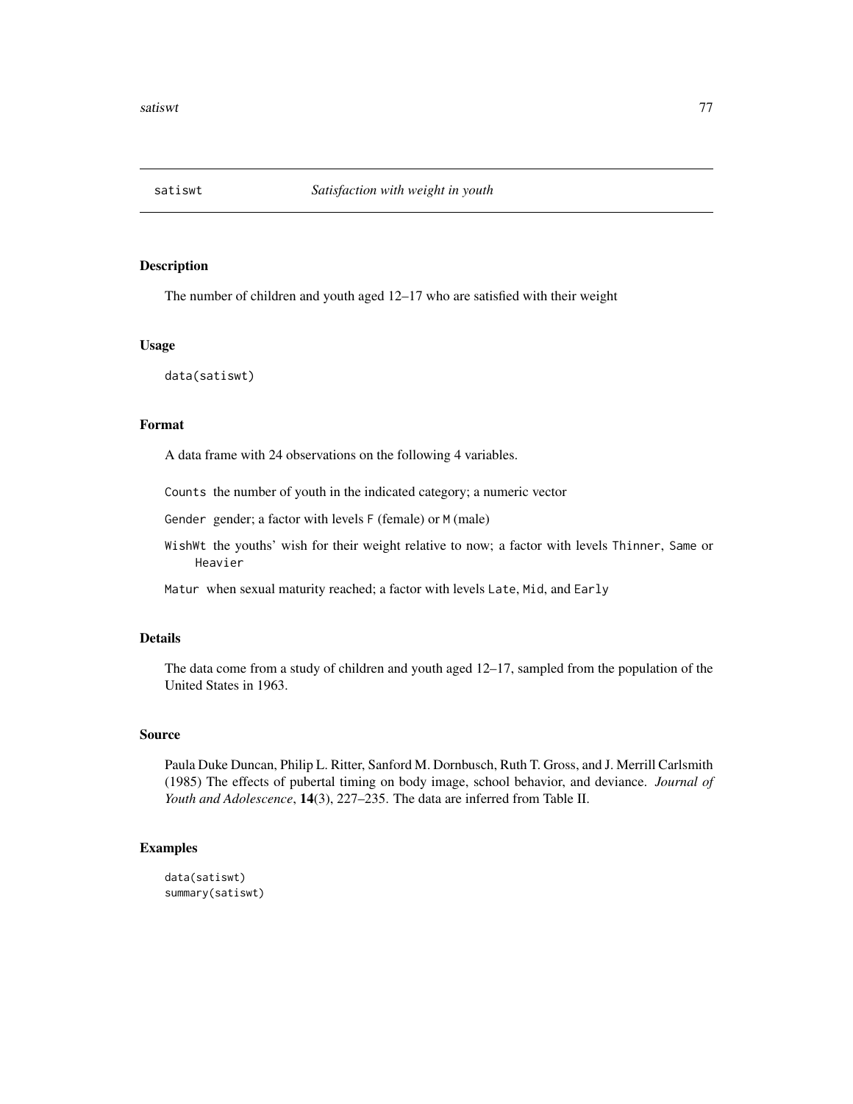<span id="page-76-0"></span>

The number of children and youth aged 12–17 who are satisfied with their weight

#### Usage

data(satiswt)

# Format

A data frame with 24 observations on the following 4 variables.

Counts the number of youth in the indicated category; a numeric vector

Gender gender; a factor with levels F (female) or M (male)

WishWt the youths' wish for their weight relative to now; a factor with levels Thinner, Same or Heavier

Matur when sexual maturity reached; a factor with levels Late, Mid, and Early

# Details

The data come from a study of children and youth aged 12–17, sampled from the population of the United States in 1963.

#### Source

Paula Duke Duncan, Philip L. Ritter, Sanford M. Dornbusch, Ruth T. Gross, and J. Merrill Carlsmith (1985) The effects of pubertal timing on body image, school behavior, and deviance. *Journal of Youth and Adolescence*, 14(3), 227–235. The data are inferred from Table II.

```
data(satiswt)
summary(satiswt)
```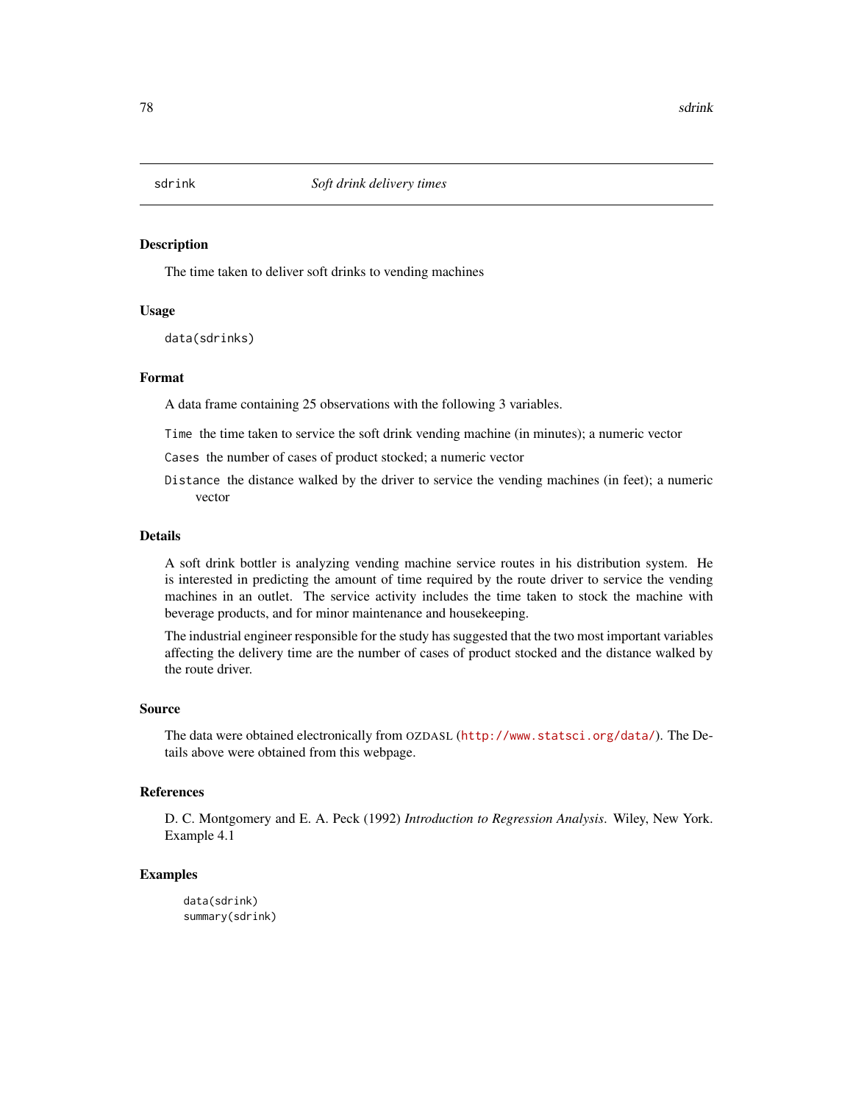<span id="page-77-0"></span>

The time taken to deliver soft drinks to vending machines

#### Usage

data(sdrinks)

# Format

A data frame containing 25 observations with the following 3 variables.

Time the time taken to service the soft drink vending machine (in minutes); a numeric vector

Cases the number of cases of product stocked; a numeric vector

Distance the distance walked by the driver to service the vending machines (in feet); a numeric vector

# Details

A soft drink bottler is analyzing vending machine service routes in his distribution system. He is interested in predicting the amount of time required by the route driver to service the vending machines in an outlet. The service activity includes the time taken to stock the machine with beverage products, and for minor maintenance and housekeeping.

The industrial engineer responsible for the study has suggested that the two most important variables affecting the delivery time are the number of cases of product stocked and the distance walked by the route driver.

#### Source

The data were obtained electronically from OZDASL (<http://www.statsci.org/data/>). The Details above were obtained from this webpage.

# References

D. C. Montgomery and E. A. Peck (1992) *Introduction to Regression Analysis*. Wiley, New York. Example 4.1

```
data(sdrink)
summary(sdrink)
```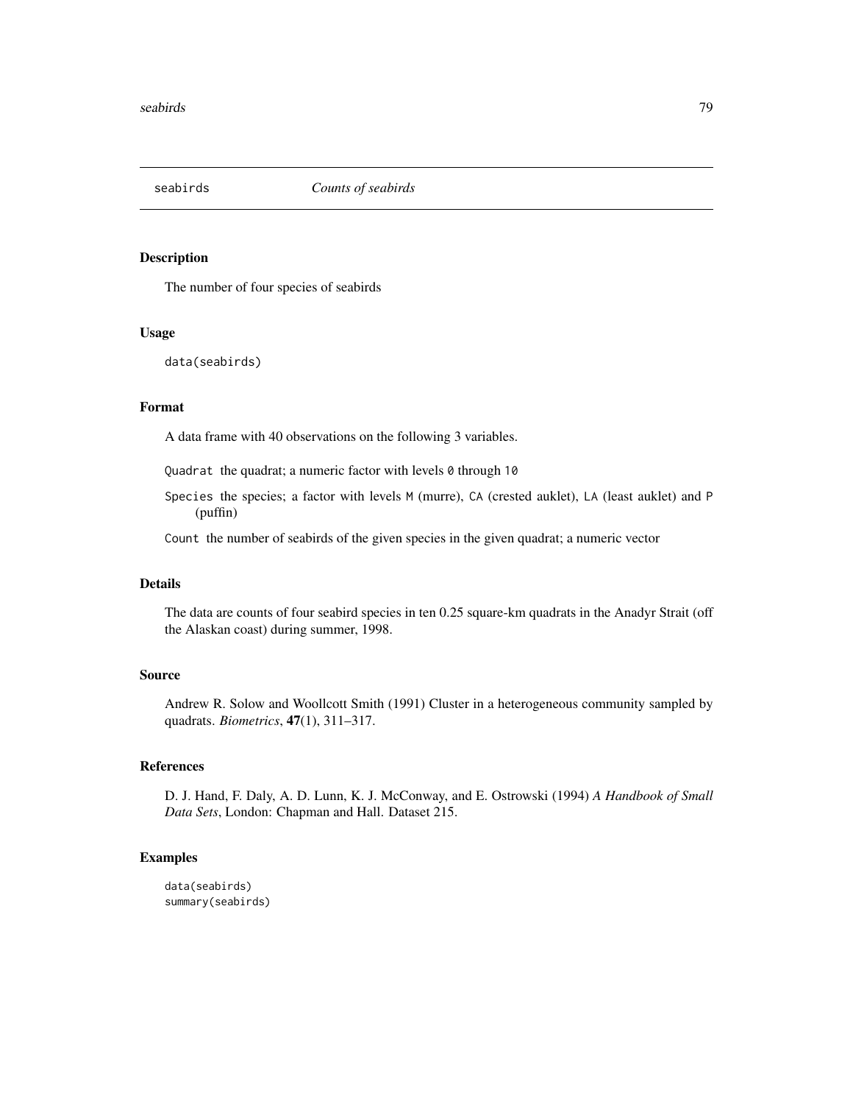<span id="page-78-0"></span>

The number of four species of seabirds

#### Usage

```
data(seabirds)
```
# Format

A data frame with 40 observations on the following 3 variables.

Quadrat the quadrat; a numeric factor with levels 0 through 10

Species the species; a factor with levels M (murre), CA (crested auklet), LA (least auklet) and P (puffin)

Count the number of seabirds of the given species in the given quadrat; a numeric vector

# Details

The data are counts of four seabird species in ten 0.25 square-km quadrats in the Anadyr Strait (off the Alaskan coast) during summer, 1998.

# Source

Andrew R. Solow and Woollcott Smith (1991) Cluster in a heterogeneous community sampled by quadrats. *Biometrics*, 47(1), 311–317.

# References

D. J. Hand, F. Daly, A. D. Lunn, K. J. McConway, and E. Ostrowski (1994) *A Handbook of Small Data Sets*, London: Chapman and Hall. Dataset 215.

```
data(seabirds)
summary(seabirds)
```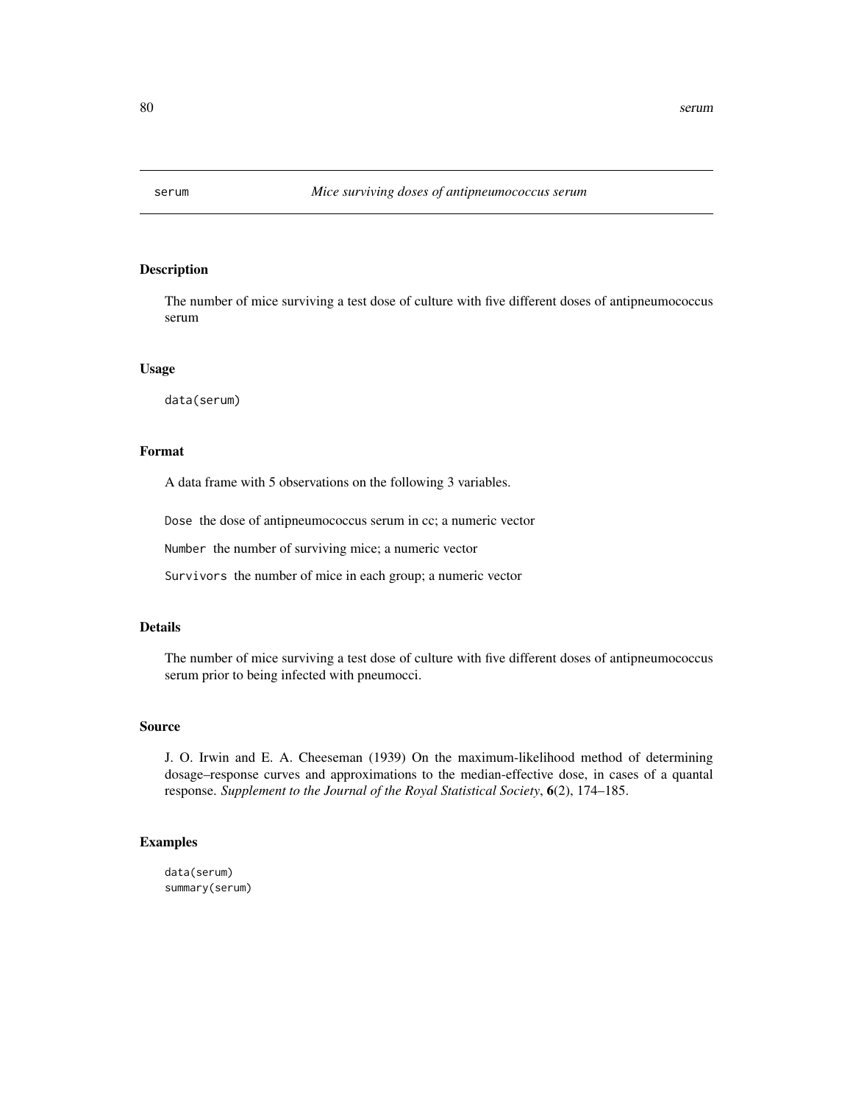<span id="page-79-0"></span>

The number of mice surviving a test dose of culture with five different doses of antipneumococcus serum

## Usage

data(serum)

# Format

A data frame with 5 observations on the following 3 variables.

Dose the dose of antipneumococcus serum in cc; a numeric vector

Number the number of surviving mice; a numeric vector

Survivors the number of mice in each group; a numeric vector

## Details

The number of mice surviving a test dose of culture with five different doses of antipneumococcus serum prior to being infected with pneumocci.

## Source

J. O. Irwin and E. A. Cheeseman (1939) On the maximum-likelihood method of determining dosage–response curves and approximations to the median-effective dose, in cases of a quantal response. *Supplement to the Journal of the Royal Statistical Society*, 6(2), 174–185.

# Examples

data(serum) summary(serum)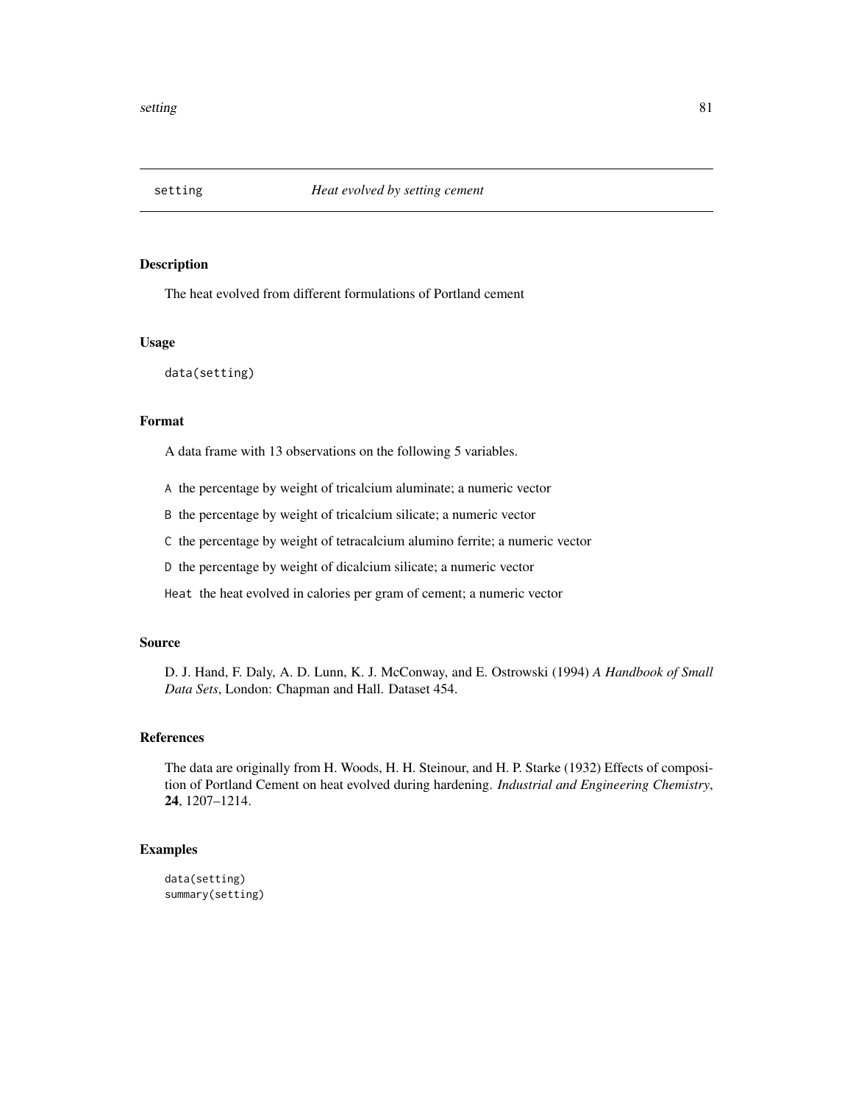<span id="page-80-0"></span>

The heat evolved from different formulations of Portland cement

## Usage

data(setting)

# Format

A data frame with 13 observations on the following 5 variables.

A the percentage by weight of tricalcium aluminate; a numeric vector

B the percentage by weight of tricalcium silicate; a numeric vector

C the percentage by weight of tetracalcium alumino ferrite; a numeric vector

D the percentage by weight of dicalcium silicate; a numeric vector

Heat the heat evolved in calories per gram of cement; a numeric vector

# Source

D. J. Hand, F. Daly, A. D. Lunn, K. J. McConway, and E. Ostrowski (1994) *A Handbook of Small Data Sets*, London: Chapman and Hall. Dataset 454.

# References

The data are originally from H. Woods, H. H. Steinour, and H. P. Starke (1932) Effects of composition of Portland Cement on heat evolved during hardening. *Industrial and Engineering Chemistry*, 24, 1207–1214.

# Examples

data(setting) summary(setting)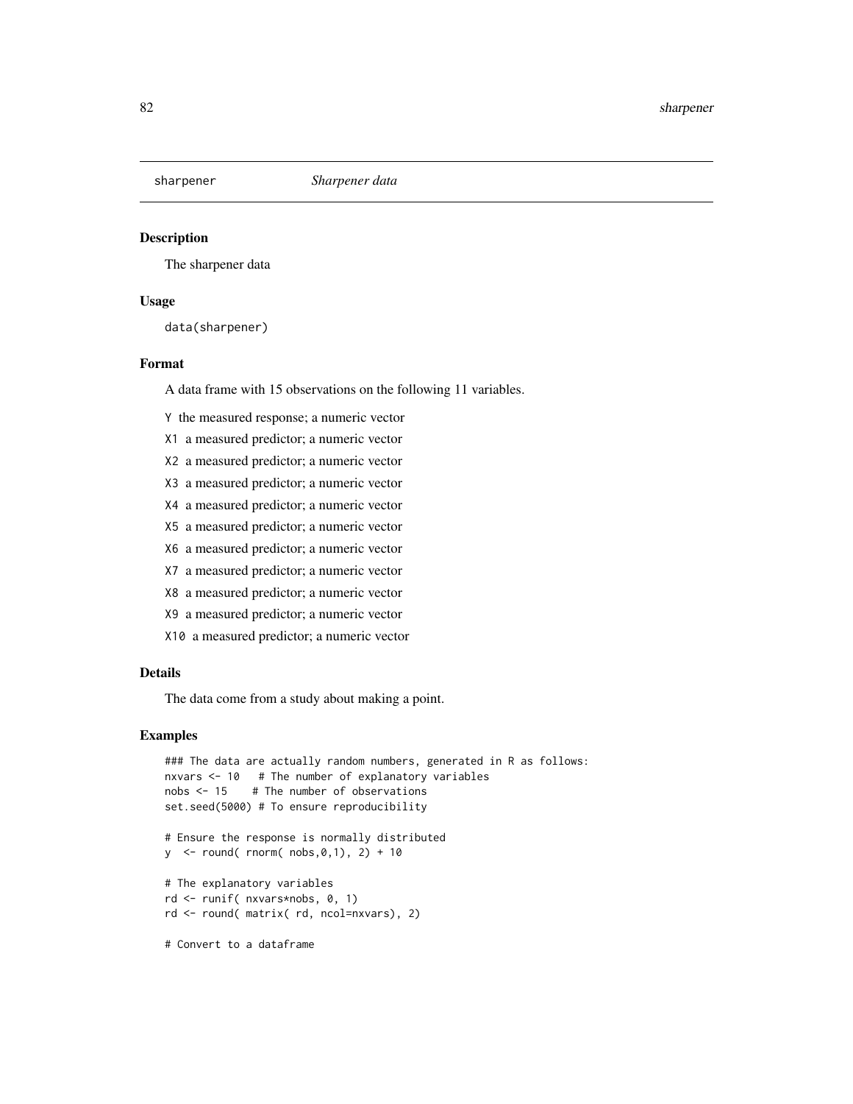<span id="page-81-0"></span>

The sharpener data

## Usage

data(sharpener)

# Format

A data frame with 15 observations on the following 11 variables.

Y the measured response; a numeric vector

- X1 a measured predictor; a numeric vector
- X2 a measured predictor; a numeric vector
- X3 a measured predictor; a numeric vector
- X4 a measured predictor; a numeric vector
- X5 a measured predictor; a numeric vector
- X6 a measured predictor; a numeric vector
- X7 a measured predictor; a numeric vector
- X8 a measured predictor; a numeric vector
- X9 a measured predictor; a numeric vector
- X10 a measured predictor; a numeric vector

## Details

The data come from a study about making a point.

```
### The data are actually random numbers, generated in R as follows:
nxvars <- 10 # The number of explanatory variables
nobs <- 15 # The number of observations
set.seed(5000) # To ensure reproducibility
# Ensure the response is normally distributed
y \le - round( rnorm( nobs, 0, 1), 2) + 10
# The explanatory variables
rd <- runif( nxvars*nobs, 0, 1)
rd <- round( matrix( rd, ncol=nxvars), 2)
# Convert to a dataframe
```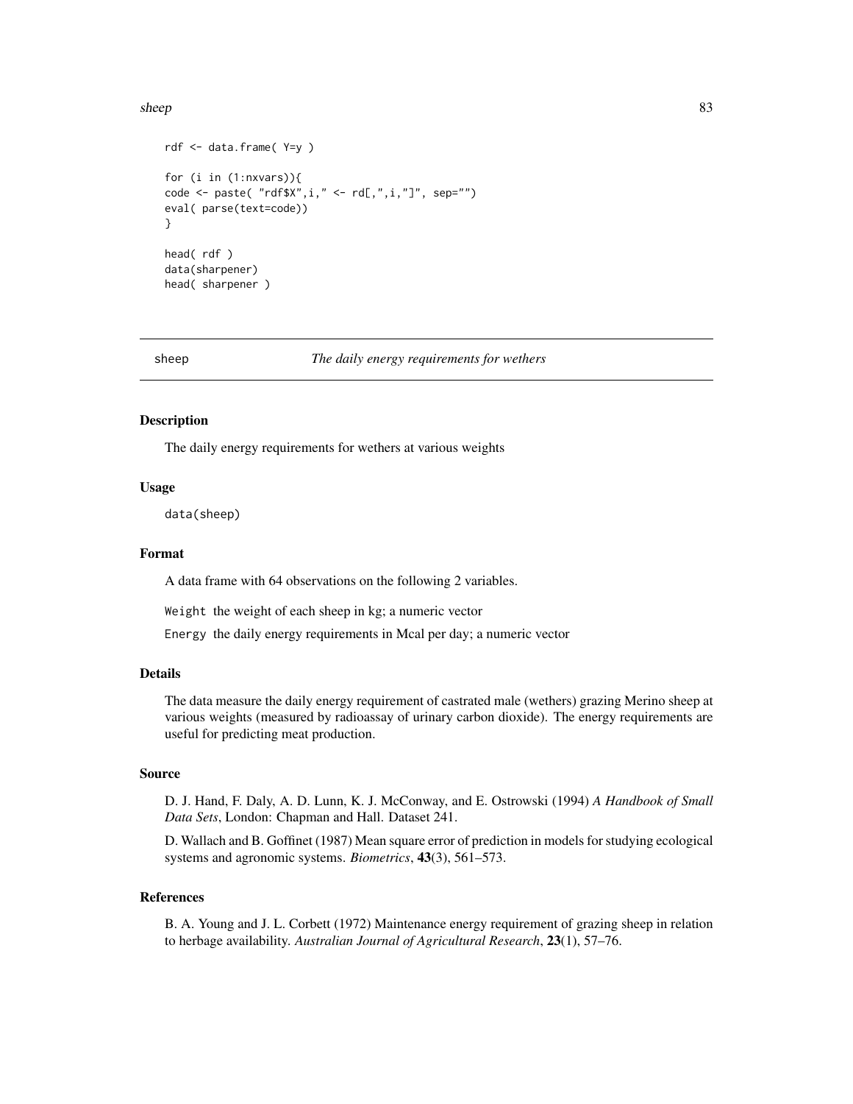#### <span id="page-82-0"></span>sheep 83

```
rdf <- data.frame( Y=y )
for (i in (1:nxvars)){
code <- paste( "rdf$X",i," <- rd[,",i,"]", sep="")
eval( parse(text=code))
}
head( rdf )
data(sharpener)
head( sharpener )
```
sheep *The daily energy requirements for wethers*

# **Description**

The daily energy requirements for wethers at various weights

## Usage

data(sheep)

#### Format

A data frame with 64 observations on the following 2 variables.

Weight the weight of each sheep in kg; a numeric vector

Energy the daily energy requirements in Mcal per day; a numeric vector

# Details

The data measure the daily energy requirement of castrated male (wethers) grazing Merino sheep at various weights (measured by radioassay of urinary carbon dioxide). The energy requirements are useful for predicting meat production.

# Source

D. J. Hand, F. Daly, A. D. Lunn, K. J. McConway, and E. Ostrowski (1994) *A Handbook of Small Data Sets*, London: Chapman and Hall. Dataset 241.

D. Wallach and B. Goffinet (1987) Mean square error of prediction in models for studying ecological systems and agronomic systems. *Biometrics*, 43(3), 561–573.

## References

B. A. Young and J. L. Corbett (1972) Maintenance energy requirement of grazing sheep in relation to herbage availability. *Australian Journal of Agricultural Research*, 23(1), 57–76.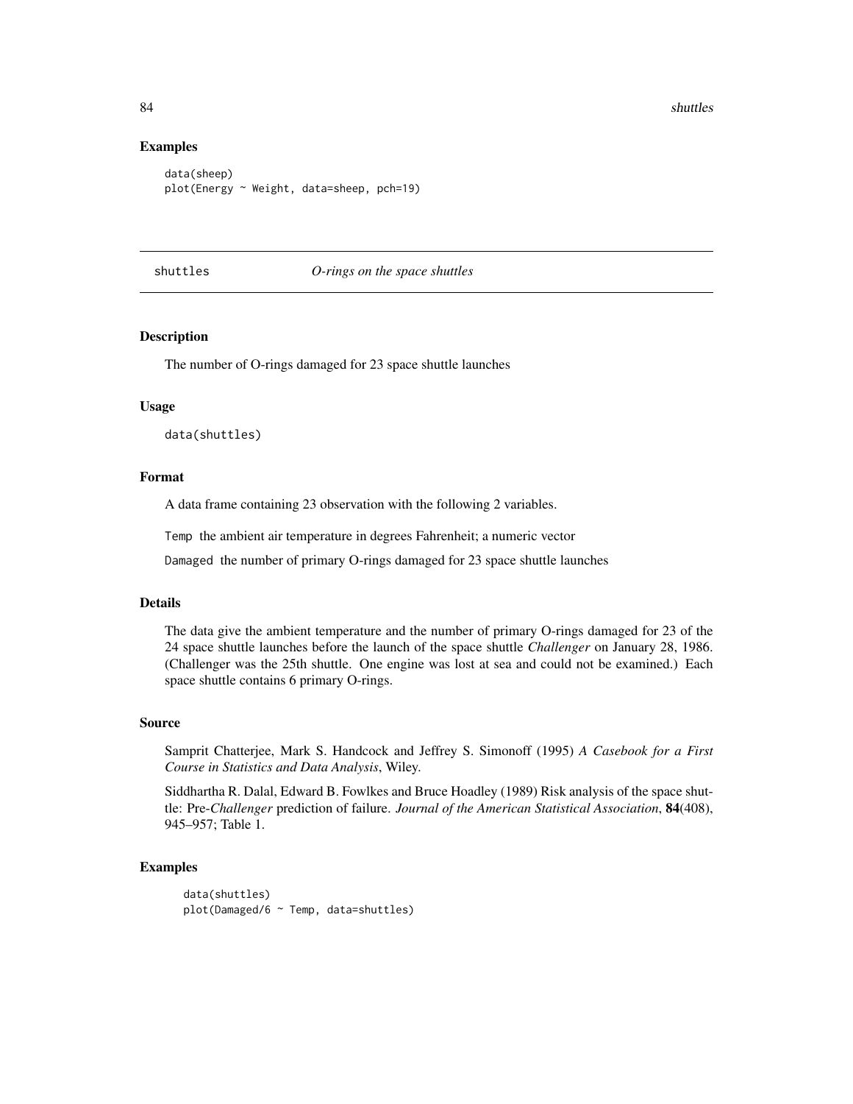84 shuttles are shown in the set of the set of the set of the set of the set of the set of the set of the set of the set of the set of the set of the set of the set of the set of the set of the set of the set of the set of

#### Examples

```
data(sheep)
plot(Energy ~ Weight, data=sheep, pch=19)
```
shuttles *O-rings on the space shuttles*

# Description

The number of O-rings damaged for 23 space shuttle launches

## Usage

data(shuttles)

# Format

A data frame containing 23 observation with the following 2 variables.

Temp the ambient air temperature in degrees Fahrenheit; a numeric vector

Damaged the number of primary O-rings damaged for 23 space shuttle launches

## Details

The data give the ambient temperature and the number of primary O-rings damaged for 23 of the 24 space shuttle launches before the launch of the space shuttle *Challenger* on January 28, 1986. (Challenger was the 25th shuttle. One engine was lost at sea and could not be examined.) Each space shuttle contains 6 primary O-rings.

#### Source

Samprit Chatterjee, Mark S. Handcock and Jeffrey S. Simonoff (1995) *A Casebook for a First Course in Statistics and Data Analysis*, Wiley.

Siddhartha R. Dalal, Edward B. Fowlkes and Bruce Hoadley (1989) Risk analysis of the space shuttle: Pre-*Challenger* prediction of failure. *Journal of the American Statistical Association*, 84(408), 945–957; Table 1.

## Examples

data(shuttles) plot(Damaged/6 ~ Temp, data=shuttles)

<span id="page-83-0"></span>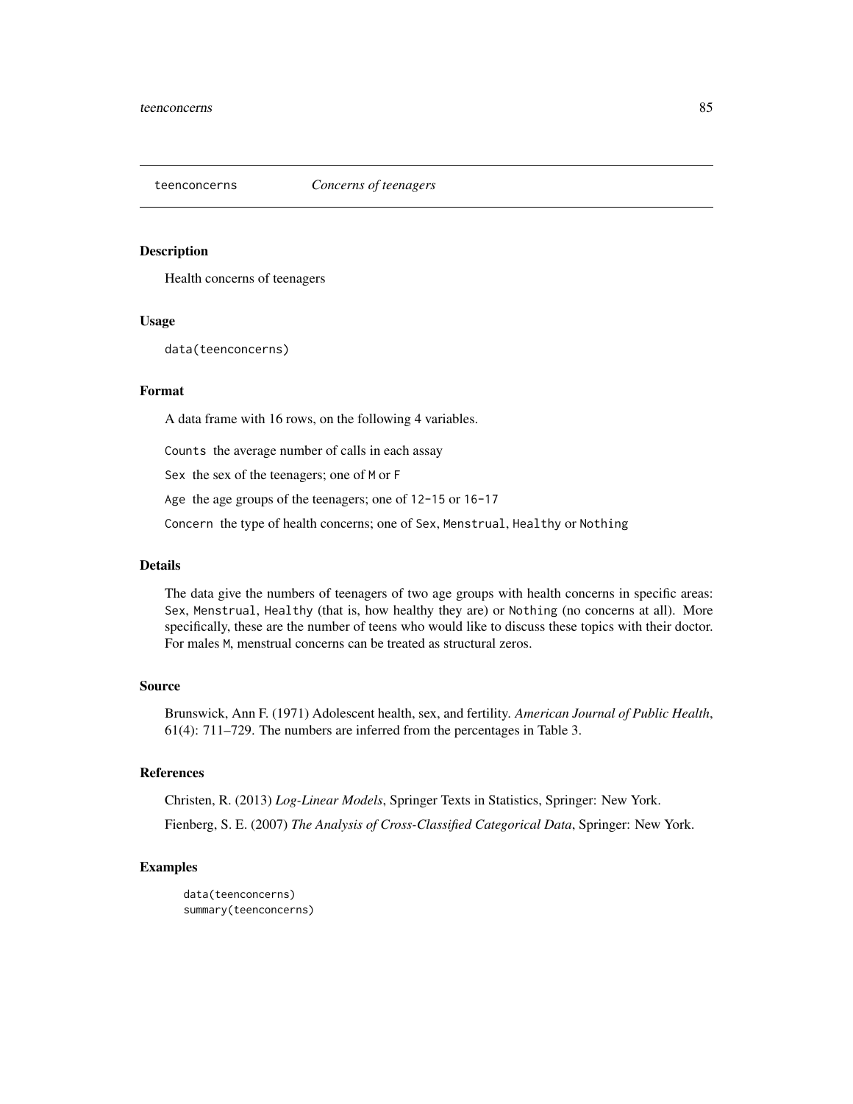<span id="page-84-0"></span>

Health concerns of teenagers

# Usage

data(teenconcerns)

# Format

A data frame with 16 rows, on the following 4 variables.

Counts the average number of calls in each assay

Sex the sex of the teenagers; one of M or F

Age the age groups of the teenagers; one of 12-15 or 16-17

Concern the type of health concerns; one of Sex, Menstrual, Healthy or Nothing

## Details

The data give the numbers of teenagers of two age groups with health concerns in specific areas: Sex, Menstrual, Healthy (that is, how healthy they are) or Nothing (no concerns at all). More specifically, these are the number of teens who would like to discuss these topics with their doctor. For males M, menstrual concerns can be treated as structural zeros.

# Source

Brunswick, Ann F. (1971) Adolescent health, sex, and fertility. *American Journal of Public Health*, 61(4): 711–729. The numbers are inferred from the percentages in Table 3.

# References

Christen, R. (2013) *Log-Linear Models*, Springer Texts in Statistics, Springer: New York.

Fienberg, S. E. (2007) *The Analysis of Cross-Classified Categorical Data*, Springer: New York.

```
data(teenconcerns)
summary(teenconcerns)
```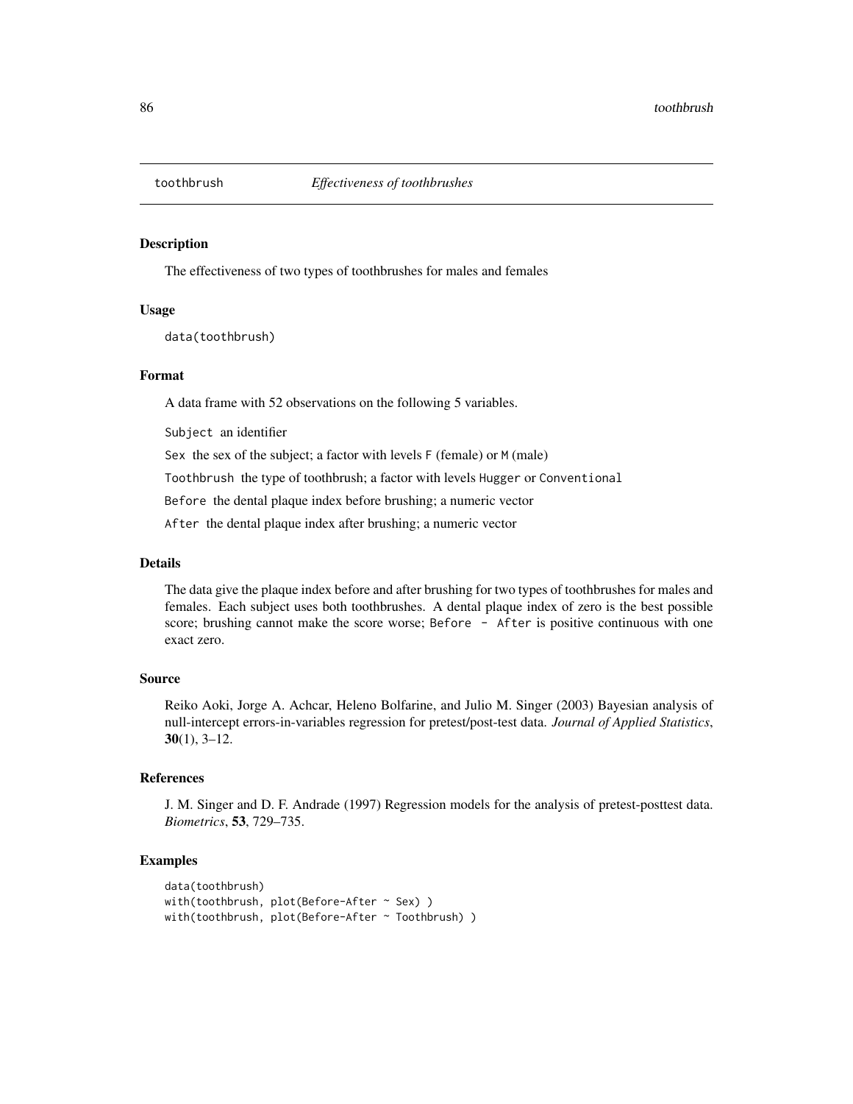<span id="page-85-0"></span>

The effectiveness of two types of toothbrushes for males and females

#### Usage

data(toothbrush)

# Format

A data frame with 52 observations on the following 5 variables.

Subject an identifier

Sex the sex of the subject; a factor with levels F (female) or M (male)

Toothbrush the type of toothbrush; a factor with levels Hugger or Conventional

Before the dental plaque index before brushing; a numeric vector

After the dental plaque index after brushing; a numeric vector

#### Details

The data give the plaque index before and after brushing for two types of toothbrushes for males and females. Each subject uses both toothbrushes. A dental plaque index of zero is the best possible score; brushing cannot make the score worse; Before - After is positive continuous with one exact zero.

## Source

Reiko Aoki, Jorge A. Achcar, Heleno Bolfarine, and Julio M. Singer (2003) Bayesian analysis of null-intercept errors-in-variables regression for pretest/post-test data. *Journal of Applied Statistics*,  $30(1)$ ,  $3-12$ .

#### References

J. M. Singer and D. F. Andrade (1997) Regression models for the analysis of pretest-posttest data. *Biometrics*, 53, 729–735.

```
data(toothbrush)
with(toothbrush, plot(Before-After \sim Sex))
with(toothbrush, plot(Before-After ~ Toothbrush))
```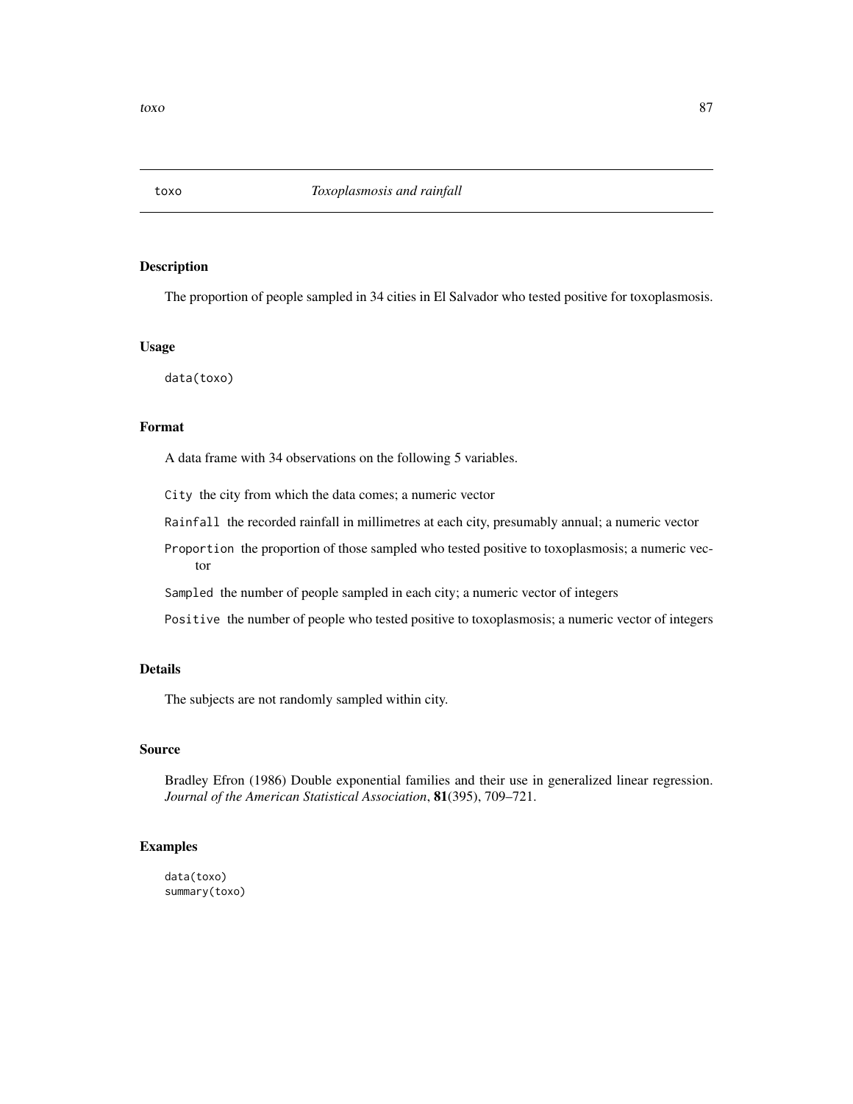<span id="page-86-0"></span>

The proportion of people sampled in 34 cities in El Salvador who tested positive for toxoplasmosis.

# Usage

data(toxo)

## Format

A data frame with 34 observations on the following 5 variables.

City the city from which the data comes; a numeric vector

Rainfall the recorded rainfall in millimetres at each city, presumably annual; a numeric vector

Proportion the proportion of those sampled who tested positive to toxoplasmosis; a numeric vector

Sampled the number of people sampled in each city; a numeric vector of integers

Positive the number of people who tested positive to toxoplasmosis; a numeric vector of integers

# Details

The subjects are not randomly sampled within city.

#### Source

Bradley Efron (1986) Double exponential families and their use in generalized linear regression. *Journal of the American Statistical Association*, 81(395), 709–721.

# Examples

data(toxo) summary(toxo)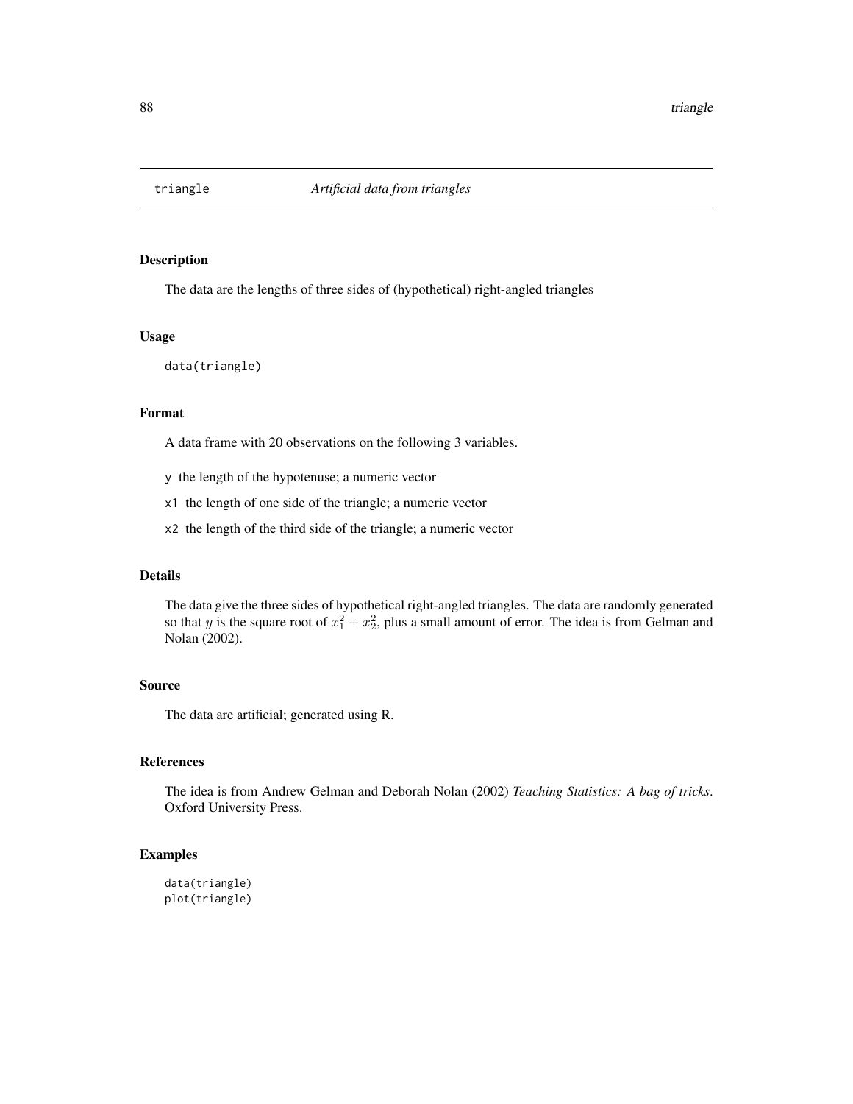<span id="page-87-0"></span>

The data are the lengths of three sides of (hypothetical) right-angled triangles

# Usage

data(triangle)

# Format

A data frame with 20 observations on the following 3 variables.

- y the length of the hypotenuse; a numeric vector
- x1 the length of one side of the triangle; a numeric vector
- x2 the length of the third side of the triangle; a numeric vector

## Details

The data give the three sides of hypothetical right-angled triangles. The data are randomly generated so that y is the square root of  $x_1^2 + x_2^2$ , plus a small amount of error. The idea is from Gelman and Nolan (2002).

# Source

The data are artificial; generated using R.

#### References

The idea is from Andrew Gelman and Deborah Nolan (2002) *Teaching Statistics: A bag of tricks*. Oxford University Press.

#### Examples

data(triangle) plot(triangle)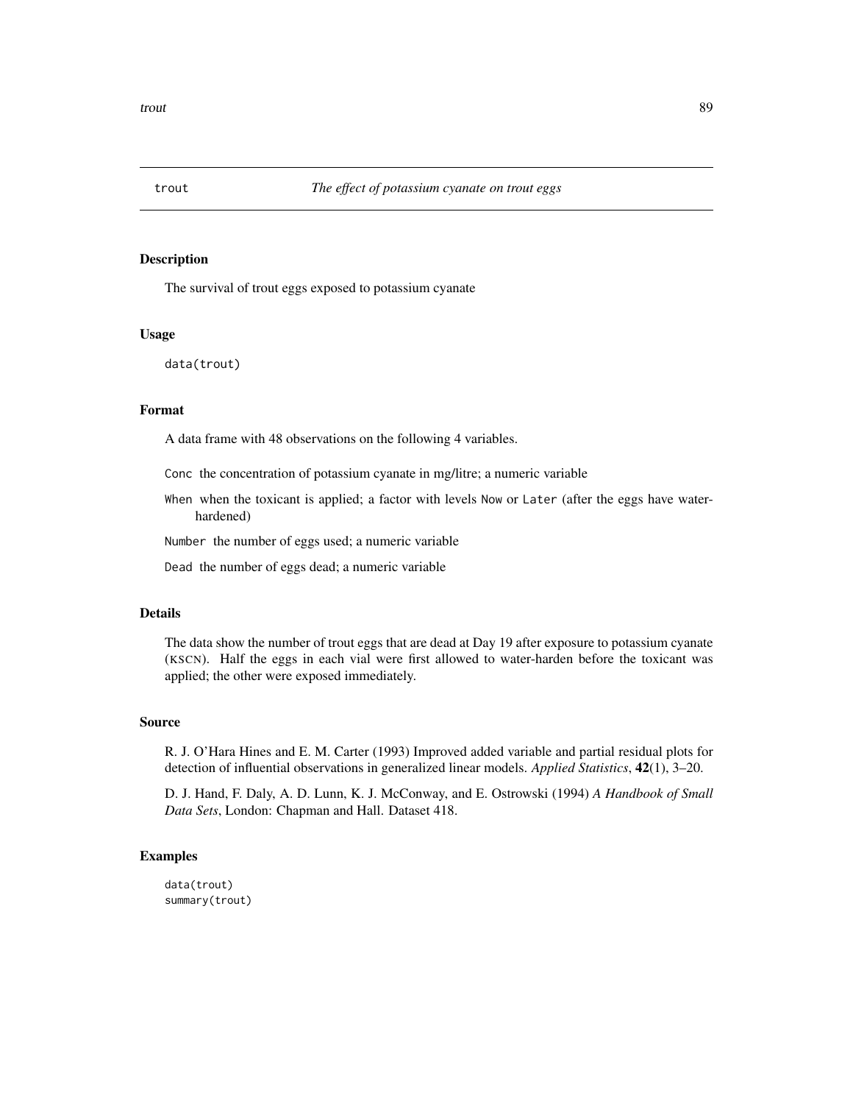<span id="page-88-0"></span>

The survival of trout eggs exposed to potassium cyanate

#### Usage

data(trout)

# Format

A data frame with 48 observations on the following 4 variables.

Conc the concentration of potassium cyanate in mg/litre; a numeric variable

When when the toxicant is applied; a factor with levels Now or Later (after the eggs have waterhardened)

Number the number of eggs used; a numeric variable

Dead the number of eggs dead; a numeric variable

# Details

The data show the number of trout eggs that are dead at Day 19 after exposure to potassium cyanate (KSCN). Half the eggs in each vial were first allowed to water-harden before the toxicant was applied; the other were exposed immediately.

## Source

R. J. O'Hara Hines and E. M. Carter (1993) Improved added variable and partial residual plots for detection of influential observations in generalized linear models. *Applied Statistics*, 42(1), 3–20.

D. J. Hand, F. Daly, A. D. Lunn, K. J. McConway, and E. Ostrowski (1994) *A Handbook of Small Data Sets*, London: Chapman and Hall. Dataset 418.

## Examples

data(trout) summary(trout)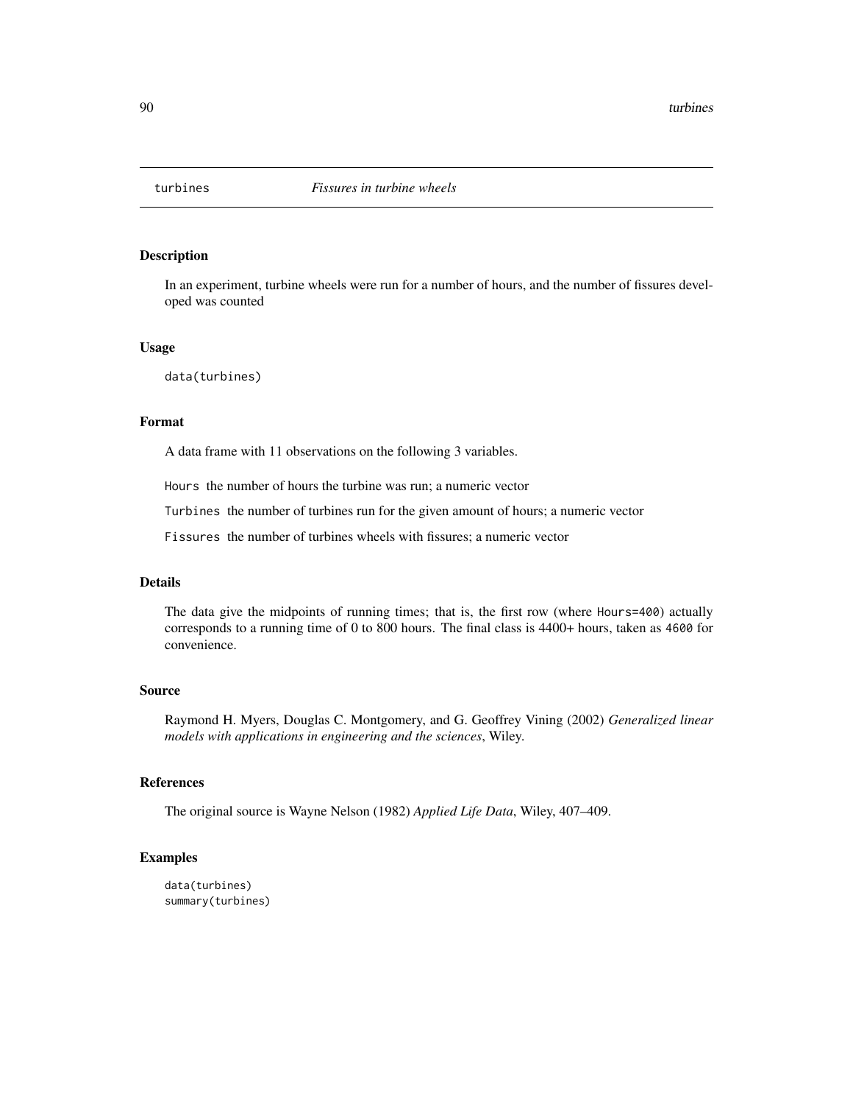<span id="page-89-0"></span>

In an experiment, turbine wheels were run for a number of hours, and the number of fissures developed was counted

#### Usage

data(turbines)

# Format

A data frame with 11 observations on the following 3 variables.

Hours the number of hours the turbine was run; a numeric vector

Turbines the number of turbines run for the given amount of hours; a numeric vector

Fissures the number of turbines wheels with fissures; a numeric vector

# Details

The data give the midpoints of running times; that is, the first row (where Hours=400) actually corresponds to a running time of 0 to 800 hours. The final class is 4400+ hours, taken as 4600 for convenience.

#### Source

Raymond H. Myers, Douglas C. Montgomery, and G. Geoffrey Vining (2002) *Generalized linear models with applications in engineering and the sciences*, Wiley.

#### References

The original source is Wayne Nelson (1982) *Applied Life Data*, Wiley, 407–409.

```
data(turbines)
summary(turbines)
```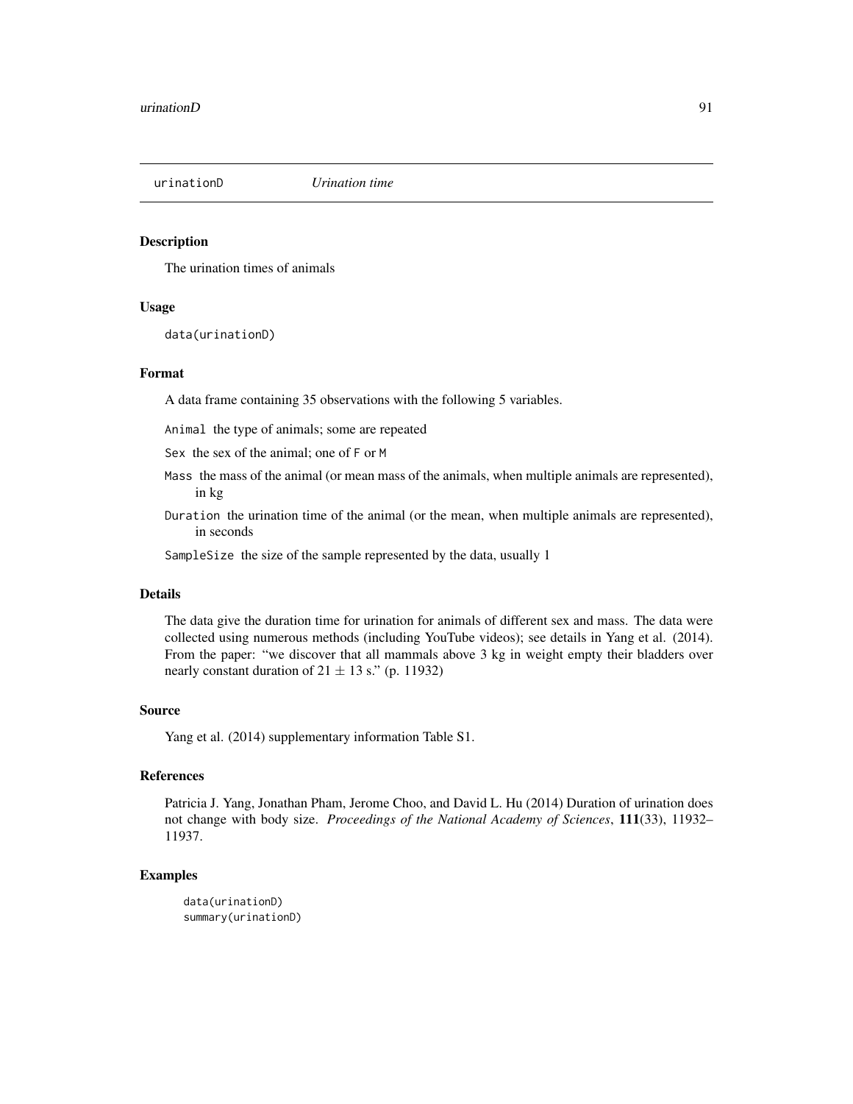<span id="page-90-0"></span>

The urination times of animals

# Usage

data(urinationD)

#### Format

A data frame containing 35 observations with the following 5 variables.

Animal the type of animals; some are repeated

Sex the sex of the animal; one of F or M

- Mass the mass of the animal (or mean mass of the animals, when multiple animals are represented), in kg
- Duration the urination time of the animal (or the mean, when multiple animals are represented), in seconds

SampleSize the size of the sample represented by the data, usually 1

## Details

The data give the duration time for urination for animals of different sex and mass. The data were collected using numerous methods (including YouTube videos); see details in Yang et al. (2014). From the paper: "we discover that all mammals above 3 kg in weight empty their bladders over nearly constant duration of  $21 \pm 13$  s." (p. 11932)

# Source

Yang et al. (2014) supplementary information Table S1.

#### References

Patricia J. Yang, Jonathan Pham, Jerome Choo, and David L. Hu (2014) Duration of urination does not change with body size. *Proceedings of the National Academy of Sciences*, 111(33), 11932– 11937.

```
data(urinationD)
summary(urinationD)
```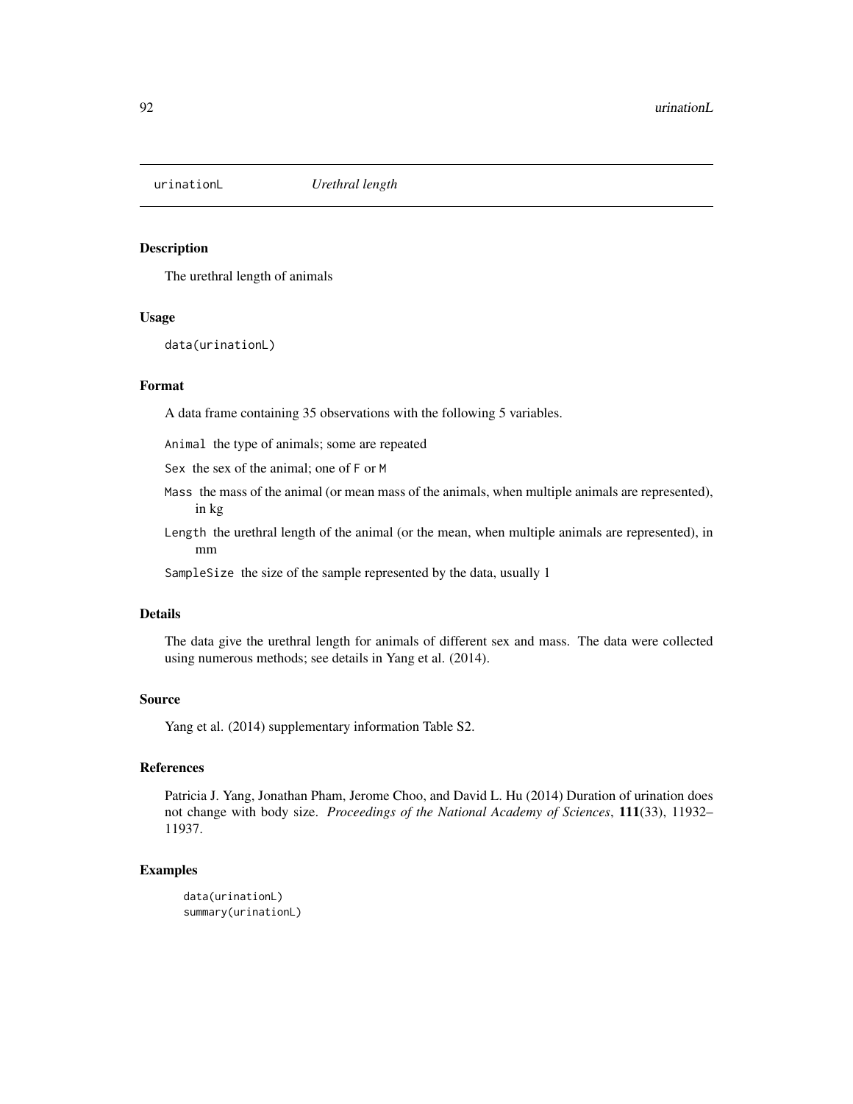<span id="page-91-0"></span>

The urethral length of animals

#### Usage

data(urinationL)

#### Format

A data frame containing 35 observations with the following 5 variables.

Animal the type of animals; some are repeated

Sex the sex of the animal; one of F or M

- Mass the mass of the animal (or mean mass of the animals, when multiple animals are represented), in kg
- Length the urethral length of the animal (or the mean, when multiple animals are represented), in mm

SampleSize the size of the sample represented by the data, usually 1

## Details

The data give the urethral length for animals of different sex and mass. The data were collected using numerous methods; see details in Yang et al. (2014).

#### Source

Yang et al. (2014) supplementary information Table S2.

## References

Patricia J. Yang, Jonathan Pham, Jerome Choo, and David L. Hu (2014) Duration of urination does not change with body size. *Proceedings of the National Academy of Sciences*, 111(33), 11932– 11937.

```
data(urinationL)
summary(urinationL)
```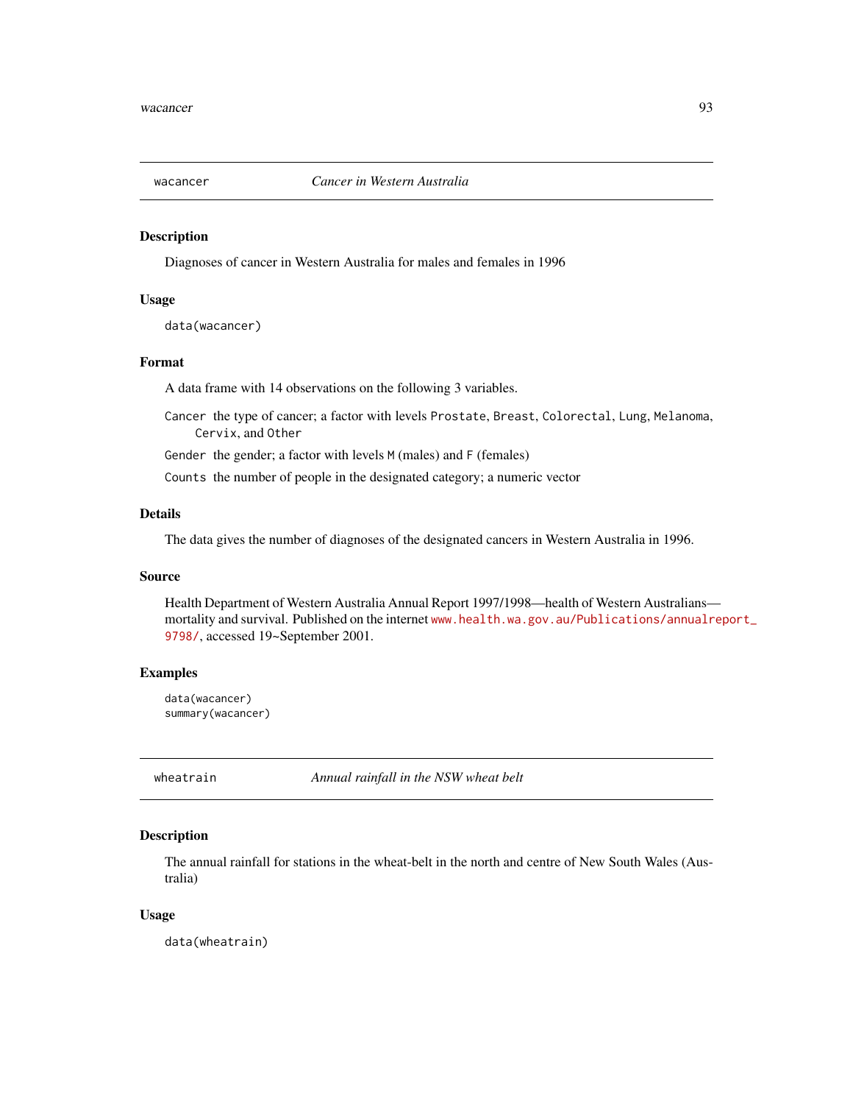<span id="page-92-0"></span>

Diagnoses of cancer in Western Australia for males and females in 1996

## Usage

data(wacancer)

# Format

A data frame with 14 observations on the following 3 variables.

Cancer the type of cancer; a factor with levels Prostate, Breast, Colorectal, Lung, Melanoma, Cervix, and Other

Gender the gender; a factor with levels M (males) and F (females)

Counts the number of people in the designated category; a numeric vector

# Details

The data gives the number of diagnoses of the designated cancers in Western Australia in 1996.

#### Source

Health Department of Western Australia Annual Report 1997/1998—health of Western Australians mortality and survival. Published on the internet [www.health.wa.gov.au/Publications/annualr](www.health.wa.gov.au/Publications/annualreport_9798/)eport\_ [9798/](www.health.wa.gov.au/Publications/annualreport_9798/), accessed 19~September 2001.

# Examples

```
data(wacancer)
summary(wacancer)
```
wheatrain *Annual rainfall in the NSW wheat belt*

# Description

The annual rainfall for stations in the wheat-belt in the north and centre of New South Wales (Australia)

#### Usage

data(wheatrain)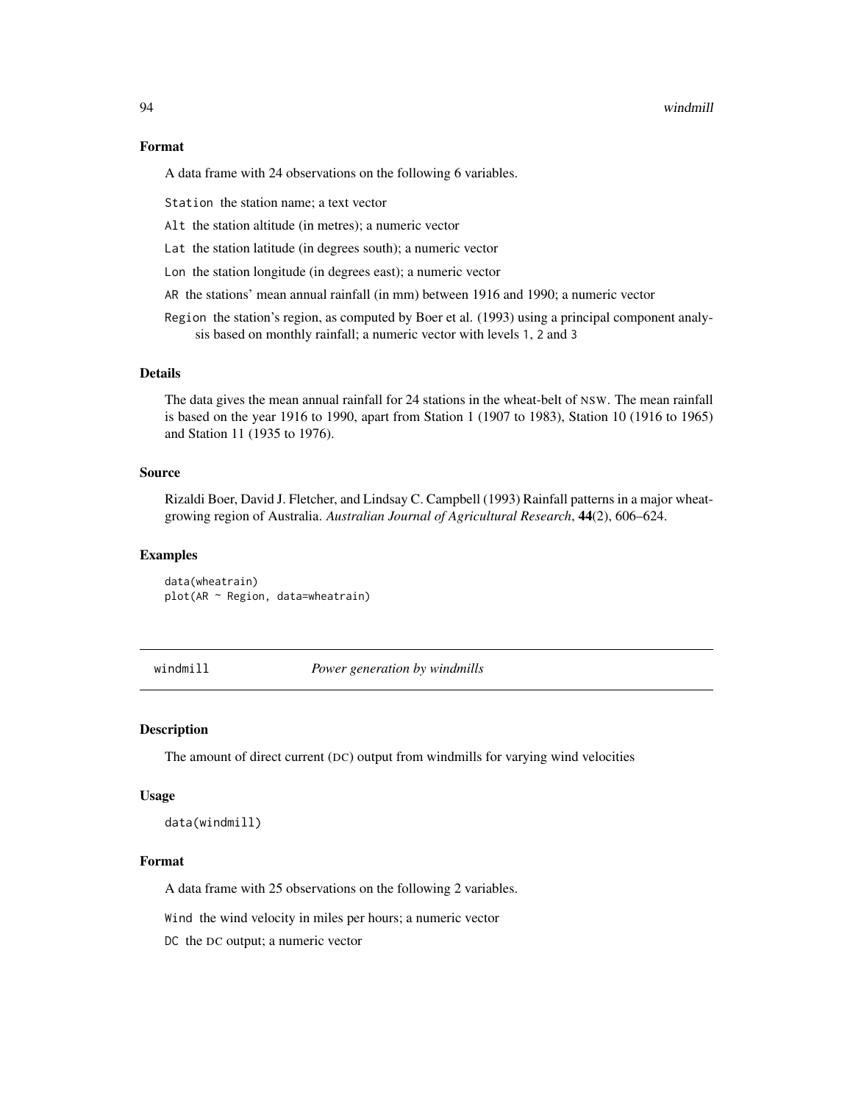#### <span id="page-93-0"></span>94 windmill

# Format

A data frame with 24 observations on the following 6 variables.

Station the station name; a text vector

- Alt the station altitude (in metres); a numeric vector
- Lat the station latitude (in degrees south); a numeric vector
- Lon the station longitude (in degrees east); a numeric vector
- AR the stations' mean annual rainfall (in mm) between 1916 and 1990; a numeric vector

Region the station's region, as computed by Boer et al. (1993) using a principal component analysis based on monthly rainfall; a numeric vector with levels 1, 2 and 3

## Details

The data gives the mean annual rainfall for 24 stations in the wheat-belt of NSW. The mean rainfall is based on the year 1916 to 1990, apart from Station 1 (1907 to 1983), Station 10 (1916 to 1965) and Station 11 (1935 to 1976).

## Source

Rizaldi Boer, David J. Fletcher, and Lindsay C. Campbell (1993) Rainfall patterns in a major wheatgrowing region of Australia. *Australian Journal of Agricultural Research*, 44(2), 606–624.

#### Examples

data(wheatrain) plot(AR ~ Region, data=wheatrain)

windmill *Power generation by windmills*

# **Description**

The amount of direct current (DC) output from windmills for varying wind velocities

#### Usage

data(windmill)

# Format

A data frame with 25 observations on the following 2 variables.

Wind the wind velocity in miles per hours; a numeric vector

DC the DC output; a numeric vector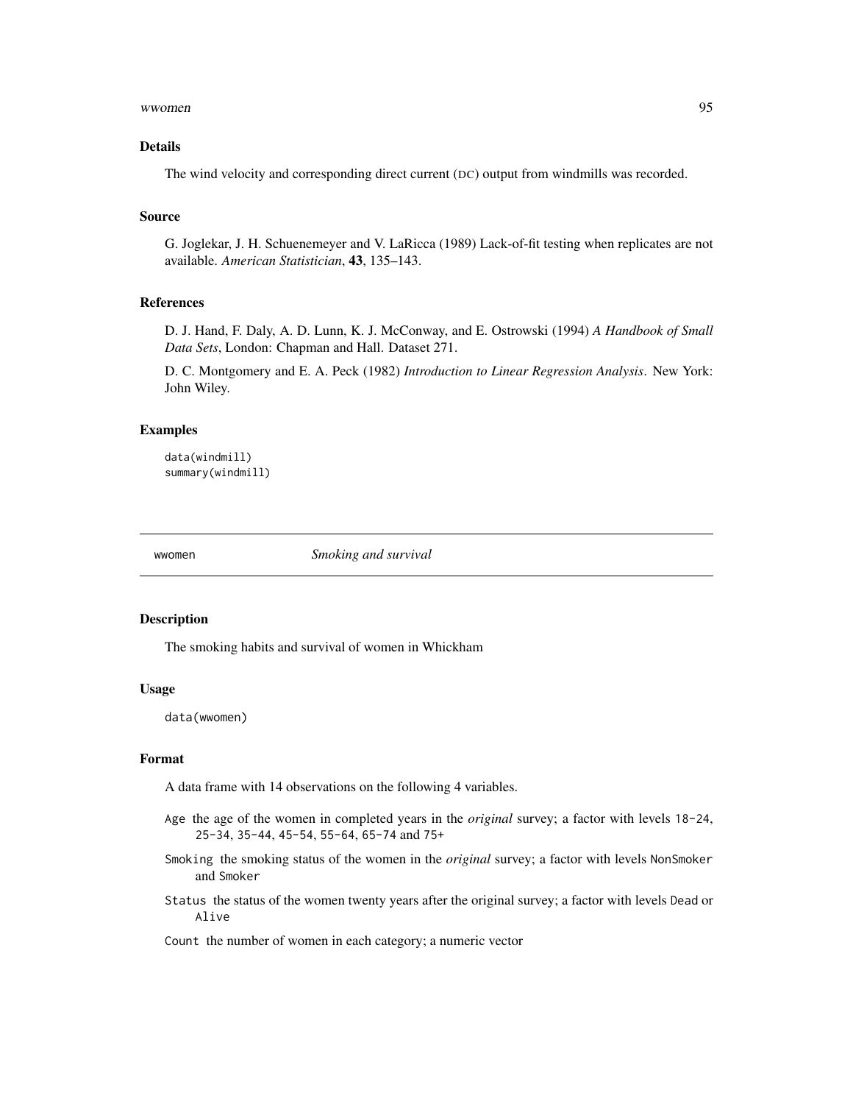#### <span id="page-94-0"></span>wwomen 95

## Details

The wind velocity and corresponding direct current (DC) output from windmills was recorded.

#### Source

G. Joglekar, J. H. Schuenemeyer and V. LaRicca (1989) Lack-of-fit testing when replicates are not available. *American Statistician*, 43, 135–143.

# References

D. J. Hand, F. Daly, A. D. Lunn, K. J. McConway, and E. Ostrowski (1994) *A Handbook of Small Data Sets*, London: Chapman and Hall. Dataset 271.

D. C. Montgomery and E. A. Peck (1982) *Introduction to Linear Regression Analysis*. New York: John Wiley.

## Examples

data(windmill) summary(windmill)

wwomen *Smoking and survival*

# Description

The smoking habits and survival of women in Whickham

# Usage

data(wwomen)

# Format

A data frame with 14 observations on the following 4 variables.

- Age the age of the women in completed years in the *original* survey; a factor with levels 18-24, 25-34, 35-44, 45-54, 55-64, 65-74 and 75+
- Smoking the smoking status of the women in the *original* survey; a factor with levels NonSmoker and Smoker
- Status the status of the women twenty years after the original survey; a factor with levels Dead or Alive

Count the number of women in each category; a numeric vector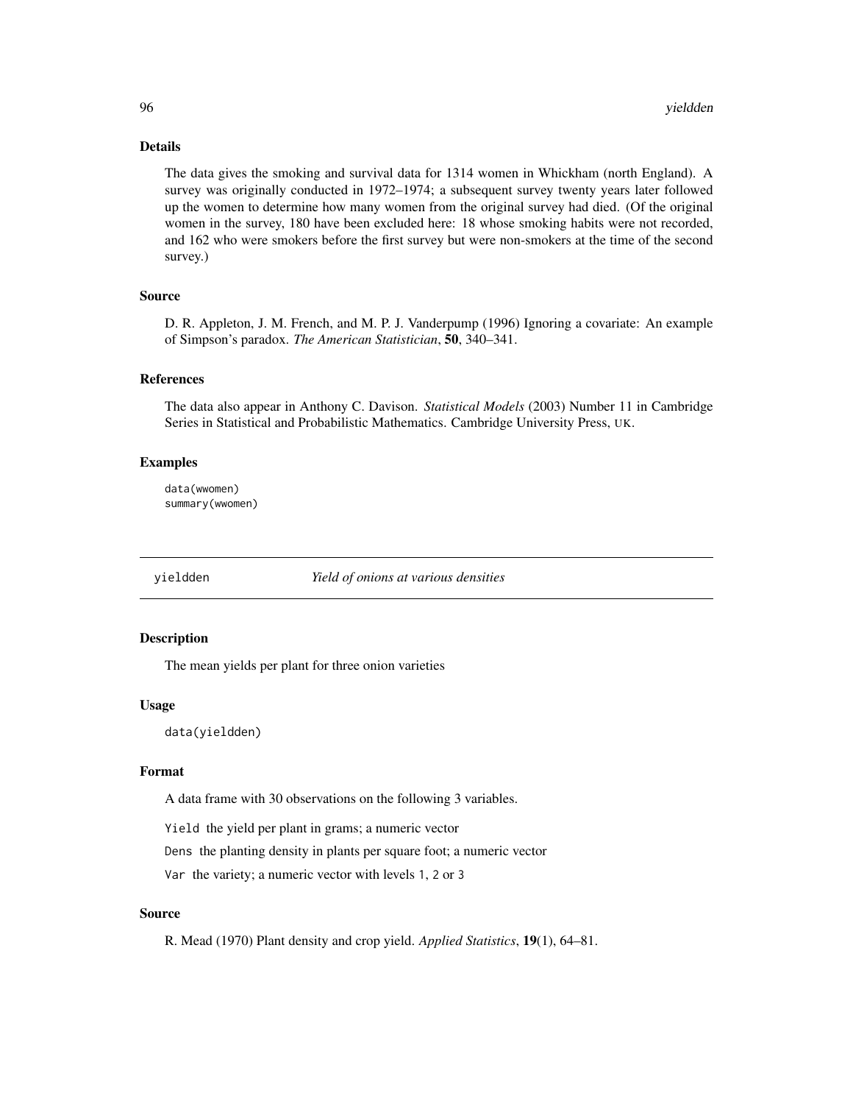## Details

The data gives the smoking and survival data for 1314 women in Whickham (north England). A survey was originally conducted in 1972–1974; a subsequent survey twenty years later followed up the women to determine how many women from the original survey had died. (Of the original women in the survey, 180 have been excluded here: 18 whose smoking habits were not recorded, and 162 who were smokers before the first survey but were non-smokers at the time of the second survey.)

# Source

D. R. Appleton, J. M. French, and M. P. J. Vanderpump (1996) Ignoring a covariate: An example of Simpson's paradox. *The American Statistician*, 50, 340–341.

## References

The data also appear in Anthony C. Davison. *Statistical Models* (2003) Number 11 in Cambridge Series in Statistical and Probabilistic Mathematics. Cambridge University Press, UK.

## Examples

data(wwomen) summary(wwomen)

yieldden *Yield of onions at various densities*

## Description

The mean yields per plant for three onion varieties

#### Usage

data(yieldden)

## Format

A data frame with 30 observations on the following 3 variables.

Yield the yield per plant in grams; a numeric vector

Dens the planting density in plants per square foot; a numeric vector

Var the variety; a numeric vector with levels 1, 2 or 3

# Source

R. Mead (1970) Plant density and crop yield. *Applied Statistics*, 19(1), 64–81.

<span id="page-95-0"></span>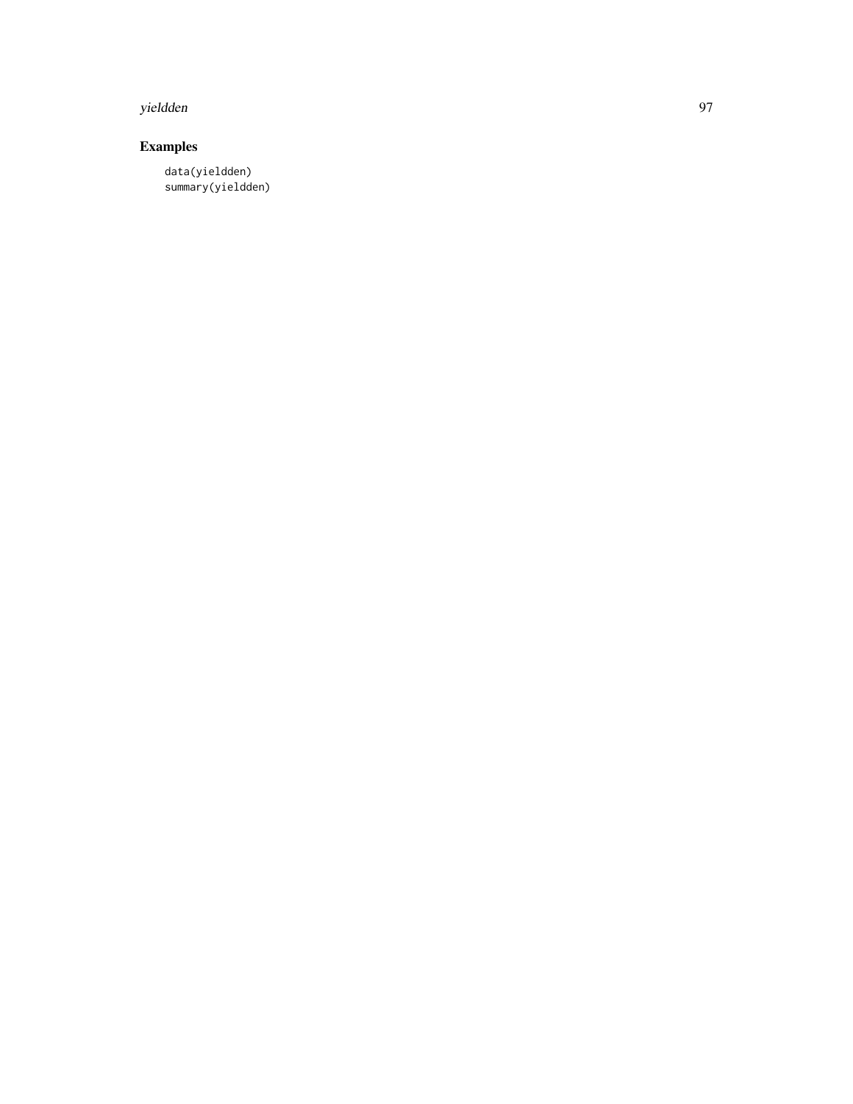#### yieldden 97

# Examples

data(yieldden) summary(yieldden)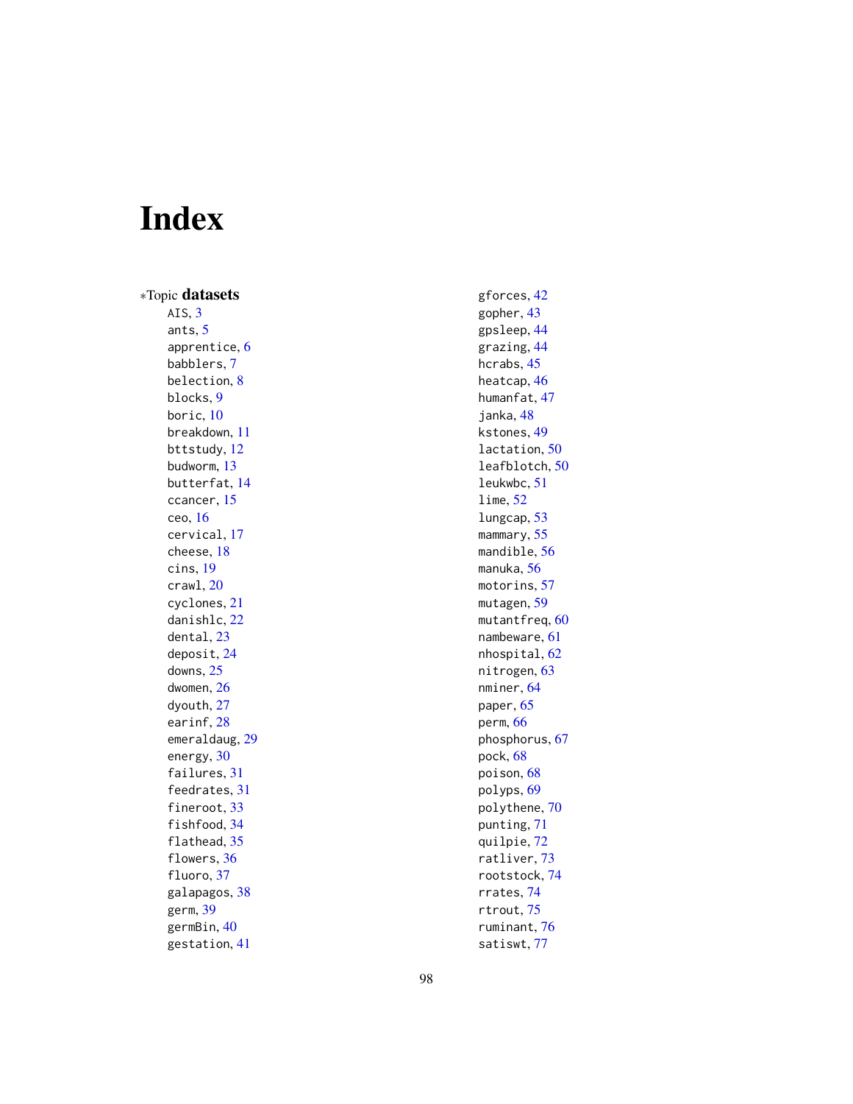# Index

∗Topic datasets AIS,  $3$ ants , [5](#page-4-0) apprentice , [6](#page-5-0) babblers , [7](#page-6-0) belection , [8](#page-7-0) blocks , [9](#page-8-0) boric , [10](#page-9-0) breakdown , [11](#page-10-0) bttstudy , [12](#page-11-0) budworm , [13](#page-12-0) butterfat , [14](#page-13-0) ccancer , [15](#page-14-0) ceo , [16](#page-15-0) cervical , [17](#page-16-0) cheese , [18](#page-17-0) cins , [19](#page-18-0) crawl , [20](#page-19-0) cyclones , [21](#page-20-0) danishlc , [22](#page-21-0) dental, [23](#page-22-0) deposit , [24](#page-23-0) downs , [25](#page-24-0) dwomen , [26](#page-25-0) dyouth , [27](#page-26-0) earinf, [28](#page-27-0) emeraldaug , [29](#page-28-0) energy, [30](#page-29-0) failures, [31](#page-30-0) feedrates , [31](#page-30-0) fineroot, [33](#page-32-0) fishfood , [34](#page-33-0) flathead, [35](#page-34-0) flowers, [36](#page-35-0) fluoro, [37](#page-36-0) galapagos , [38](#page-37-0) germ , [39](#page-38-0) germBin , [40](#page-39-0) gestation , [41](#page-40-0)

gforces , [42](#page-41-0) gopher , [43](#page-42-0) gpsleep , [44](#page-43-0) grazing , [44](#page-43-0) hcrabs, [45](#page-44-0) heatcap , [46](#page-45-0) humanfat , [47](#page-46-0) janka, [48](#page-47-0) kstones , [49](#page-48-0) lactation, [50](#page-49-0) leafblotch , [50](#page-49-0) leukwbc , [51](#page-50-0) lime , [52](#page-51-0) lungcap , [53](#page-52-0) mammary, [55](#page-54-0) mandible, [56](#page-55-0) manuka , [56](#page-55-0) motorins , [57](#page-56-0) mutagen , [59](#page-58-0) <code>mutantfreq</code>, $60$ nambeware , [61](#page-60-0) nhospital , [62](#page-61-0) nitrogen, [63](#page-62-0) nminer , [64](#page-63-0) paper, [65](#page-64-0) perm , [66](#page-65-0) phosphorus , [67](#page-66-0) pock , [68](#page-67-0) poison , [68](#page-67-0) polyps , [69](#page-68-0) polythene , [70](#page-69-0) punting , [71](#page-70-0) quilpie , [72](#page-71-0) ratliver , [73](#page-72-0) rootstock , [74](#page-73-0) rrates , [74](#page-73-0) rtrout , [75](#page-74-0) ruminant , [76](#page-75-0)

satiswt , [77](#page-76-0)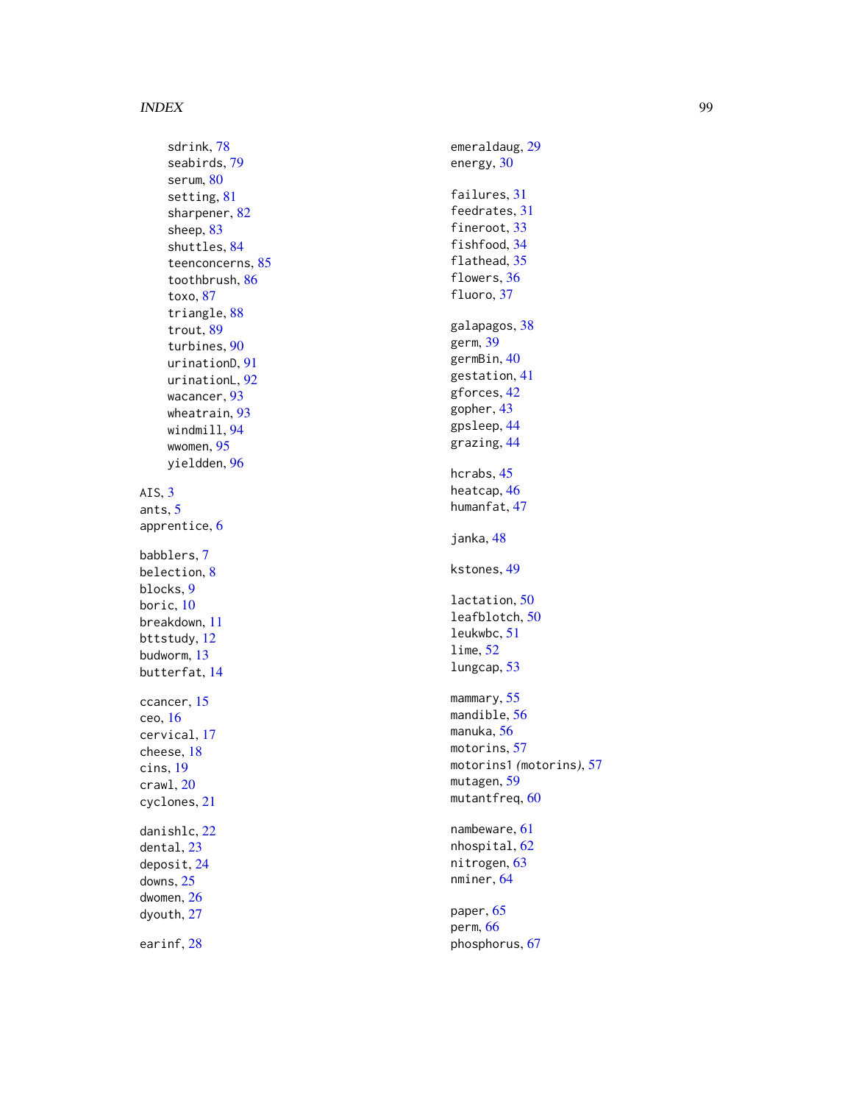#### INDEX 99

sdrink , [78](#page-77-0) seabirds , [79](#page-78-0) serum, [80](#page-79-0) setting, [81](#page-80-0) sharpener , [82](#page-81-0) sheep , [83](#page-82-0) shuttles , [84](#page-83-0) teenconcerns , [85](#page-84-0) toothbrush , [86](#page-85-0) toxo , [87](#page-86-0) triangle, [88](#page-87-0) trout , [89](#page-88-0) turbines , [90](#page-89-0) urinationD , [91](#page-90-0) urinationL , [92](#page-91-0) wacancer , [93](#page-92-0) wheatrain , [93](#page-92-0) windmill , [94](#page-93-0) wwomen , [95](#page-94-0) yieldden , [96](#page-95-0) AIS,  $3$ ants , [5](#page-4-0) apprentice , [6](#page-5-0) babblers , [7](#page-6-0) belection , [8](#page-7-0) blocks , [9](#page-8-0) boric, [10](#page-9-0) breakdown , [11](#page-10-0) bttstudy , [12](#page-11-0) budworm , [13](#page-12-0) butterfat , [14](#page-13-0) ccancer , [15](#page-14-0) ceo , [16](#page-15-0) cervical , [17](#page-16-0) cheese , [18](#page-17-0) cins , [19](#page-18-0) crawl , [20](#page-19-0) cyclones , [21](#page-20-0) danishlc , [22](#page-21-0) dental , [23](#page-22-0) deposit , [24](#page-23-0) downs , [25](#page-24-0) dwomen , [26](#page-25-0) dyouth , [27](#page-26-0) earinf, [28](#page-27-0)

emeraldaug , [29](#page-28-0) energy, [30](#page-29-0) failures, [31](#page-30-0) feedrates , [31](#page-30-0) fineroot, [33](#page-32-0) fishfood , [34](#page-33-0) flathead, [35](#page-34-0) flowers, [36](#page-35-0) fluoro, [37](#page-36-0) galapagos , [38](#page-37-0) germ , [39](#page-38-0) germBin , [40](#page-39-0) gestation , [41](#page-40-0) gforces , [42](#page-41-0) gopher , [43](#page-42-0) gpsleep , [44](#page-43-0) grazing , [44](#page-43-0) hcrabs , [45](#page-44-0) heatcap , [46](#page-45-0) humanfat , [47](#page-46-0) janka, [48](#page-47-0) kstones , [49](#page-48-0) lactation, [50](#page-49-0) leafblotch , [50](#page-49-0) leukwbc , [51](#page-50-0) lime , [52](#page-51-0) lungcap , [53](#page-52-0) mammary, <mark>[55](#page-54-0)</mark> mandible, [56](#page-55-0) manuka, <mark>[56](#page-55-0)</mark> motorins , [57](#page-56-0) motorins1 *(*motorins *)* , [57](#page-56-0) mutagen, <mark>[59](#page-58-0)</mark> mutantfreq, [60](#page-59-0) nambeware , [61](#page-60-0) nhospital , [62](#page-61-0) nitrogen, [63](#page-62-0) nminer , [64](#page-63-0) paper, [65](#page-64-0)

perm , [66](#page-65-0) phosphorus , [67](#page-66-0)